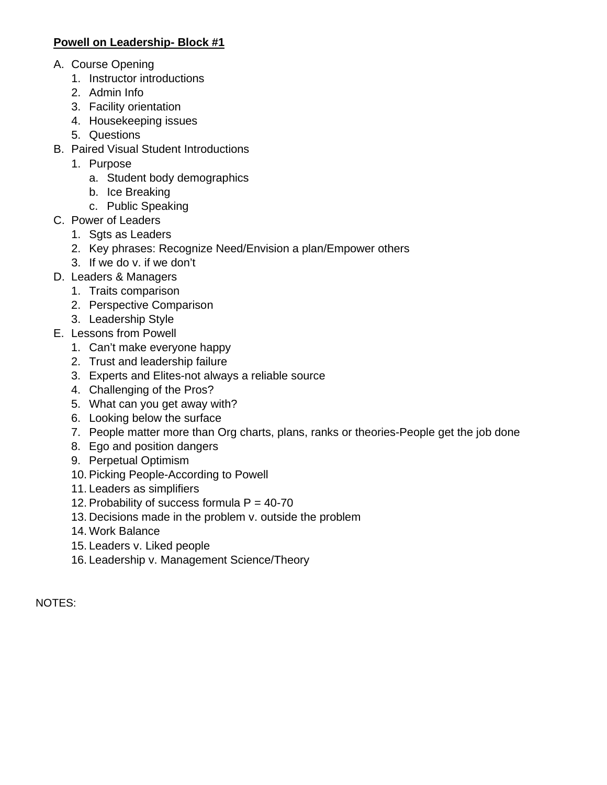## **Powell on Leadership- Block #1**

- A. Course Opening
	- 1. Instructor introductions
	- 2. Admin Info
	- 3. Facility orientation
	- 4. Housekeeping issues
	- 5. Questions
- B. Paired Visual Student Introductions
	- 1. Purpose
		- a. Student body demographics
		- b. Ice Breaking
		- c. Public Speaking
- C. Power of Leaders
	- 1. Sgts as Leaders
	- 2. Key phrases: Recognize Need/Envision a plan/Empower others
	- 3. If we do v. if we don't
- D. Leaders & Managers
	- 1. Traits comparison
	- 2. Perspective Comparison
	- 3. Leadership Style
- E. Lessons from Powell
	- 1. Can't make everyone happy
	- 2. Trust and leadership failure
	- 3. Experts and Elites-not always a reliable source
	- 4. Challenging of the Pros?
	- 5. What can you get away with?
	- 6. Looking below the surface
	- 7. People matter more than Org charts, plans, ranks or theories-People get the job done
	- 8. Ego and position dangers
	- 9. Perpetual Optimism
	- 10. Picking People-According to Powell
	- 11. Leaders as simplifiers
	- 12. Probability of success formula  $P = 40-70$
	- 13. Decisions made in the problem v. outside the problem
	- 14. Work Balance
	- 15. Leaders v. Liked people
	- 16. Leadership v. Management Science/Theory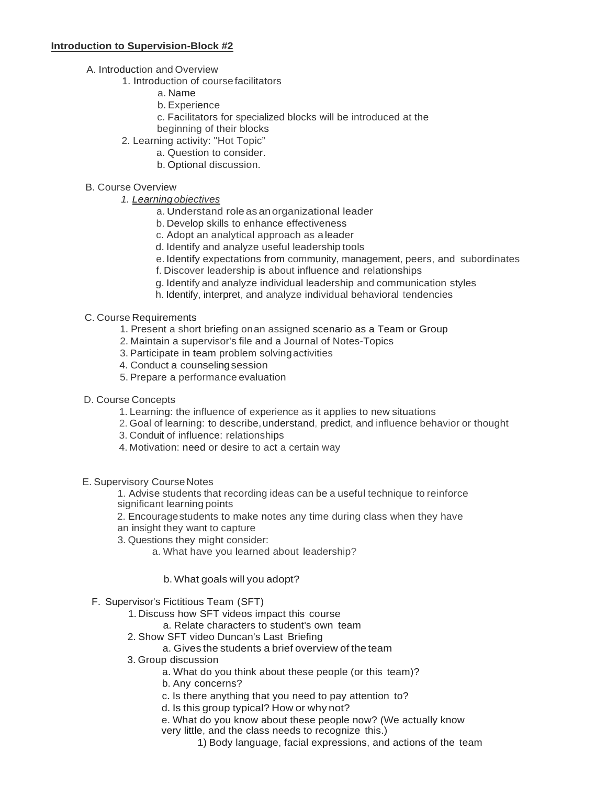#### **Introduction to Supervision-Block #2**

- A. Introduction and Overview
	- 1. Introduction of coursefacilitators
		- a. Name
		- b. Experience
		- c. Facilitators for specialized blocks will be introduced at the
		- beginning of their blocks
	- 2. Learning activity: "Hot Topic"
		- a. Question to consider.
		- b. Optional discussion.

#### B. Course Overview

- *1. Learningobjectives*
	- a. Understand roleas anorganizational leader
	- b. Develop skills to enhance effectiveness
	- c. Adopt an analytical approach as a leader
	- d. Identify and analyze useful leadership tools
	- e. Identify expectations from community, management, peers, and subordinates
	- f. Discover leadership is about influence and relationships
	- g. Identify and analyze individual leadership and communication styles
	- h. Identify, interpret, and analyze individual behavioral tendencies

#### C. Course Requirements

- 1. Present a short briefing onan assigned scenario as a Team or Group
- 2. Maintain a supervisor's file and a Journal of Notes-Topics
- 3. Participate in team problem solvingactivities
- 4. Conduct a counselingsession
- 5. Prepare a performance evaluation

#### D. Course Concepts

- 1. Learning: the influence of experience as it applies to new situations
- 2. Goal of learning: to describe, understand, predict, and influence behavior or thought
- 3. Conduit of influence: relationships
- 4. Motivation: need or desire to act a certain way

#### E. Supervisory CourseNotes

1. Advise students that recording ideas can be a useful technique to reinforce significant learning points

2. Encouragestudents to make notes any time during class when they have an insight they want to capture

- 3. Questions they might consider:
	- a. What have you learned about leadership?
		- b. What goals will you adopt?
- F. Supervisor's Fictitious Team (SFT)
	- 1. Discuss how SFT videos impact this course
		- a. Relate characters to student's own team
	- 2. Show SFT video Duncan's Last Briefing
		- a. Gives the students a brief overview of the team
	- 3. Group discussion
		- a. What do you think about these people (or this team)?
		- b. Any concerns?
		- c. Is there anything that you need to pay attention to?
		- d. Is this group typical? How or why not?

e. What do you know about these people now? (We actually know very little, and the class needs to recognize this.)

1) Body language, facial expressions, and actions of the team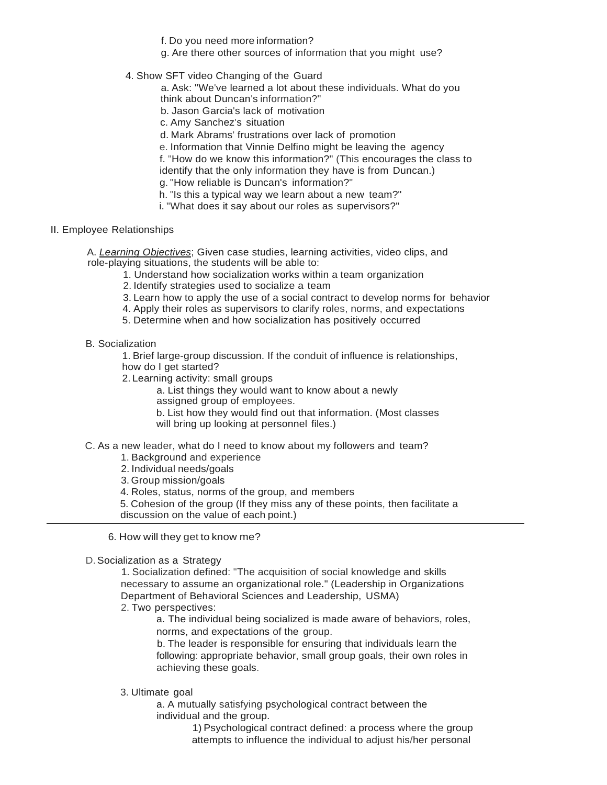f. Do you need more information?

- g. Are there other sources of information that you might use?
- 4. Show SFT video Changing of the Guard
	- a. Ask: "We've learned a lot about these individuals. What do you think about Duncan's information?"
	- b. Jason Garcia's lack of motivation
	- c. Amy Sanchez's situation
	- d. Mark Abrams' frustrations over lack of promotion
	- e. Information that Vinnie Delfino might be leaving the agency
	- f. "How do we know this information?" (This encourages the class to identify that the only information they have is from Duncan.)
	- g. "How reliable is Duncan's information?"
	- h. "Is this a typical way we learn about a new team?"
	- i. "What does it say about our roles as supervisors?"
- II. Employee Relationships
	- A. *Learning Objectives*; Given case studies, learning activities, video clips, and role-playing situations, the students will be able to:
		- 1. Understand how socialization works within a team organization
		- 2. Identify strategies used to socialize a team
		- 3. Learn how to apply the use of a social contract to develop norms for behavior
		- 4. Apply their roles as supervisors to clarify roles, norms, and expectations
		- 5. Determine when and how socialization has positively occurred

B. Socialization

1. Brief large-group discussion. If the conduit of influence is relationships, how do I get started?

- 2. Learning activity: small groups
	- a. List things they would want to know about a newly assigned group of employees.
	- b. List how they would find out that information. (Most classes will bring up looking at personnel files.)
- C. As a new leader, what do I need to know about my followers and team?
	- 1. Background and experience
	- 2. Individual needs/goals
	- 3. Group mission/goals
	- 4. Roles, status, norms of the group, and members
	- 5. Cohesion of the group (If they miss any of these points, then facilitate a discussion on the value of each point.)
	- 6. How will they get to know me?
- D.Socialization as a Strategy

1. Socialization defined: "The acquisition of social knowledge and skills necessary to assume an organizational role." (Leadership in Organizations Department of Behavioral Sciences and Leadership, USMA)

2. Two perspectives:

a. The individual being socialized is made aware of behaviors, roles, norms, and expectations of the group.

b. The leader is responsible for ensuring that individuals learn the following: appropriate behavior, small group goals, their own roles in achieving these goals.

### 3. Ultimate goal

a. A mutually satisfying psychological contract between the individual and the group.

> 1) Psychological contract defined: a process where the group attempts to influence the individual to adjust his/her personal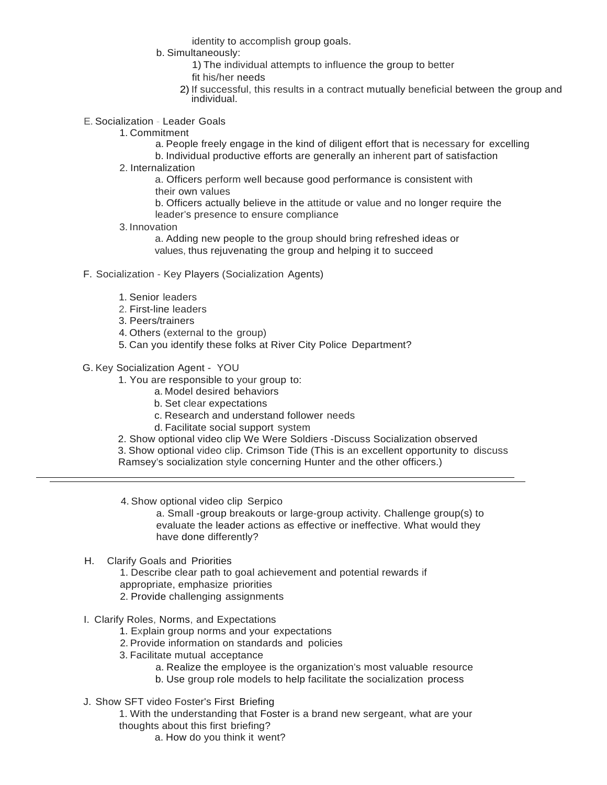identity to accomplish group goals.

- b. Simultaneously:
	- 1) The individual attempts to influence the group to better
	- fit his/her needs
	- 2) If successful, this results in a contract mutually beneficial between the group and individual.
- E. Socialization Leader Goals
	- 1. Commitment
		- a. People freely engage in the kind of diligent effort that is necessary for excelling
		- b. Individual productive efforts are generally an inherent part of satisfaction
	- 2. Internalization
		- a. Officers perform well because good performance is consistent with their own values
		- b. Officers actually believe in the attitude or value and no longer require the leader's presence to ensure compliance
	- 3. Innovation

a. Adding new people to the group should bring refreshed ideas or values, thus rejuvenating the group and helping it to succeed

- F. Socialization Key Players (Socialization Agents)
	- 1. Senior leaders
	- 2. First-line leaders
	- 3. Peers/trainers
	- 4. Others (external to the group)
	- 5. Can you identify these folks at River City Police Department?
- G. Key Socialization Agent YOU
	- 1. You are responsible to your group to:
		- a. Model desired behaviors
		- b. Set clear expectations
		- c. Research and understand follower needs
		- d. Facilitate social support system
	- 2. Show optional video clip We Were Soldiers -Discuss Socialization observed
	- 3. Show optional video clip. Crimson Tide (This is an excellent opportunity to discuss
	- Ramsey's socialization style concerning Hunter and the other officers.)
	- 4. Show optional video clip Serpico

a. Small -group breakouts or large-group activity. Challenge group(s) to evaluate the leader actions as effective or ineffective. What would they have done differently?

- H. Clarify Goals and Priorities
	- 1. Describe clear path to goal achievement and potential rewards if appropriate, emphasize priorities
	- 2. Provide challenging assignments
- I. Clarify Roles, Norms, and Expectations
	- 1. Explain group norms and your expectations
	- 2. Provide information on standards and policies
	- 3. Facilitate mutual acceptance
		- a. Realize the employee is the organization's most valuable resource
		- b. Use group role models to help facilitate the socialization process
- J. Show SFT video Foster's First Briefing
	- 1. With the understanding that Foster is a brand new sergeant, what are your thoughts about this first briefing?
		- a. How do you think it went?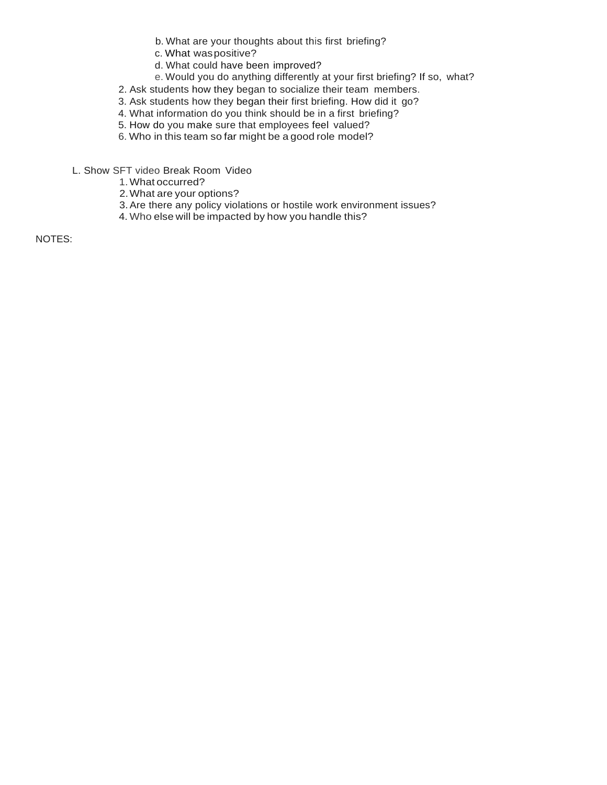- b. What are your thoughts about this first briefing?
- c. What waspositive?
- d. What could have been improved?
- e. Would you do anything differently at your first briefing? If so, what?
- 2. Ask students how they began to socialize their team members.
- 3. Ask students how they began their first briefing. How did it go?
- 4. What information do you think should be in a first briefing?
- 5. How do you make sure that employees feel valued?
- 6. Who in this team so far might be a good role model?
- L. Show SFT video Break Room Video
	- 1.What occurred?
	- 2.What are your options?
	- 3.Are there any policy violations or hostile work environment issues?
	- 4. Who else will be impacted by how you handle this?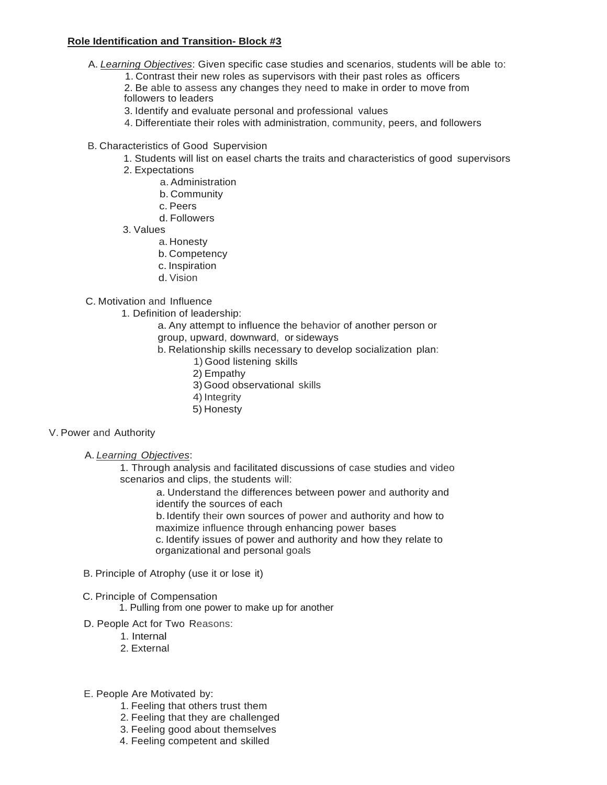### **Role Identification and Transition- Block #3**

- A. *Learning Objectives*: Given specific case studies and scenarios, students will be able to:
	- 1. Contrast their new roles as supervisors with their past roles as officers
	- 2. Be able to assess any changes they need to make in order to move from followers to leaders
	- 3. Identify and evaluate personal and professional values
	- 4. Differentiate their roles with administration, community, peers, and followers
- B. Characteristics of Good Supervision
	- 1. Students will list on easel charts the traits and characteristics of good supervisors
	- 2. Expectations
		- a. Administration
		- b. Community
		- c. Peers
		- d. Followers
	- 3. Values
		- a. Honesty
		- b. Competency
		- c. Inspiration
		- d. Vision

#### C. Motivation and Influence

1. Definition of leadership:

a. Any attempt to influence the behavior of another person or group, upward, downward, or sideways

- b. Relationship skills necessary to develop socialization plan:
	- 1) Good listening skills
	- 2) Empathy
	- 3)Good observational skills
	- 4) Integrity
	- 5) Honesty

#### V. Power and Authority

A. *Learning Objectives*:

1. Through analysis and facilitated discussions of case studies and video scenarios and clips, the students will:

> a. Understand the differences between power and authority and identify the sources of each

b. Identify their own sources of power and authority and how to maximize influence through enhancing power bases

c. Identify issues of power and authority and how they relate to organizational and personal goals

B. Principle of Atrophy (use it or lose it)

#### C. Principle of Compensation

1. Pulling from one power to make up for another

- D. People Act for Two Reasons:
	- 1. Internal
	- 2. External
- E. People Are Motivated by:
	- 1. Feeling that others trust them
	- 2. Feeling that they are challenged
	- 3. Feeling good about themselves
	- 4. Feeling competent and skilled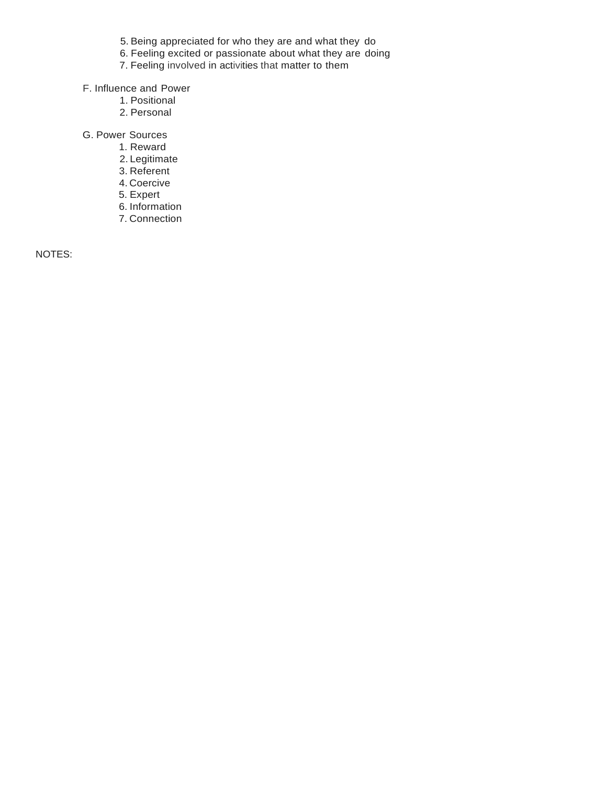- 5. Being appreciated for who they are and what they do
- 6. Feeling excited or passionate about what they are doing
- 7. Feeling involved in activities that matter to them
- F. Influence and Power
	- 1. Positional
	- 2. Personal
- G. Power Sources
	- 1. Reward
	- 2. Legitimate
	- 3. Referent
	- 4. Coercive
	- 5. Expert
	- 6. Information
	- 7. Connection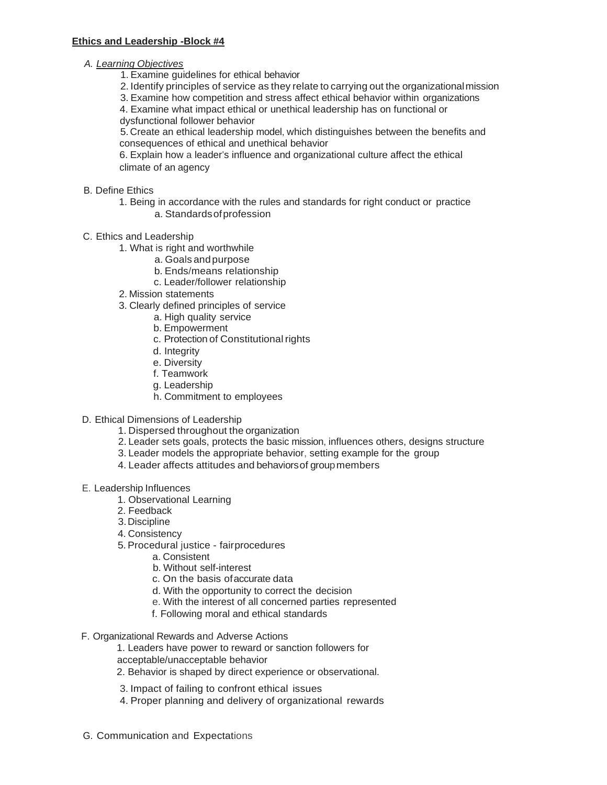- *A. Learning Objectives*
	- 1. Examine guidelines for ethical behavior
	- 2. Identify principles of service as they relate to carrying out the organizationalmission
	- 3. Examine how competition and stress affect ethical behavior within organizations

4. Examine what impact ethical or unethical leadership has on functional or dysfunctional follower behavior

5. Create an ethical leadership model, which distinguishes between the benefits and consequences of ethical and unethical behavior

6. Explain how a leader's influence and organizational culture affect the ethical climate of an agency

- B. Define Ethics
	- 1. Being in accordance with the rules and standards for right conduct or practice a. Standardsofprofession
- C. Ethics and Leadership
	- 1. What is right and worthwhile
		- a. Goals andpurpose
		- b. Ends/means relationship
		- c. Leader/follower relationship
	- 2. Mission statements
	- 3. Clearly defined principles of service
		- a. High quality service
		- b. Empowerment
		- c. Protection of Constitutional rights
		- d. Integrity
		- e. Diversity
		- f. Teamwork
		- g. Leadership
		- h. Commitment to employees
- D. Ethical Dimensions of Leadership
	- 1. Dispersed throughout the organization
	- 2. Leader sets goals, protects the basic mission, influences others, designs structure
	- 3. Leader models the appropriate behavior, setting example for the group
	- 4. Leader affects attitudes and behaviorsof group members
- E. Leadership Influences
	- 1. Observational Learning
	- 2. Feedback
	- 3.Discipline
	- 4. Consistency
	- 5.Procedural justice fairprocedures
		- a. Consistent
		- b. Without self-interest
		- c. On the basis ofaccurate data
		- d. With the opportunity to correct the decision
		- e. With the interest of all concerned parties represented
		- f. Following moral and ethical standards
- F. Organizational Rewards and Adverse Actions
	- 1. Leaders have power to reward or sanction followers for acceptable/unacceptable behavior
	- 2. Behavior is shaped by direct experience or observational.
	- 3. Impact of failing to confront ethical issues
	- 4. Proper planning and delivery of organizational rewards
- G. Communication and Expectations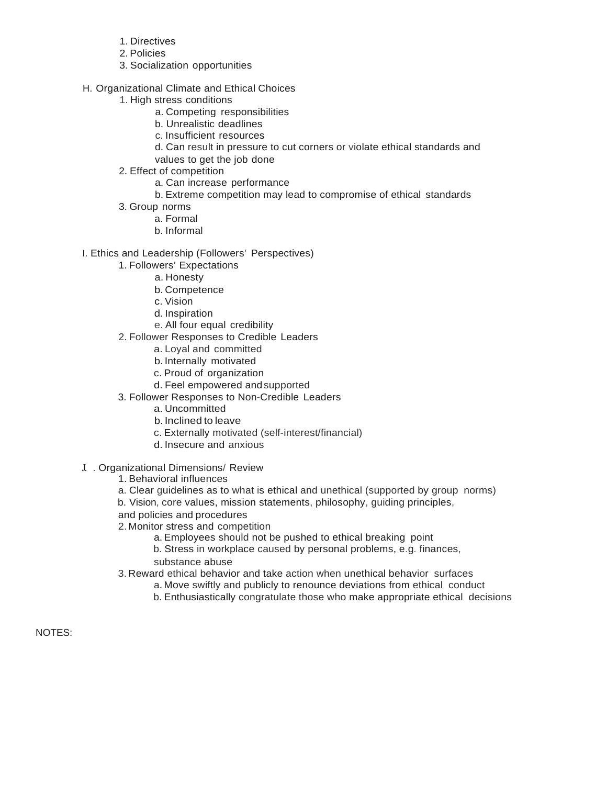- 1. Directives
- 2. Policies
- 3. Socialization opportunities
- H. Organizational Climate and Ethical Choices
	- 1. High stress conditions
		- a. Competing responsibilities
		- b. Unrealistic deadlines
		- c. Insufficient resources
		- d. Can result in pressure to cut corners or violate ethical standards and
		- values to get the job done
	- 2. Effect of competition
		- a. Can increase performance
		- b. Extreme competition may lead to compromise of ethical standards
	- 3. Group norms
		- a. Formal
		- b. Informal
- I. Ethics and Leadership (Followers' Perspectives)
	- 1. Followers' Expectations
		- a. Honesty
		- b. Competence
		- c. Vision
		- d. Inspiration
		- e. All four equal credibility
	- 2. Follower Responses to Credible Leaders
		- a. Loyal and committed
		- b. Internally motivated
		- c. Proud of organization
		- d. Feel empowered andsupported
	- 3. Follower Responses to Non-Credible Leaders
		- a. Uncommitted
		- b. Inclined to leave
		- c. Externally motivated (self-interest/financial)
		- d. Insecure and anxious
- J. . Organizational Dimensions/ Review
	- 1. Behavioral influences
	- a. Clear guidelines as to what is ethical and unethical (supported by group norms)
	- b. Vision, core values, mission statements, philosophy, guiding principles,
	- and policies and procedures
	- 2. Monitor stress and competition
		- a. Employees should not be pushed to ethical breaking point
		- b. Stress in workplace caused by personal problems, e.g. finances, substance abuse
	- 3. Reward ethical behavior and take action when unethical behavior surfaces
		- a. Move swiftly and publicly to renounce deviations from ethical conduct
		- b. Enthusiastically congratulate those who make appropriate ethical decisions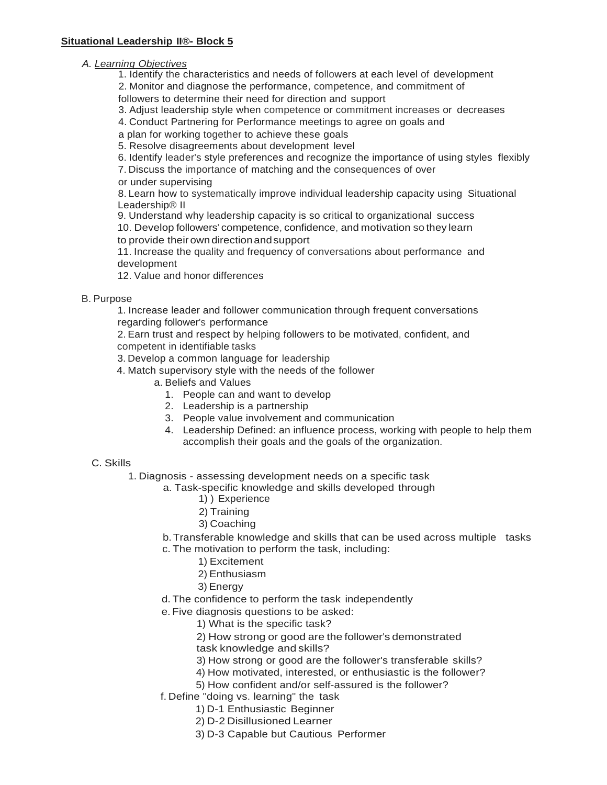## *A. Learning Objectives*

1. Identify the characteristics and needs of followers at each level of development

2. Monitor and diagnose the performance, competence, and commitment of

followers to determine their need for direction and support

3. Adjust leadership style when competence or commitment increases or decreases

4. Conduct Partnering for Performance meetings to agree on goals and

a plan for working together to achieve these goals

5. Resolve disagreements about development level

6. Identify leader's style preferences and recognize the importance of using styles flexibly

7. Discuss the importance of matching and the consequences of over

or under supervising

8. Learn how to systematically improve individual leadership capacity using Situational Leadership® II

9. Understand why leadership capacity is so critical to organizational success

10. Develop followers' competence, confidence, and motivation so they learn to provide their owndirectionandsupport

11. Increase the quality and frequency of conversations about performance and development

12. Value and honor differences

#### B. Purpose

1. Increase leader and follower communication through frequent conversations regarding follower's performance

2. Earn trust and respect by helping followers to be motivated, confident, and

competent in identifiable tasks

3. Develop a common language for leadership

- 4. Match supervisory style with the needs of the follower
	- a. Beliefs and Values
		- 1. People can and want to develop
		- 2. Leadership is a partnership
		- 3. People value involvement and communication
		- 4. Leadership Defined: an influence process, working with people to help them accomplish their goals and the goals of the organization.

### C. Skills

1. Diagnosis - assessing development needs on a specific task

a. Task-specific knowledge and skills developed through

- 1) ) Experience
- 2) Training
- 3) Coaching

b.Transferable knowledge and skills that can be used across multiple tasks

- c. The motivation to perform the task, including:
	- 1) Excitement
	- 2) Enthusiasm
	- 3) Energy
- d. The confidence to perform the task independently

e. Five diagnosis questions to be asked:

1) What is the specific task?

2) How strong or good are the follower's demonstrated

task knowledge and skills?

3) How strong or good are the follower's transferable skills?

- 4) How motivated, interested, or enthusiastic is the follower?
- 5) How confident and/or self-assured is the follower?
- f. Define "doing vs. learning" the task
	- 1) D-1 Enthusiastic Beginner
	- 2) D-2 Disillusioned Learner
	- 3) D-3 Capable but Cautious Performer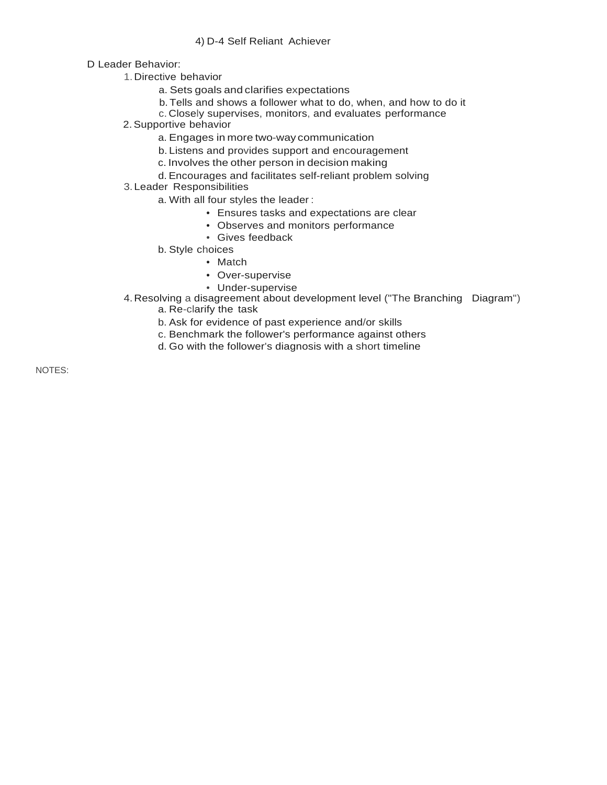#### 4) D-4 Self Reliant Achiever

D Leader Behavior:

- 1.Directive behavior
	- a. Sets goals and clarifies expectations
	- b. Tells and shows a follower what to do, when, and how to do it
	- c. Closely supervises, monitors, and evaluates performance
- 2.Supportive behavior
	- a. Engages in more two-way communication
	- b. Listens and provides support and encouragement
	- c. Involves the other person in decision making
	- d. Encourages and facilitates self-reliant problem solving
- 3.Leader Responsibilities
	- a. With all four styles the leader :
		- Ensures tasks and expectations are clear
		- Observes and monitors performance
		- Gives feedback
	- b. Style choices
		- Match
		- Over-supervise
		- Under-supervise
- 4.Resolving a disagreement about development level ("The Branching Diagram")
	- a. Re-clarify the task
	- b. Ask for evidence of past experience and/or skills
	- c. Benchmark the follower's performance against others
	- d. Go with the follower's diagnosis with a short timeline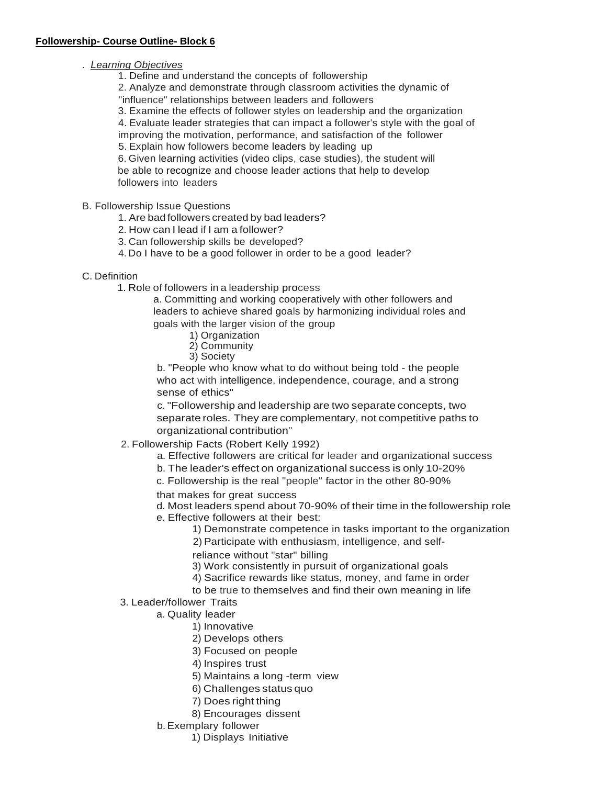. *Learning Objectives*

1. Define and understand the concepts of followership

2. Analyze and demonstrate through classroom activities the dynamic of

"influence" relationships between leaders and followers

3. Examine the effects of follower styles on leadership and the organization

4. Evaluate leader strategies that can impact a follower's style with the goal of

improving the motivation, performance, and satisfaction of the follower 5. Explain how followers become leaders by leading up

6. Given learning activities (video clips, case studies), the student will be able to recognize and choose leader actions that help to develop followers into leaders

B. Followership Issue Questions

1. Are bad followers created by bad leaders?

- 2. How can I lead if I am a follower?
- 3. Can followership skills be developed?

4. Do I have to be a good follower in order to be a good leader?

C. Definition

1. Role of followers in a leadership process

a. Committing and working cooperatively with other followers and leaders to achieve shared goals by harmonizing individual roles and goals with the larger vision of the group

1) Organization

- 2) Community
- 3) Society

b. "People who know what to do without being told - the people who act with intelligence, independence, courage, and a strong sense of ethics"

c. "Followership and leadership are two separate concepts, two separate roles. They are complementary, not competitive paths to organizational contribution"

2. Followership Facts (Robert Kelly 1992)

- a. Effective followers are critical for leader and organizational success
- b. The leader's effect on organizational success is only 10-20%

c. Followership is the real "people" factor in the other 80-90%

that makes for great success

d. Most leaders spend about 70-90% of their time in the followership role

- e. Effective followers at their best:
	- 1) Demonstrate competence in tasks important to the organization
	- 2) Participate with enthusiasm, intelligence, and self-

reliance without "star" billing

- 3) Work consistently in pursuit of organizational goals
- 4) Sacrifice rewards like status, money, and fame in order

to be true to themselves and find their own meaning in life

3. Leader/follower Traits

a. Quality leader

- 1) Innovative
- 2) Develops others
- 3) Focused on people

4) Inspires trust

- 5) Maintains a long -term view
- 6) Challenges status quo
- 7) Does right thing
- 8) Encourages dissent
- b.Exemplary follower
	- 1) Displays Initiative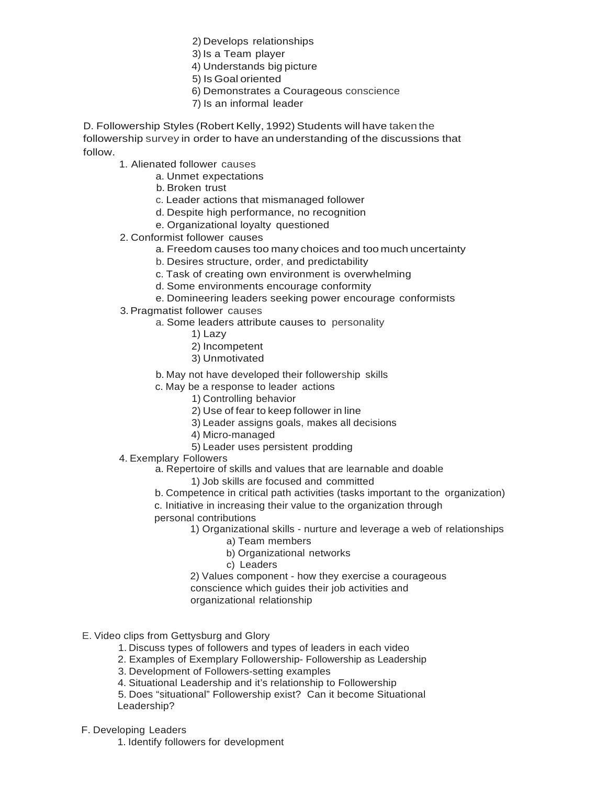2) Develops relationships

- 3) Is a Team player
- 4) Understands big picture
- 5) Is Goal oriented
- 6) Demonstrates a Courageous conscience
	- 7) Is an informal leader

D. Followership Styles (Robert Kelly, 1992) Students will have taken the followership survey in order to have an understanding of the discussions that follow.

1. Alienated follower causes

- a. Unmet expectations
- b. Broken trust
- c. Leader actions that mismanaged follower
- d. Despite high performance, no recognition
- e. Organizational loyalty questioned
- 2. Conformist follower causes
	- a. Freedom causes too many choices and too much uncertainty
	- b. Desires structure, order, and predictability
	- c. Task of creating own environment is overwhelming
	- d. Some environments encourage conformity
	- e. Domineering leaders seeking power encourage conformists
- 3.Pragmatist follower causes
	- a. Some leaders attribute causes to personality
		- 1) Lazy
		- 2) Incompetent
		- 3) Unmotivated
	- b. May not have developed their followership skills
	- c. May be a response to leader actions
		- 1) Controlling behavior
		- 2) Use of fear to keep follower in line
		- 3) Leader assigns goals, makes all decisions
		- 4) Micro-managed
		- 5) Leader uses persistent prodding
- 4. Exemplary Followers

a. Repertoire of skills and values that are learnable and doable

- 1) Job skills are focused and committed
- b. Competence in critical path activities (tasks important to the organization)

c. Initiative in increasing their value to the organization through personal contributions

- 1) Organizational skills nurture and leverage a web of relationships
	- a) Team members
	- b) Organizational networks
	- c) Leaders
- 2) Values component how they exercise a courageous conscience which guides their job activities and
- 
- organizational relationship

### E. Video clips from Gettysburg and Glory

- 1. Discuss types of followers and types of leaders in each video
- 2. Examples of Exemplary Followership- Followership as Leadership
- 3. Development of Followers-setting examples
- 4. Situational Leadership and it's relationship to Followership

5. Does "situational" Followership exist? Can it become Situational Leadership?

- F. Developing Leaders
	- 1. Identify followers for development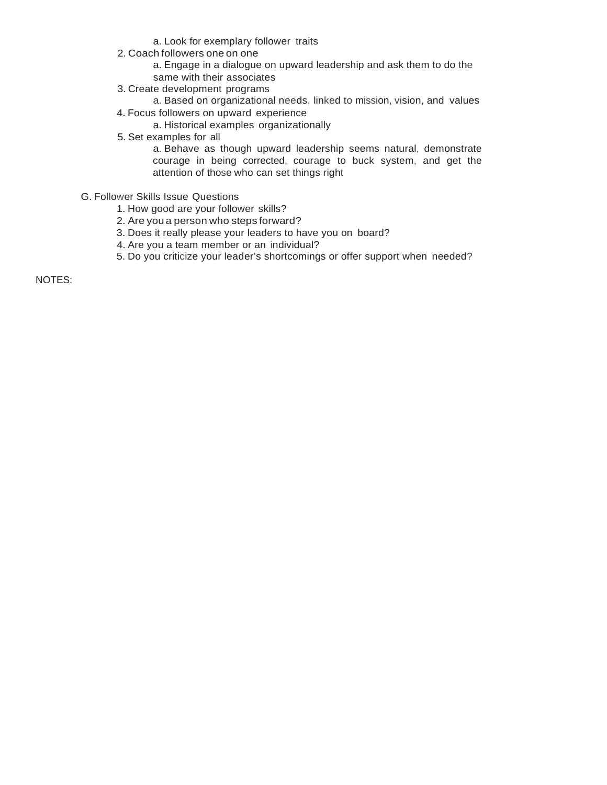- a. Look for exemplary follower traits
- 2. Coach followers one on one
	- a. Engage in a dialogue on upward leadership and ask them to do the same with their associates
- 3. Create development programs
- a. Based on organizational needs, linked to mission, vision, and values 4. Focus followers on upward experience
	- a. Historical examples organizationally
- 5. Set examples for all
	- a. Behave as though upward leadership seems natural, demonstrate courage in being corrected, courage to buck system, and get the attention of those who can set things right
- G. Follower Skills Issue Questions
	- 1. How good are your follower skills?
	- 2. Are you a person who steps forward?
	- 3. Does it really please your leaders to have you on board?
	- 4. Are you a team member or an individual?
	- 5. Do you criticize your leader's shortcomings or offer support when needed?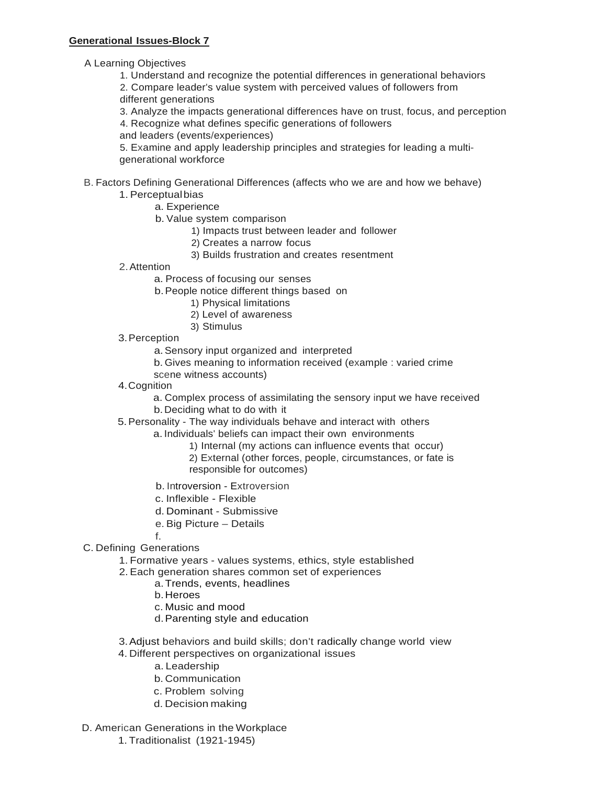A Learning Objectives

1. Understand and recognize the potential differences in generational behaviors 2. Compare leader's value system with perceived values of followers from different generations

3. Analyze the impacts generational differences have on trust, focus, and perception

4. Recognize what defines specific generations of followers

and leaders (events/experiences)

5. Examine and apply leadership principles and strategies for leading a multigenerational workforce

# B. Factors Defining Generational Differences (affects who we are and how we behave)

## 1. Perceptualbias

- a. Experience
- b. Value system comparison
	- 1) Impacts trust between leader and follower
	- 2) Creates a narrow focus
	- 3) Builds frustration and creates resentment
- 2.Attention
	- a. Process of focusing our senses
	- b.People notice different things based on
		- 1) Physical limitations
		- 2) Level of awareness
		- 3) Stimulus
- 3.Perception

a.Sensory input organized and interpreted

- b. Gives meaning to information received (example : varied crime
- scene witness accounts)
- 4.Cognition

a. Complex process of assimilating the sensory input we have received b.Deciding what to do with it

5.Personality - The way individuals behave and interact with others

- a. Individuals' beliefs can impact their own environments
	- 1) Internal (my actions can influence events that occur)
	- 2) External (other forces, people, circumstances, or fate is responsible for outcomes)
- b. Introversion Extroversion
- c. Inflexible Flexible
- d. Dominant Submissive
- e. Big Picture Details
- f.
- C. Defining Generations
	- 1. Formative years values systems, ethics, style established
	- 2. Each generation shares common set of experiences
		- a.Trends, events, headlines
			- b.Heroes
			- c. Music and mood
			- d.Parenting style and education
	- 3.Adjust behaviors and build skills; don't radically change world view 4. Different perspectives on organizational issues
		- a. Leadership
			- b. Communication
			- c. Problem solving
			- d. Decision making
- D. American Generations in the Workplace
	- 1. Traditionalist (1921-1945)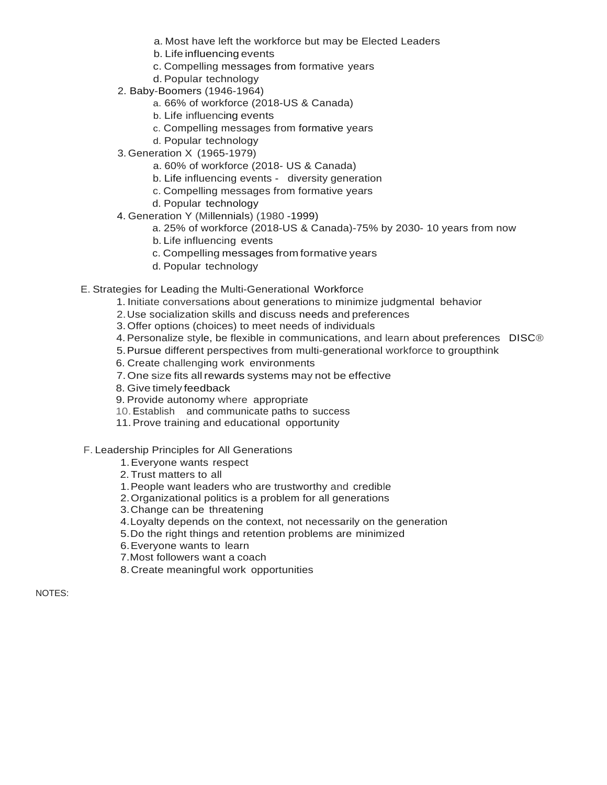- a. Most have left the workforce but may be Elected Leaders
- b. Life influencing events
- c. Compelling messages from formative years
- d. Popular technology
- 2. Baby-Boomers (1946-1964)
	- a. 66% of workforce (2018-US & Canada)
	- b. Life influencing events
	- c. Compelling messages from formative years
	- d. Popular technology
- 3. Generation X (1965-1979)
	- a. 60% of workforce (2018- US & Canada)
	- b. Life influencing events diversity generation
	- c. Compelling messages from formative years
	- d. Popular technology
- 4. Generation Y (Millennials) (1980 -1999)
	- a. 25% of workforce (2018-US & Canada)-75% by 2030- 10 years from now
	- b. Life influencing events
	- c. Compelling messages from formative years
	- d. Popular technology
- E. Strategies for Leading the Multi-Generational Workforce
	- 1. Initiate conversations about generations to minimize judgmental behavior
	- 2.Use socialization skills and discuss needs and preferences
	- 3.Offer options (choices) to meet needs of individuals
	- 4.Personalize style, be flexible in communications, and learn about preferences DISC®
	- 5.Pursue different perspectives from multi-generational workforce to groupthink
	- 6. Create challenging work environments
	- 7.One size fits all rewards systems may not be effective
	- 8. Give timely feedback
	- 9. Provide autonomy where appropriate
	- 10.Establish and communicate paths to success
	- 11.Prove training and educational opportunity
- F. Leadership Principles for All Generations
	- 1.Everyone wants respect
	- 2.Trust matters to all
	- 1.People want leaders who are trustworthy and credible
	- 2.Organizational politics is a problem for all generations
	- 3.Change can be threatening
	- 4.Loyalty depends on the context, not necessarily on the generation
	- 5.Do the right things and retention problems are minimized
	- 6.Everyone wants to learn
	- 7.Most followers want a coach
	- 8.Create meaningful work opportunities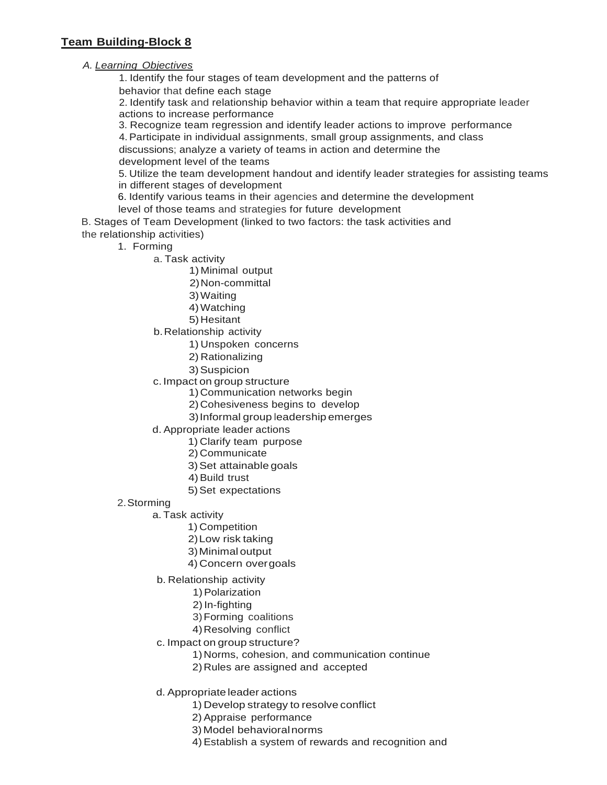## **Team Building-Block 8**

## *A. Learning Objectives*

1. Identify the four stages of team development and the patterns of behavior that define each stage

2. Identify task and relationship behavior within a team that require appropriate leader actions to increase performance

3. Recognize team regression and identify leader actions to improve performance

4.Participate in individual assignments, small group assignments, and class

discussions; analyze a variety of teams in action and determine the development level of the teams

5. Utilize the team development handout and identify leader strategies for assisting teams in different stages of development

6. Identify various teams in their agencies and determine the development

level of those teams and strategies for future development

B. Stages of Team Development (linked to two factors: the task activities and the relationship activities)

- 1. Forming
	- a. Task activity
		- 1) Minimal output
		- 2)Non-committal
		- 3)Waiting
		- 4)Watching
		- 5)Hesitant
	- b.Relationship activity
		- 1) Unspoken concerns
		- 2) Rationalizing
		- 3)Suspicion
	- c.Impact on group structure
		- 1)Communication networks begin
		- 2)Cohesiveness begins to develop
		- 3)Informal group leadership emerges
	- d. Appropriate leader actions
		- 1) Clarify team purpose
		- 2) Communicate
		- 3)Set attainable goals
		- 4) Build trust
		- 5)Set expectations
- 2.Storming
	- a. Task activity
		- 1) Competition
		- 2)Low risk taking
		- 3)Minimal output
		- 4) Concern overgoals
	- b. Relationship activity
		- 1)Polarization
		- 2)In-fighting
		- 3)Forming coalitions
		- 4)Resolving conflict
	- c. Impact on group structure?
		- 1)Norms, cohesion, and communication continue
		- 2)Rules are assigned and accepted
	- d. Appropriate leader actions
		- 1) Develop strategy to resolve conflict
		- 2) Appraise performance
		- 3) Model behavioralnorms
		- 4)Establish a system of rewards and recognition and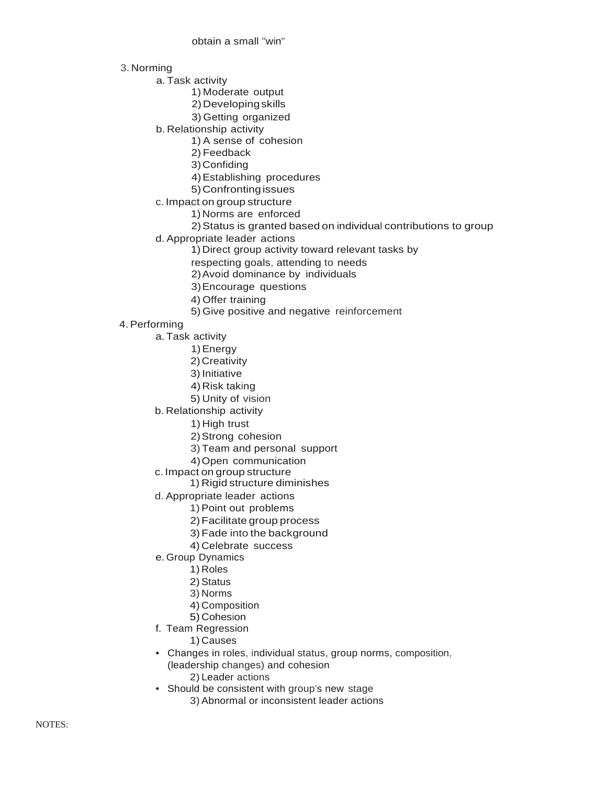obtain a small "win"

3. Norming

a. Task activity

1) Moderate output

- 2)Developingskills
- 3) Getting organized
- b. Relationship activity
	- 1) A sense of cohesion
	- 2) Feedback

3)Confiding

- 4)Establishing procedures
- 5)Confrontingissues
- c. Impact on group structure
	- 1) Norms are enforced

2)Status is granted based on individual contributions to group

- d. Appropriate leader actions
	- 1) Direct group activity toward relevant tasks by
	- respecting goals, attending to needs
	- 2)Avoid dominance by individuals
	- 3)Encourage questions
	- 4) Offer training
	- 5) Give positive and negative reinforcement
- 4.Performing
	- a. Task activity
		- 1)Energy
		- 2)Creativity
		- 3) Initiative
		- 4) Risk taking
		- 5) Unity of vision
	- b. Relationship activity
		- 1) High trust
		- 2)Strong cohesion
		- 3) Team and personal support
		- 4)Open communication
	- c. Impact on group structure
		- 1) Rigid structure diminishes
	- d. Appropriate leader actions
		- 1) Point out problems
		- 2)Facilitate group process
		- 3)Fade into the background
		- 4) Celebrate success
	- e. Group Dynamics
		- 1) Roles
		- 2) Status
		- 3) Norms
		- 4) Composition
		- 5) Cohesion
	- f. Team Regression
		- 1) Causes
	- Changes in roles, individual status, group norms, composition, (leadership changes) and cohesion 2) Leader actions
	- Should be consistent with group's new stage
		- 3) Abnormal or inconsistent leader actions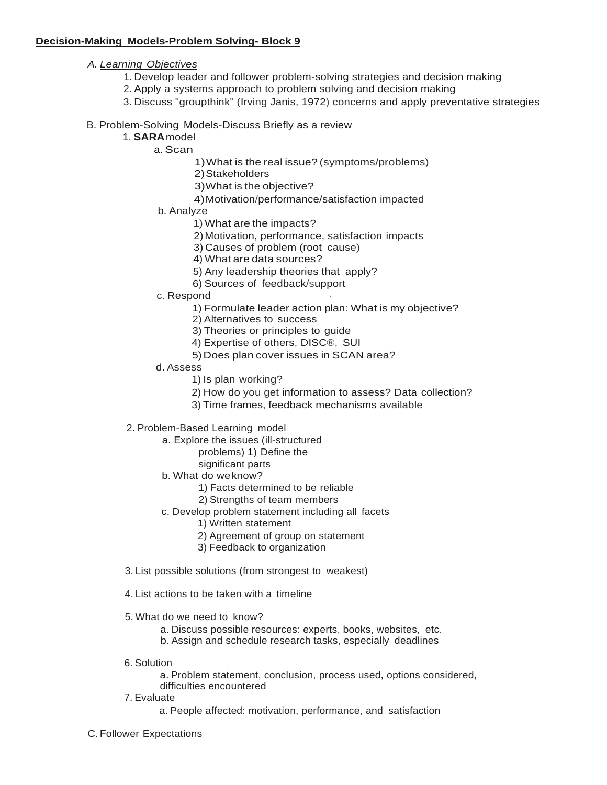### **Decision-Making Models-Problem Solving- Block 9**

- *A. Learning Objectives*
	- 1. Develop leader and follower problem-solving strategies and decision making
	- 2. Apply a systems approach to problem solving and decision making
	- 3. Discuss "groupthink" (Irving Janis, 1972) concerns and apply preventative strategies

### B. Problem-Solving Models-Discuss Briefly as a review

- 1. **SARA**model
	- a. Scan
		- 1)What is the real issue? (symptoms/problems)
		- 2)Stakeholders
		- 3)What is the objective?
		- 4)Motivation/performance/satisfaction impacted
	- b. Analyze
		- 1) What are the impacts?
		- 2)Motivation, performance, satisfaction impacts
		- 3) Causes of problem (root cause)
		- 4) What are data sources?
		- 5) Any leadership theories that apply?
		- 6) Sources of feedback/support
	- c. Respond
		- 1) Formulate leader action plan: What is my objective?
		- 2) Alternatives to success
		- 3) Theories or principles to guide
		- 4) Expertise of others, DISC®, SUI
		- 5)Does plan cover issues in SCAN area?
	- d. Assess
		- 1) Is plan working?
		- 2) How do you get information to assess? Data collection?
		- 3) Time frames, feedback mechanisms available
- 2. Problem-Based Learning model
	- a. Explore the issues (ill-structured
		- problems) 1) Define the
		- significant parts
	- b. What do weknow?
		- 1) Facts determined to be reliable
		- 2) Strengths of team members
	- c. Develop problem statement including all facets
		- 1) Written statement
		- 2) Agreement of group on statement
		- 3) Feedback to organization
- 3. List possible solutions (from strongest to weakest)
- 4. List actions to be taken with a timeline
- 5. What do we need to know?
	- a. Discuss possible resources: experts, books, websites, etc.
	- b. Assign and schedule research tasks, especially deadlines
- 6. Solution

a. Problem statement, conclusion, process used, options considered, difficulties encountered

- 7. Evaluate
	- a. People affected: motivation, performance, and satisfaction
- C. Follower Expectations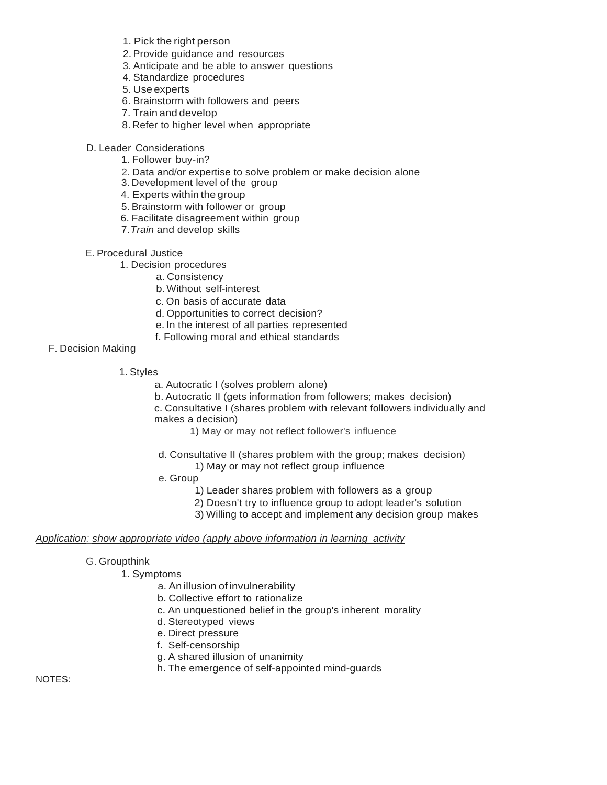- 1. Pick the right person
- 2. Provide guidance and resources
- 3. Anticipate and be able to answer questions
- 4. Standardize procedures
- 5. Use experts
- 6. Brainstorm with followers and peers
- 7. Train and develop
- 8. Refer to higher level when appropriate
- D. Leader Considerations
	- 1. Follower buy-in?
	- 2. Data and/or expertise to solve problem or make decision alone
	- 3. Development level of the group
	- 4. Experts within the group
	- 5. Brainstorm with follower or group
	- 6. Facilitate disagreement within group
	- 7.*Train* and develop skills
- E. Procedural Justice
	- 1. Decision procedures
		- a. Consistency
			- b.Without self-interest
			- c. On basis of accurate data
			- d. Opportunities to correct decision?
		- e. In the interest of all parties represented
		- f. Following moral and ethical standards

F. Decision Making

- 1. Styles
	- a. Autocratic I (solves problem alone)
	- b. Autocratic II (gets information from followers; makes decision)

c. Consultative I (shares problem with relevant followers individually and makes a decision)

- 1) May or may not reflect follower's influence
- d. Consultative II (shares problem with the group; makes decision)
	- 1) May or may not reflect group influence
- e. Group
	- 1) Leader shares problem with followers as a group
	- 2) Doesn't try to influence group to adopt leader's solution
	- 3) Willing to accept and implement any decision group makes

#### *Application: show appropriate video (apply above information in learning activity*

- G. Groupthink
	- 1. Symptoms
		- a. An illusion of invulnerability
		- b. Collective effort to rationalize
		- c. An unquestioned belief in the group's inherent morality
		- d. Stereotyped views
		- e. Direct pressure
		- f. Self-censorship
		- g. A shared illusion of unanimity
		- h. The emergence of self-appointed mind-guards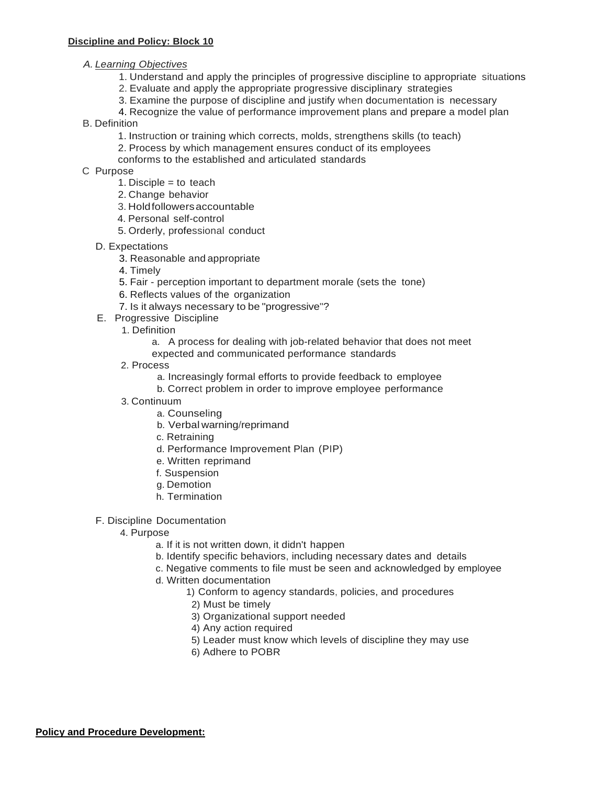## *A. Learning Objectives*

- 1. Understand and apply the principles of progressive discipline to appropriate situations
- 2. Evaluate and apply the appropriate progressive disciplinary strategies
- 3. Examine the purpose of discipline and justify when documentation is necessary
- 4. Recognize the value of performance improvement plans and prepare a model plan
- B. Definition
	- 1. Instruction or training which corrects, molds, strengthens skills (to teach)
	- 2. Process by which management ensures conduct of its employees
	- conforms to the established and articulated standards
- C Purpose
	- 1. Disciple  $=$  to teach
	- 2. Change behavior
	- 3. Holdfollowersaccountable
	- 4. Personal self-control
	- 5. Orderly, professional conduct
	- D. Expectations
		- 3. Reasonable and appropriate
		- 4. Timely
		- 5. Fair perception important to department morale (sets the tone)
		- 6. Reflects values of the organization
			- 7. Is it always necessary to be "progressive"?
	- E. Progressive Discipline
		- 1. Definition
			- a. A process for dealing with job-related behavior that does not meet
			- expected and communicated performance standards
		- 2. Process
			- a. Increasingly formal efforts to provide feedback to employee
			- b. Correct problem in order to improve employee performance
		- 3. Continuum
			- a. Counseling
			- b. Verbal warning/reprimand
			- c. Retraining
			- d. Performance Improvement Plan (PIP)
			- e. Written reprimand
			- f. Suspension
			- g. Demotion
			- h. Termination
	- F. Discipline Documentation
		- 4. Purpose
			- a. If it is not written down, it didn't happen
			- b. Identify specific behaviors, including necessary dates and details
			- c. Negative comments to file must be seen and acknowledged by employee
			- d. Written documentation
				- 1) Conform to agency standards, policies, and procedures
				- 2) Must be timely
				- 3) Organizational support needed
				- 4) Any action required
				- 5) Leader must know which levels of discipline they may use
				- 6) Adhere to POBR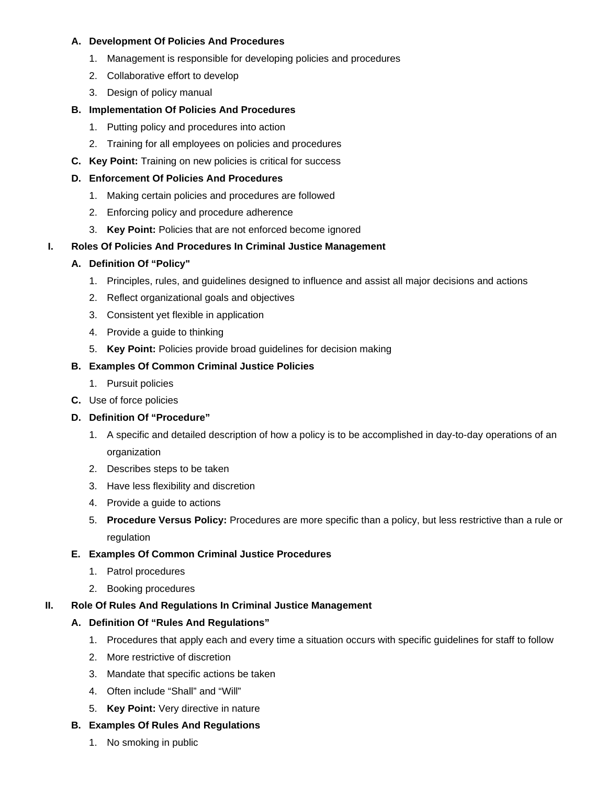### **A. Development Of Policies And Procedures**

- 1. Management is responsible for developing policies and procedures
- 2. Collaborative effort to develop
- 3. Design of policy manual

## **B. Implementation Of Policies And Procedures**

- 1. Putting policy and procedures into action
- 2. Training for all employees on policies and procedures
- **C. Key Point:** Training on new policies is critical for success

## **D. Enforcement Of Policies And Procedures**

- 1. Making certain policies and procedures are followed
- 2. Enforcing policy and procedure adherence
- 3. **Key Point:** Policies that are not enforced become ignored

## **I. Roles Of Policies And Procedures In Criminal Justice Management**

## **A. Definition Of "Policy"**

- 1. Principles, rules, and guidelines designed to influence and assist all major decisions and actions
- 2. Reflect organizational goals and objectives
- 3. Consistent yet flexible in application
- 4. Provide a guide to thinking
- 5. **Key Point:** Policies provide broad guidelines for decision making

## **B. Examples Of Common Criminal Justice Policies**

- 1. Pursuit policies
- **C.** Use of force policies

## **D. Definition Of "Procedure"**

- 1. A specific and detailed description of how a policy is to be accomplished in day-to-day operations of an organization
- 2. Describes steps to be taken
- 3. Have less flexibility and discretion
- 4. Provide a guide to actions
- 5. **Procedure Versus Policy:** Procedures are more specific than a policy, but less restrictive than a rule or regulation

## **E. Examples Of Common Criminal Justice Procedures**

- 1. Patrol procedures
- 2. Booking procedures

### **II. Role Of Rules And Regulations In Criminal Justice Management**

## **A. Definition Of "Rules And Regulations"**

- 1. Procedures that apply each and every time a situation occurs with specific guidelines for staff to follow
- 2. More restrictive of discretion
- 3. Mandate that specific actions be taken
- 4. Often include "Shall" and "Will"
- 5. **Key Point:** Very directive in nature

### **B. Examples Of Rules And Regulations**

1. No smoking in public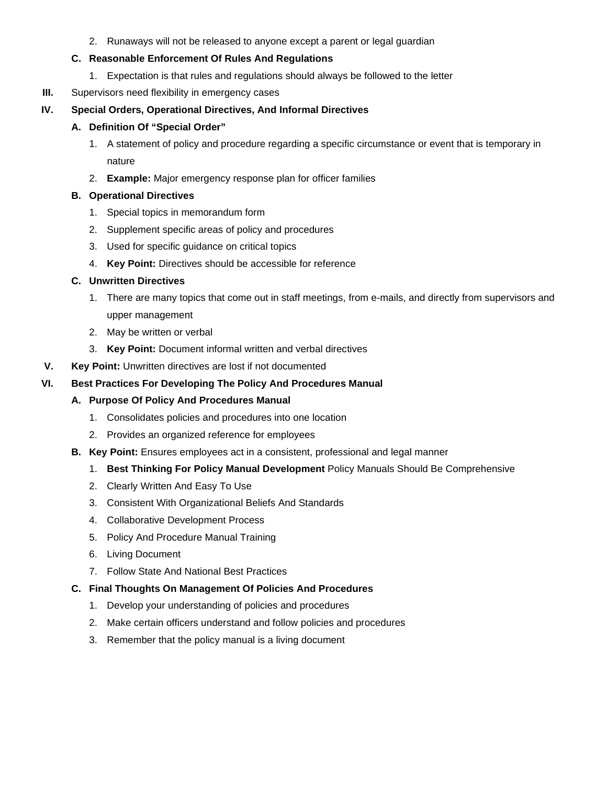2. Runaways will not be released to anyone except a parent or legal guardian

## **C. Reasonable Enforcement Of Rules And Regulations**

- 1. Expectation is that rules and regulations should always be followed to the letter
- **III.** Supervisors need flexibility in emergency cases

## **IV. Special Orders, Operational Directives, And Informal Directives**

## **A. Definition Of "Special Order"**

- 1. A statement of policy and procedure regarding a specific circumstance or event that is temporary in nature
- 2. **Example:** Major emergency response plan for officer families

## **B. Operational Directives**

- 1. Special topics in memorandum form
- 2. Supplement specific areas of policy and procedures
- 3. Used for specific guidance on critical topics
- 4. **Key Point:** Directives should be accessible for reference

## **C. Unwritten Directives**

- 1. There are many topics that come out in staff meetings, from e-mails, and directly from supervisors and upper management
- 2. May be written or verbal
- 3. **Key Point:** Document informal written and verbal directives
- **V. Key Point:** Unwritten directives are lost if not documented

## **VI. Best Practices For Developing The Policy And Procedures Manual**

## **A. Purpose Of Policy And Procedures Manual**

- 1. Consolidates policies and procedures into one location
- 2. Provides an organized reference for employees
- **B. Key Point:** Ensures employees act in a consistent, professional and legal manner
	- 1. **Best Thinking For Policy Manual Development** Policy Manuals Should Be Comprehensive
	- 2. Clearly Written And Easy To Use
	- 3. Consistent With Organizational Beliefs And Standards
	- 4. Collaborative Development Process
	- 5. Policy And Procedure Manual Training
	- 6. Living Document
	- 7. Follow State And National Best Practices

## **C. Final Thoughts On Management Of Policies And Procedures**

- 1. Develop your understanding of policies and procedures
- 2. Make certain officers understand and follow policies and procedures
- 3. Remember that the policy manual is a living document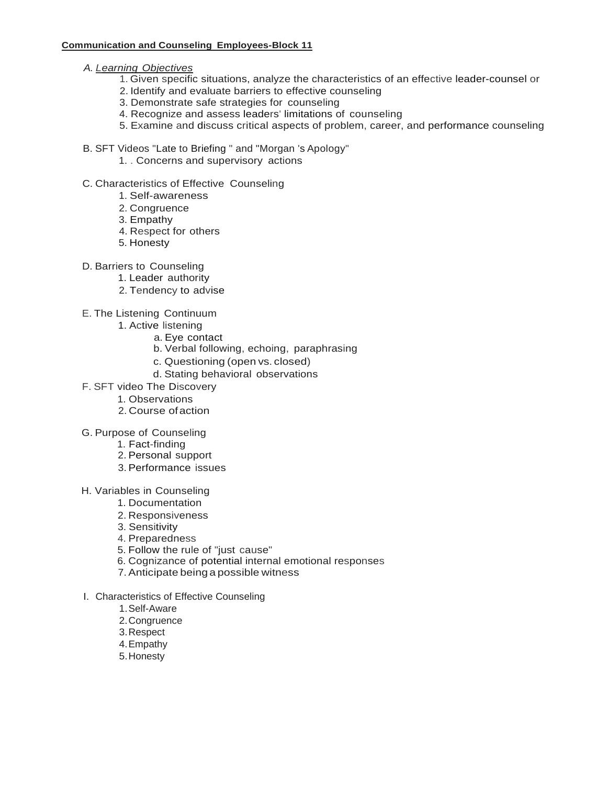#### **Communication and Counseling Employees-Block 11**

- *A. Learning Objectives*
	- 1. Given specific situations, analyze the characteristics of an effective leader-counsel or
	- 2. Identify and evaluate barriers to effective counseling
	- 3. Demonstrate safe strategies for counseling
	- 4. Recognize and assess leaders' limitations of counseling
	- 5. Examine and discuss critical aspects of problem, career, and performance counseling
- B. SFT Videos "Late to Briefing " and "Morgan 's Apology"
	- 1. . Concerns and supervisory actions
- C. Characteristics of Effective Counseling
	- 1. Self-awareness
	- 2. Congruence
	- 3. Empathy
	- 4. Respect for others
	- 5. Honesty
- D. Barriers to Counseling
	- 1. Leader authority
	- 2. Tendency to advise
- E. The Listening Continuum
	- 1. Active listening
		- a. Eye contact
		- b. Verbal following, echoing, paraphrasing
		- c. Questioning (open vs. closed)
		- d. Stating behavioral observations
- F. SFT video The Discovery
	- 1. Observations
	- 2. Course ofaction
- G. Purpose of Counseling
	- 1. Fact-finding
	- 2. Personal support
	- 3. Performance issues
- H. Variables in Counseling
	- 1. Documentation
		- 2. Responsiveness
		- 3. Sensitivity
		- 4. Preparedness
		- 5. Follow the rule of "just cause"
		- 6. Cognizance of potential internal emotional responses
		- 7. Anticipate being a possible witness
- I. Characteristics of Effective Counseling
	- 1.Self-Aware
	- 2.Congruence
	- 3.Respect
	- 4.Empathy
	- 5.Honesty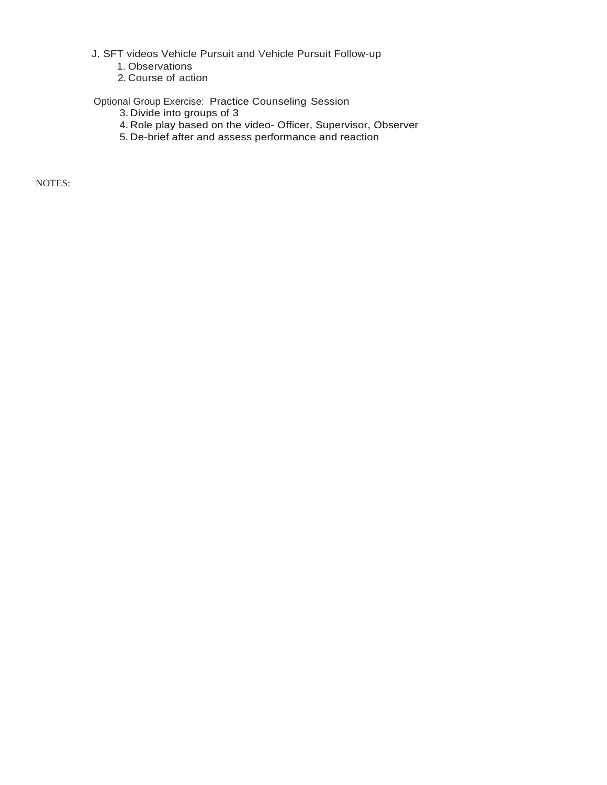J. SFT videos Vehicle Pursuit and Vehicle Pursuit Follow-up

- 1. Observations
- 2. Course of action

Optional Group Exercise: Practice Counseling Session

- 3. Divide into groups of 3
- 4. Role play based on the video- Officer, Supervisor, Observer
- 5. De-brief after and assess performance and reaction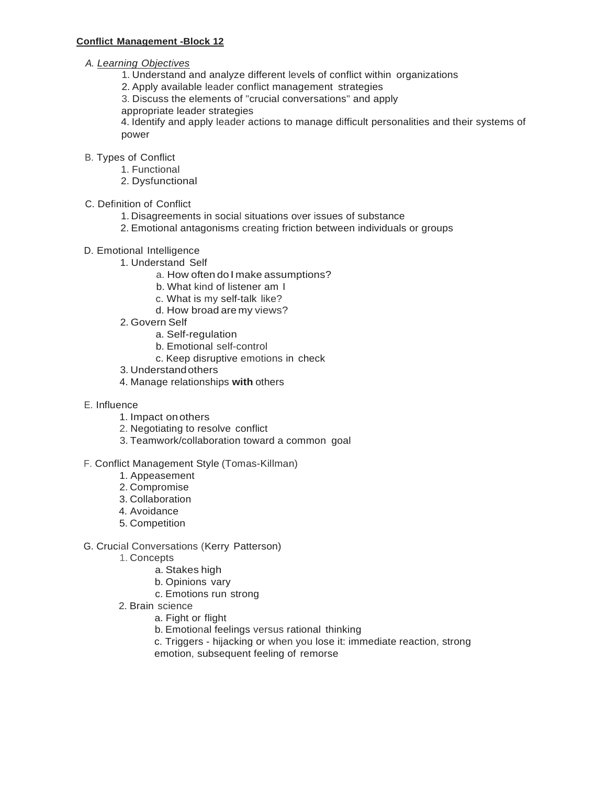- *A. Learning Objectives*
	- 1. Understand and analyze different levels of conflict within organizations
	- 2. Apply available leader conflict management strategies
	- 3. Discuss the elements of "crucial conversations" and apply
	- appropriate leader strategies

4. Identify and apply leader actions to manage difficult personalities and their systems of power

- B. Types of Conflict
	- 1. Functional
	- 2. Dysfunctional
- C. Definition of Conflict
	- 1. Disagreements in social situations over issues of substance
	- 2. Emotional antagonisms creating friction between individuals or groups
- D. Emotional Intelligence
	- 1. Understand Self
		- a. How often do I make assumptions?
		- b. What kind of listener am I
		- c. What is my self-talk like?
		- d. How broad are my views?
	- 2. Govern Self
		- a. Self-regulation
		- b. Emotional self-control
		- c. Keep disruptive emotions in check
	- 3. Understandothers
	- 4. Manage relationships **with** others
- E. Influence
	- 1. Impact onothers
	- 2. Negotiating to resolve conflict
	- 3. Teamwork/collaboration toward a common goal

### F. Conflict Management Style (Tomas-Killman)

- 1. Appeasement
- 2. Compromise
- 3. Collaboration
- 4. Avoidance
- 5. Competition
- G. Crucial Conversations (Kerry Patterson)
	- 1. Concepts
		- a. Stakes high
		- b. Opinions vary
		- c. Emotions run strong
	- 2. Brain science
		- a. Fight or flight
		- b. Emotional feelings versus rational thinking
		- c. Triggers hijacking or when you lose it: immediate reaction, strong
		- emotion, subsequent feeling of remorse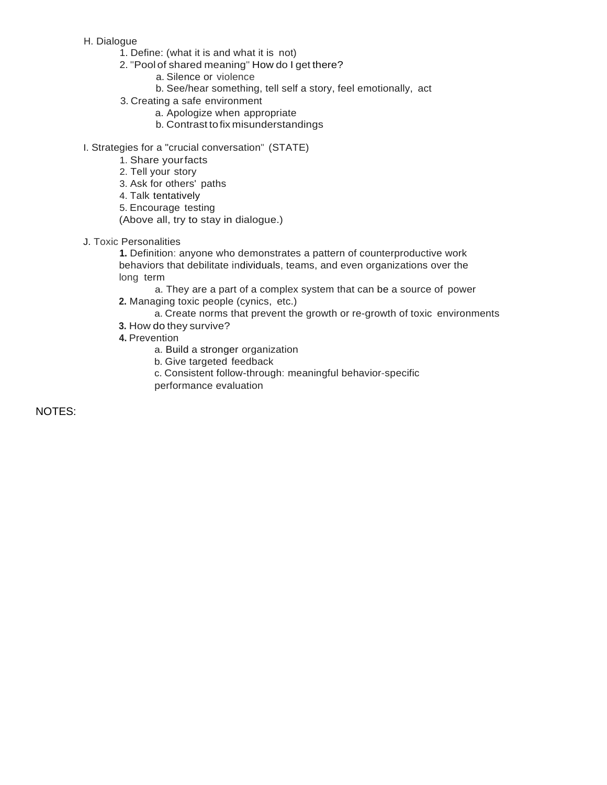#### H. Dialogue

- 1. Define: (what it is and what it is not)
- 2. "Pool of shared meaning" How do I get there?
	- a. Silence or violence
	- b. See/hear something, tell self a story, feel emotionally, act
- 3. Creating a safe environment
	- a. Apologize when appropriate
	- b. Contrast tofix misunderstandings
- I. Strategies for a "crucial conversation" (STATE)
	- 1. Share yourfacts
	- 2. Tell your story
	- 3. Ask for others' paths
	- 4. Talk tentatively
	- 5. Encourage testing
	- (Above all, try to stay in dialogue.)
- J. Toxic Personalities

**1.** Definition: anyone who demonstrates a pattern of counterproductive work behaviors that debilitate individuals, teams, and even organizations over the long term

a. They are a part of a complex system that can be a source of power **2.** Managing toxic people (cynics, etc.)

- a. Create norms that prevent the growth or re-growth of toxic environments
- **3.** How do they survive?
- **4.** Prevention
	- a. Build a stronger organization
	- b. Give targeted feedback
	- c. Consistent follow-through: meaningful behavior-specific performance evaluation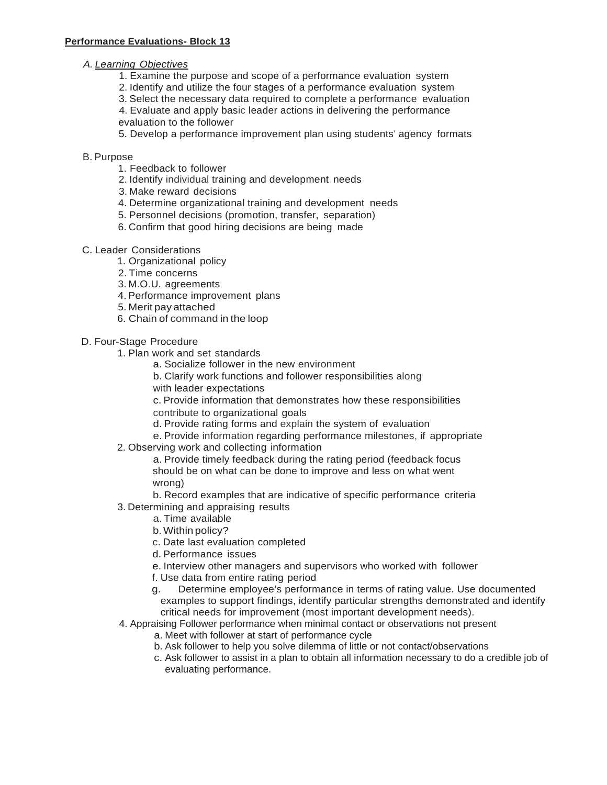## *A. Learning Objectives*

- 1. Examine the purpose and scope of a performance evaluation system
- 2. Identify and utilize the four stages of a performance evaluation system
- 3. Select the necessary data required to complete a performance evaluation
- 4. Evaluate and apply basic leader actions in delivering the performance evaluation to the follower
- 5. Develop a performance improvement plan using students' agency formats

### B. Purpose

- 1. Feedback to follower
- 2. Identify individual training and development needs
- 3. Make reward decisions
- 4. Determine organizational training and development needs
- 5. Personnel decisions (promotion, transfer, separation)
- 6. Confirm that good hiring decisions are being made
- C. Leader Considerations
	- 1. Organizational policy
	- 2. Time concerns
	- 3. M.O.U. agreements
	- 4. Performance improvement plans
	- 5. Merit pay attached
	- 6. Chain of command in the loop

## D. Four-Stage Procedure

- 1. Plan work and set standards
	- a. Socialize follower in the new environment
	- b. Clarify work functions and follower responsibilities along
	- with leader expectations
	- c. Provide information that demonstrates how these responsibilities
	- contribute to organizational goals
	- d. Provide rating forms and explain the system of evaluation
	- e. Provide information regarding performance milestones, if appropriate
- 2. Observing work and collecting information
	- a. Provide timely feedback during the rating period (feedback focus should be on what can be done to improve and less on what went wrong)
	- b. Record examples that are indicative of specific performance criteria
- 3. Determining and appraising results
	- a. Time available
	- b.Within policy?
	- c. Date last evaluation completed
	- d. Performance issues
	- e. Interview other managers and supervisors who worked with follower
	- f. Use data from entire rating period
	- g. Determine employee's performance in terms of rating value. Use documented examples to support findings, identify particular strengths demonstrated and identify critical needs for improvement (most important development needs).
- 4. Appraising Follower performance when minimal contact or observations not present
	- a. Meet with follower at start of performance cycle
	- b. Ask follower to help you solve dilemma of little or not contact/observations
	- c. Ask follower to assist in a plan to obtain all information necessary to do a credible job of evaluating performance.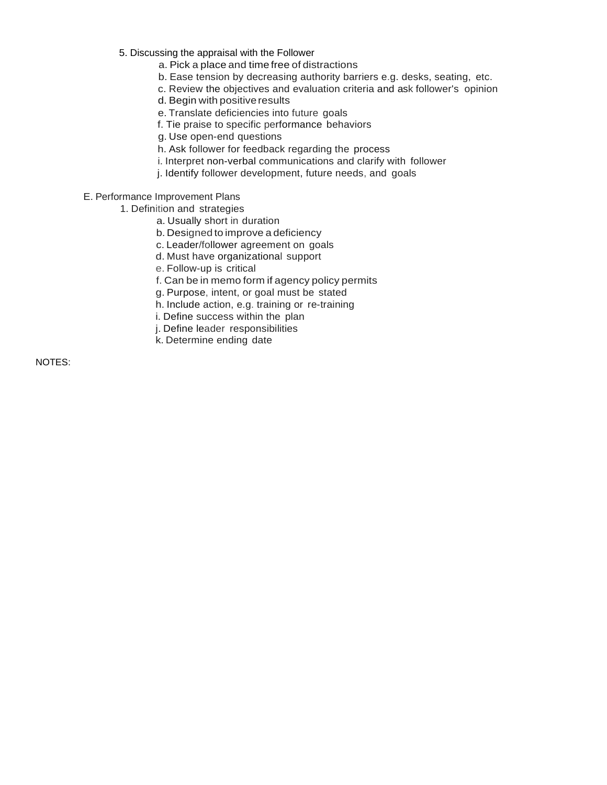- 5. Discussing the appraisal with the Follower
	- a. Pick a place and time free of distractions
	- b. Ease tension by decreasing authority barriers e.g. desks, seating, etc.
	- c. Review the objectives and evaluation criteria and ask follower's opinion
	- d. Begin with positive results
	- e. Translate deficiencies into future goals
	- f. Tie praise to specific performance behaviors
	- g. Use open-end questions
	- h. Ask follower for feedback regarding the process
	- i. Interpret non-verbal communications and clarify with follower
	- j. Identify follower development, future needs, and goals
- E. Performance Improvement Plans
	- 1. Definition and strategies
		- a. Usually short in duration
		- b. Designed to improve a deficiency
		- c. Leader/follower agreement on goals
		- d. Must have organizational support
		- e. Follow-up is critical
		- f. Can be in memo form if agency policy permits
		- g. Purpose, intent, or goal must be stated
		- h. Include action, e.g. training or re-training
		- i. Define success within the plan
		- j. Define leader responsibilities
		- k. Determine ending date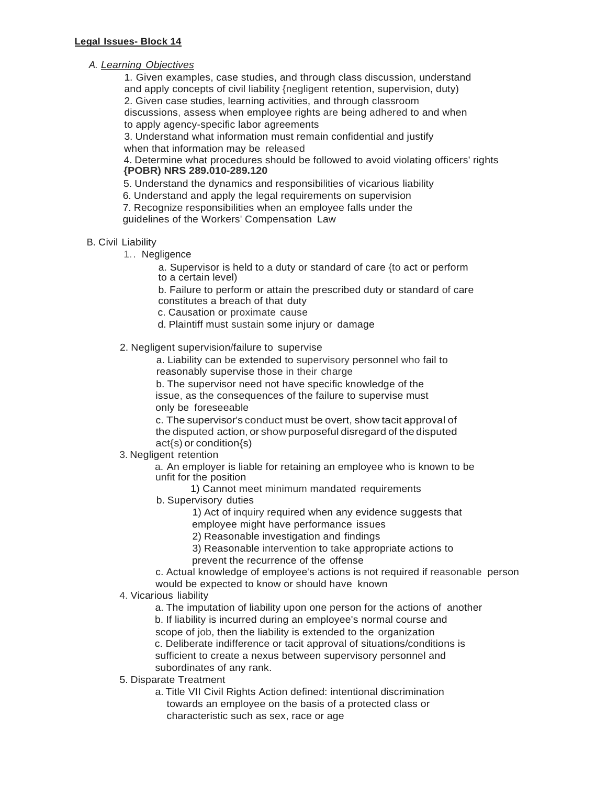## *A. Learning Objectives*

1. Given examples, case studies, and through class discussion, understand and apply concepts of civil liability {negligent retention, supervision, duty) 2. Given case studies, learning activities, and through classroom discussions, assess when employee rights are being adhered to and when to apply agency-specific labor agreements

3. Understand what information must remain confidential and justify when that information may be released

4. Determine what procedures should be followed to avoid violating officers' rights **{POBR) NRS 289.010-289.120**

5. Understand the dynamics and responsibilities of vicarious liability

6. Understand and apply the legal requirements on supervision

7. Recognize responsibilities when an employee falls under the guidelines of the Workers' Compensation Law

#### B. Civil Liability

1.. Negligence

a. Supervisor is held to a duty or standard of care {to act or perform to a certain level)

b. Failure to perform or attain the prescribed duty or standard of care constitutes a breach of that duty

c. Causation or proximate cause

d. Plaintiff must sustain some injury or damage

2. Negligent supervision/failure to supervise

a. Liability can be extended to supervisory personnel who fail to reasonably supervise those in their charge

b. The supervisor need not have specific knowledge of the issue, as the consequences of the failure to supervise must only be foreseeable

c. The supervisor's conduct must be overt, show tacit approval of the disputed action, or show purposeful disregard of the disputed act{s) or condition{s)

3. Negligent retention

a. An employer is liable for retaining an employee who is known to be unfit for the position

1) Cannot meet minimum mandated requirements

- b. Supervisory duties
	- 1) Act of inquiry required when any evidence suggests that
	- employee might have performance issues
	- 2) Reasonable investigation and findings
	- 3) Reasonable intervention to take appropriate actions to prevent the recurrence of the offense

c. Actual knowledge of employee's actions is not required if reasonable person would be expected to know or should have known

4. Vicarious liability

a. The imputation of liability upon one person for the actions of another b. If liability is incurred during an employee's normal course and scope of job, then the liability is extended to the organization

c. Deliberate indifference or tacit approval of situations/conditions is sufficient to create a nexus between supervisory personnel and subordinates of any rank.

- 5. Disparate Treatment
	- a. Title VII Civil Rights Action defined: intentional discrimination towards an employee on the basis of a protected class or characteristic such as sex, race or age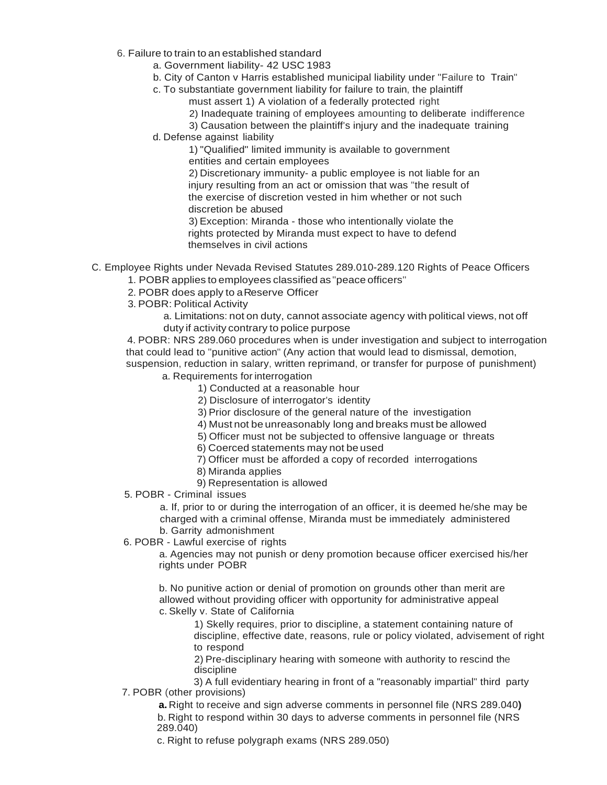- 6. Failure to train to an established standard
	- a. Government liability- 42 USC 1983
	- b. City of Canton v Harris established municipal liability under "Failure to Train"
	- c. To substantiate government liability for failure to train, the plaintiff must assert 1) A violation of a federally protected right
		- 2) Inadequate training of employees amounting to deliberate indifference
		- 3) Causation between the plaintiff's injury and the inadequate training
	- d. Defense against liability

1) "Qualified" limited immunity is available to government entities and certain employees

2) Discretionary immunity- a public employee is not liable for an injury resulting from an act or omission that was "the result of the exercise of discretion vested in him whether or not such discretion be abused

3) Exception: Miranda - those who intentionally violate the rights protected by Miranda must expect to have to defend themselves in civil actions

- C. Employee Rights under Nevada Revised Statutes 289.010-289.120 Rights of Peace Officers
	- 1. POBR applies to employees classified as"peace officers"
	- 2. POBR does apply to a Reserve Officer
	- 3. POBR: Political Activity
		- a. Limitations: not on duty, cannot associate agency with political views, not off duty if activity contrary to police purpose

4. POBR: NRS 289.060 procedures when is under investigation and subject to interrogation that could lead to "punitive action" (Any action that would lead to dismissal, demotion, suspension, reduction in salary, written reprimand, or transfer for purpose of punishment)

a. Requirements for interrogation

1) Conducted at a reasonable hour

2) Disclosure of interrogator's identity

- 3) Prior disclosure of the general nature of the investigation
- 4) Must not be unreasonably long and breaks must be allowed
- 5) Officer must not be subjected to offensive language or threats

6) Coerced statements may not be used

- 7) Officer must be afforded a copy of recorded interrogations
- 8) Miranda applies

9) Representation is allowed

5. POBR - Criminal issues

a. If, prior to or during the interrogation of an officer, it is deemed he/she may be charged with a criminal offense, Miranda must be immediately administered

### b. Garrity admonishment

6. POBR - Lawful exercise of rights

a. Agencies may not punish or deny promotion because officer exercised his/her rights under POBR

b. No punitive action or denial of promotion on grounds other than merit are allowed without providing officer with opportunity for administrative appeal c. Skelly v. State of California

1) Skelly requires, prior to discipline, a statement containing nature of discipline, effective date, reasons, rule or policy violated, advisement of right to respond

2) Pre-disciplinary hearing with someone with authority to rescind the discipline

3) A full evidentiary hearing in front of a "reasonably impartial" third party 7. POBR (other provisions)

**a.** Right to receive and sign adverse comments in personnel file (NRS 289.040**)** b. Right to respond within 30 days to adverse comments in personnel file (NRS 289.040)

c. Right to refuse polygraph exams (NRS 289.050)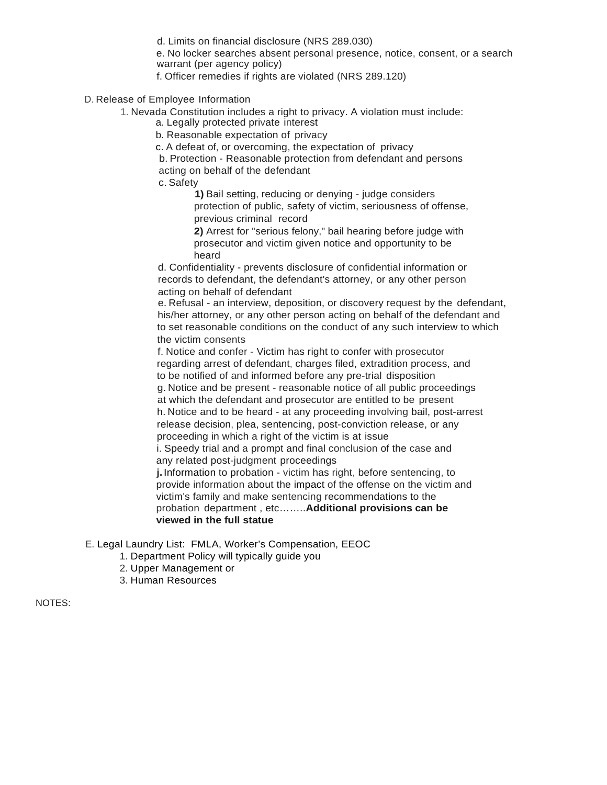d. Limits on financial disclosure (NRS 289.030)

e. No locker searches absent personal presence, notice, consent, or a search warrant (per agency policy)

f. Officer remedies if rights are violated (NRS 289.120)

D. Release of Employee Information

1. Nevada Constitution includes a right to privacy. A violation must include:

a. Legally protected private interest

b. Reasonable expectation of privacy

c. A defeat of, or overcoming, the expectation of privacy

b. Protection - Reasonable protection from defendant and persons acting on behalf of the defendant

c. Safety

**1)** Bail setting, reducing or denying - judge considers protection of public, safety of victim, seriousness of offense, previous criminal record

**2)** Arrest for "serious felony," bail hearing before judge with prosecutor and victim given notice and opportunity to be heard

d. Confidentiality - prevents disclosure of confidential information or records to defendant, the defendant's attorney, or any other person acting on behalf of defendant

e. Refusal - an interview, deposition, or discovery request by the defendant, his/her attorney, or any other person acting on behalf of the defendant and to set reasonable conditions on the conduct of any such interview to which the victim consents

f. Notice and confer - Victim has right to confer with prosecutor regarding arrest of defendant, charges filed, extradition process, and to be notified of and informed before any pre-trial disposition

g. Notice and be present - reasonable notice of all public proceedings at which the defendant and prosecutor are entitled to be present

h. Notice and to be heard - at any proceeding involving bail, post-arrest release decision, plea, sentencing, post-conviction release, or any proceeding in which a right of the victim is at issue

i. Speedy trial and a prompt and final conclusion of the case and any related post-judgment proceedings

**j.**Information to probation - victim has right, before sentencing, to provide information about the impact of the offense on the victim and victim's family and make sentencing recommendations to the probation department , etc……..**Additional provisions can be viewed in the full statue**

E. Legal Laundry List: FMLA, Worker's Compensation, EEOC

- 1. Department Policy will typically guide you
- 2. Upper Management or
- 3. Human Resources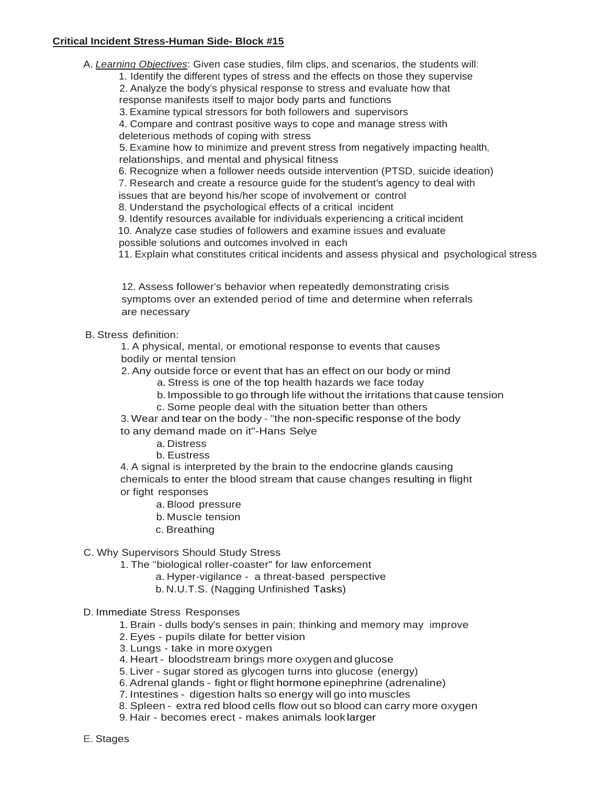# **Critical Incident Stress-Human Side- Block #15**

A. *Learning Objectives*: Given case studies, film clips, and scenarios, the students will:

1. Identify the different types of stress and the effects on those they supervise

2. Analyze the body's physical response to stress and evaluate how that response manifests itself to major body parts and functions

3. Examine typical stressors for both followers and supervisors

4. Compare and contrast positive ways to cope and manage stress with deleterious methods of coping with stress

5. Examine how to minimize and prevent stress from negatively impacting health, relationships, and mental and physical fitness

6. Recognize when a follower needs outside intervention (PTSD, suicide ideation)

7. Research and create a resource guide for the student's agency to deal with

issues that are beyond his/her scope of involvement or control

8. Understand the psychological effects of a critical incident

9. Identify resources available for individuals experiencing a critical incident

10. Analyze case studies of followers and examine issues and evaluate

possible solutions and outcomes involved in each

11. Explain what constitutes critical incidents and assess physical and psychological stress

12. Assess follower's behavior when repeatedly demonstrating crisis symptoms over an extended period of time and determine when referrals are necessary

### B. Stress definition:

1. A physical, mental, or emotional response to events that causes bodily or mental tension

2. Any outside force or event that has an effect on our body or mind

a. Stress is one of the top health hazards we face today

b. Impossible to go through life without the irritations that cause tension

c. Some people deal with the situation better than others

3. Wear and tear on the body - "the non-specific response of the body to any demand made on it"-Hans Selye

a. Distress

b. Eustress

4. A signal is interpreted by the brain to the endocrine glands causing chemicals to enter the blood stream that cause changes resulting in flight or fight responses

a. Blood pressure

- b. Muscle tension
- c. Breathing

C. Why Supervisors Should Study Stress

1. The "biological roller-coaster" for law enforcement

a. Hyper-vigilance - a threat-based perspective

b. N.U.T.S. (Nagging Unfinished Tasks)

# D. Immediate Stress Responses

1. Brain - dulls body's senses in pain; thinking and memory may improve

2. Eyes - pupils dilate for better vision

3. Lungs - take in more oxygen

4. Heart - bloodstream brings more oxygen and glucose

5. Liver - sugar stored as glycogen turns into glucose (energy)

6. Adrenal glands - fight or flight hormone epinephrine (adrenaline)

7. Intestines - digestion halts so energy will go into muscles

8. Spleen - extra red blood cells flow out so blood can carry more oxygen

9. Hair - becomes erect - makes animals look larger

E. Stages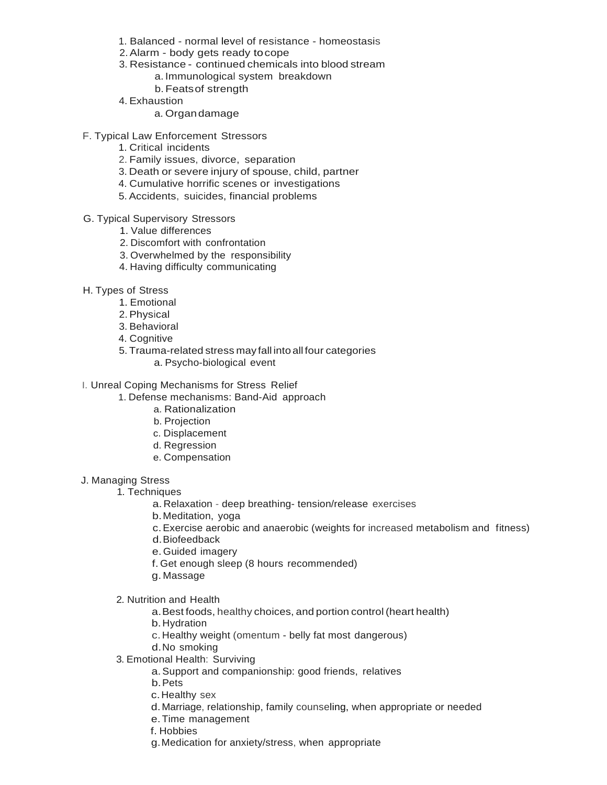- 1. Balanced normal level of resistance homeostasis
- 2.Alarm body gets ready tocope
- 3. Resistance continued chemicals into blood stream
	- a. Immunological system breakdown
	- b.Featsof strength
- 4. Exhaustion
	- a. Organdamage
- F. Typical Law Enforcement Stressors
	- 1. Critical incidents
	- 2. Family issues, divorce, separation
	- 3. Death or severe injury of spouse, child, partner
	- 4. Cumulative horrific scenes or investigations
	- 5. Accidents, suicides, financial problems
- G. Typical Supervisory Stressors
	- 1. Value differences
	- 2. Discomfort with confrontation
	- 3. Overwhelmed by the responsibility
	- 4. Having difficulty communicating
- H. Types of Stress
	- 1. Emotional
	- 2.Physical
	- 3. Behavioral
	- 4. Cognitive
	- 5. Trauma-related stress may fall into all four categories
		- a. Psycho-biological event
- I. Unreal Coping Mechanisms for Stress Relief
	- 1. Defense mechanisms: Band-Aid approach
		- a. Rationalization
		- b. Projection
		- c. Displacement
		- d. Regression
		- e. Compensation
- J. Managing Stress
	- 1. Techniques
		- a.Relaxation deep breathing- tension/release exercises
		- b.Meditation, yoga
		- c.Exercise aerobic and anaerobic (weights for increased metabolism and fitness)
		- d.Biofeedback
		- e.Guided imagery
		- f. Get enough sleep (8 hours recommended)
		- g. Massage
	- 2. Nutrition and Health
		- a.Best foods, healthy choices, and portion control (heart health)
		- b.Hydration
		- c.Healthy weight (omentum belly fat most dangerous)
		- d.No smoking
	- 3. Emotional Health: Surviving
		- a.Support and companionship: good friends, relatives
		- b.Pets
		- c.Healthy sex
		- d.Marriage, relationship, family counseling, when appropriate or needed
		- e.Time management
		- f. Hobbies
		- g.Medication for anxiety/stress, when appropriate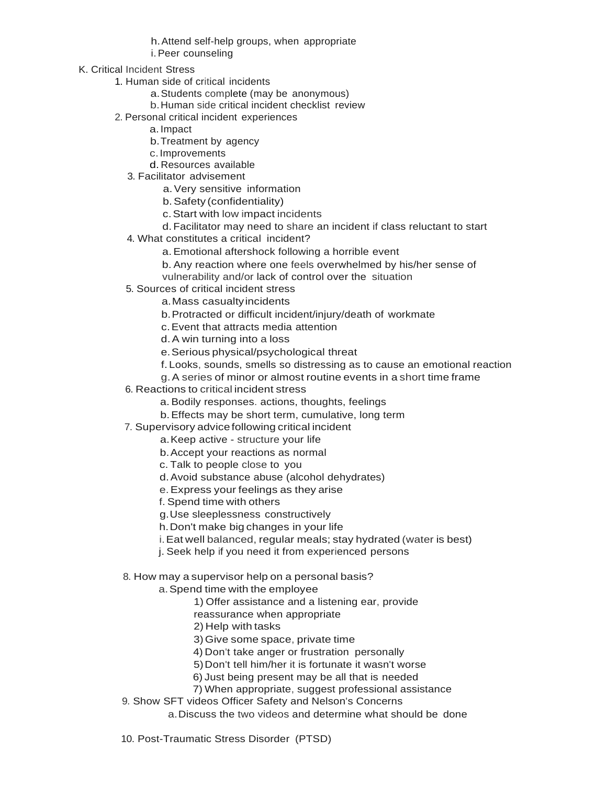h.Attend self-help groups, when appropriate i.Peer counseling

- K. Critical Incident Stress
	- 1. Human side of critical incidents
		- a.Students complete (may be anonymous)
		- b.Human side critical incident checklist review
	- 2. Personal critical incident experiences
		- a.Impact
		- b.Treatment by agency
		- c.Improvements
		- d. Resources available
		- 3. Facilitator advisement
			- a.Very sensitive information
			- b.Safety (confidentiality)
			- c.Start with low impact incidents
			- d.Facilitator may need to share an incident if class reluctant to start
		- 4. What constitutes a critical incident?
			- a.Emotional aftershock following a horrible event
			- b. Any reaction where one feels overwhelmed by his/her sense of
			- vulnerability and/or lack of control over the situation
		- 5. Sources of critical incident stress
			- a.Mass casualtyincidents
			- b.Protracted or difficult incident/injury/death of workmate
			- c.Event that attracts media attention
			- d. A win turning into a loss
			- e.Serious physical/psychological threat
			- f. Looks, sounds, smells so distressing as to cause an emotional reaction
			- g.A series of minor or almost routine events in a short time frame
		- 6. Reactions to critical incident stress
			- a.Bodily responses. actions, thoughts, feelings
			- b.Effects may be short term, cumulative, long term
		- 7. Supervisory advicefollowing critical incident
			- a.Keep active structure your life
			- b.Accept your reactions as normal
			- c. Talk to people close to you
			- d.Avoid substance abuse (alcohol dehydrates)
			- e.Express your feelings as they arise
			- f.Spend time with others
			- g.Use sleeplessness constructively
			- h.Don't make big changes in your life
			- i.Eat well balanced, regular meals; stay hydrated (water is best)
			- j. Seek help if you need it from experienced persons
		- 8. How may a supervisor help on a personal basis?
			- a.Spend time with the employee
				- 1) Offer assistance and a listening ear, provide
				- reassurance when appropriate
				- 2) Help with tasks
				- 3)Give some space, private time
				- 4) Don't take anger or frustration personally
				- 5)Don't tell him/her it is fortunate it wasn't worse
				- 6) Just being present may be all that is needed
				- 7) When appropriate, suggest professional assistance
		- 9. Show SFT videos Officer Safety and Nelson's Concerns
			- a.Discuss the two videos and determine what should be done
	- 10. Post-Traumatic Stress Disorder (PTSD)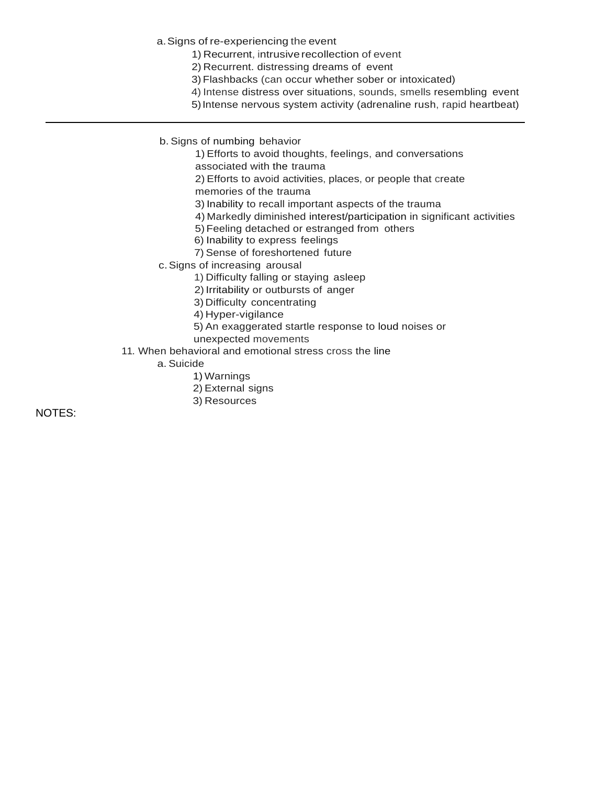a.Signs of re-experiencing the event

- 1) Recurrent, intrusive recollection of event
- 2) Recurrent. distressing dreams of event
- 3) Flashbacks (can occur whether sober or intoxicated)
- 4) Intense distress over situations, sounds, smells resembling event
- 5)Intense nervous system activity (adrenaline rush, rapid heartbeat)
- b. Signs of numbing behavior
	- 1) Efforts to avoid thoughts, feelings, and conversations associated with the trauma
	- 2) Efforts to avoid activities, places, or people that create
	- memories of the trauma
	- 3) Inability to recall important aspects of the trauma
	- 4) Markedly diminished interest/participation in significant activities
	- 5) Feeling detached or estranged from others
	- 6) Inability to express feelings
	- 7) Sense of foreshortened future
- c.Signs of increasing arousal
	- 1) Difficulty falling or staying asleep
	- 2) Irritability or outbursts of anger
	- 3) Difficulty concentrating
	- 4) Hyper-vigilance
	- 5) An exaggerated startle response to loud noises or
	- unexpected movements
- 11. When behavioral and emotional stress cross the line
	- a. Suicide
		- 1) Warnings
		- 2) External signs
		- 3) Resources

NOTES: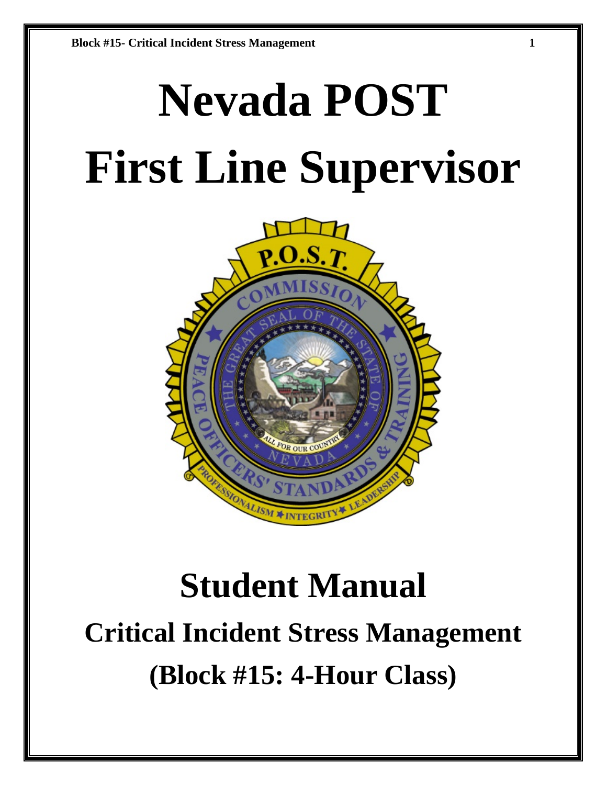# **Nevada POST First Line Supervisor**



# **Student Manual Critical Incident Stress Management (Block #15: 4-Hour Class)**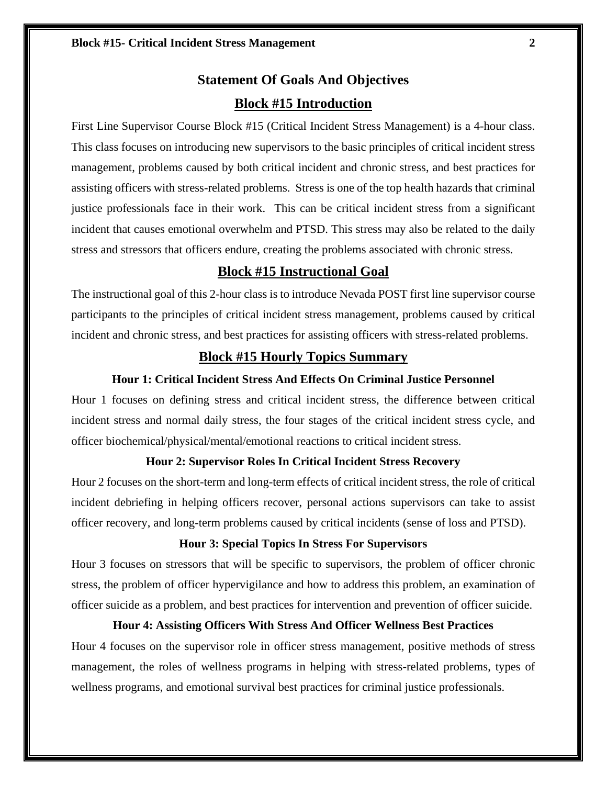# **Statement Of Goals And Objectives Block #15 Introduction**

First Line Supervisor Course Block #15 (Critical Incident Stress Management) is a 4-hour class. This class focuses on introducing new supervisors to the basic principles of critical incident stress management, problems caused by both critical incident and chronic stress, and best practices for assisting officers with stress-related problems. Stress is one of the top health hazards that criminal justice professionals face in their work. This can be critical incident stress from a significant incident that causes emotional overwhelm and PTSD. This stress may also be related to the daily stress and stressors that officers endure, creating the problems associated with chronic stress.

# **Block #15 Instructional Goal**

The instructional goal of this 2-hour class is to introduce Nevada POST first line supervisor course participants to the principles of critical incident stress management, problems caused by critical incident and chronic stress, and best practices for assisting officers with stress-related problems.

# **Block #15 Hourly Topics Summary**

### **Hour 1: Critical Incident Stress And Effects On Criminal Justice Personnel**

Hour 1 focuses on defining stress and critical incident stress, the difference between critical incident stress and normal daily stress, the four stages of the critical incident stress cycle, and officer biochemical/physical/mental/emotional reactions to critical incident stress.

# **Hour 2: Supervisor Roles In Critical Incident Stress Recovery**

Hour 2 focuses on the short-term and long-term effects of critical incident stress, the role of critical incident debriefing in helping officers recover, personal actions supervisors can take to assist officer recovery, and long-term problems caused by critical incidents (sense of loss and PTSD).

### **Hour 3: Special Topics In Stress For Supervisors**

Hour 3 focuses on stressors that will be specific to supervisors, the problem of officer chronic stress, the problem of officer hypervigilance and how to address this problem, an examination of officer suicide as a problem, and best practices for intervention and prevention of officer suicide.

### **Hour 4: Assisting Officers With Stress And Officer Wellness Best Practices**

Hour 4 focuses on the supervisor role in officer stress management, positive methods of stress management, the roles of wellness programs in helping with stress-related problems, types of wellness programs, and emotional survival best practices for criminal justice professionals.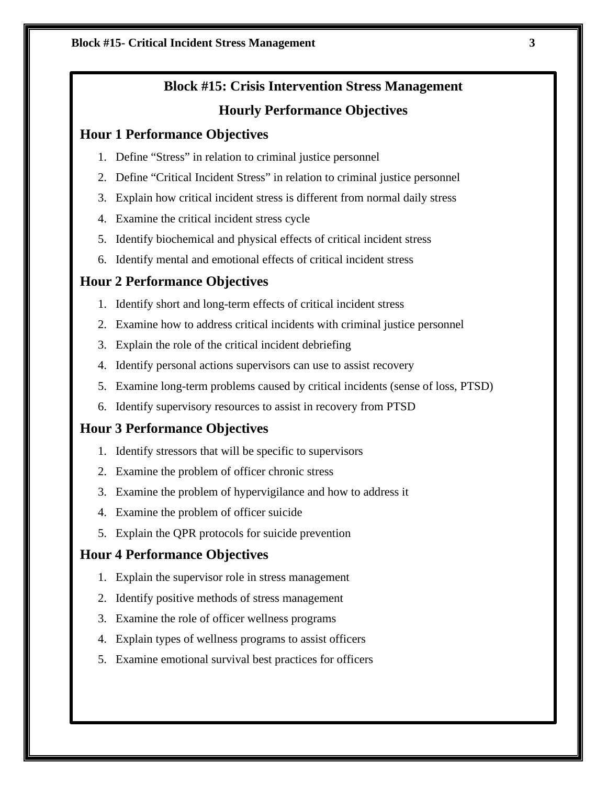# **Block #15: Crisis Intervention Stress Management**

# **Hourly Performance Objectives**

# **Hour 1 Performance Objectives**

- 1. Define "Stress" in relation to criminal justice personnel
- 2. Define "Critical Incident Stress" in relation to criminal justice personnel
- 3. Explain how critical incident stress is different from normal daily stress
- 4. Examine the critical incident stress cycle
- 5. Identify biochemical and physical effects of critical incident stress
- 6. Identify mental and emotional effects of critical incident stress

# **Hour 2 Performance Objectives**

- 1. Identify short and long-term effects of critical incident stress
- 2. Examine how to address critical incidents with criminal justice personnel
- 3. Explain the role of the critical incident debriefing
- 4. Identify personal actions supervisors can use to assist recovery
- 5. Examine long-term problems caused by critical incidents (sense of loss, PTSD)
- 6. Identify supervisory resources to assist in recovery from PTSD

# **Hour 3 Performance Objectives**

- 1. Identify stressors that will be specific to supervisors
- 2. Examine the problem of officer chronic stress
- 3. Examine the problem of hypervigilance and how to address it
- 4. Examine the problem of officer suicide
- 5. Explain the QPR protocols for suicide prevention

# **Hour 4 Performance Objectives**

- 1. Explain the supervisor role in stress management
- 2. Identify positive methods of stress management
- 3. Examine the role of officer wellness programs
- 4. Explain types of wellness programs to assist officers
- 5. Examine emotional survival best practices for officers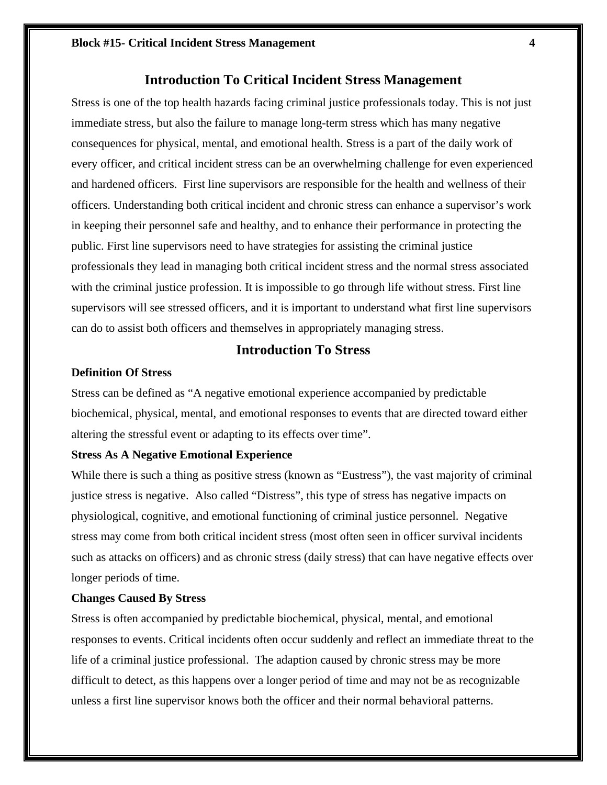# **Introduction To Critical Incident Stress Management**

Stress is one of the top health hazards facing criminal justice professionals today. This is not just immediate stress, but also the failure to manage long-term stress which has many negative consequences for physical, mental, and emotional health. Stress is a part of the daily work of every officer, and critical incident stress can be an overwhelming challenge for even experienced and hardened officers. First line supervisors are responsible for the health and wellness of their officers. Understanding both critical incident and chronic stress can enhance a supervisor's work in keeping their personnel safe and healthy, and to enhance their performance in protecting the public. First line supervisors need to have strategies for assisting the criminal justice professionals they lead in managing both critical incident stress and the normal stress associated with the criminal justice profession. It is impossible to go through life without stress. First line supervisors will see stressed officers, and it is important to understand what first line supervisors can do to assist both officers and themselves in appropriately managing stress.

# **Introduction To Stress**

# **Definition Of Stress**

Stress can be defined as "A negative emotional experience accompanied by predictable biochemical, physical, mental, and emotional responses to events that are directed toward either altering the stressful event or adapting to its effects over time".

# **Stress As A Negative Emotional Experience**

While there is such a thing as positive stress (known as "Eustress"), the vast majority of criminal justice stress is negative. Also called "Distress", this type of stress has negative impacts on physiological, cognitive, and emotional functioning of criminal justice personnel. Negative stress may come from both critical incident stress (most often seen in officer survival incidents such as attacks on officers) and as chronic stress (daily stress) that can have negative effects over longer periods of time.

### **Changes Caused By Stress**

Stress is often accompanied by predictable biochemical, physical, mental, and emotional responses to events. Critical incidents often occur suddenly and reflect an immediate threat to the life of a criminal justice professional. The adaption caused by chronic stress may be more difficult to detect, as this happens over a longer period of time and may not be as recognizable unless a first line supervisor knows both the officer and their normal behavioral patterns.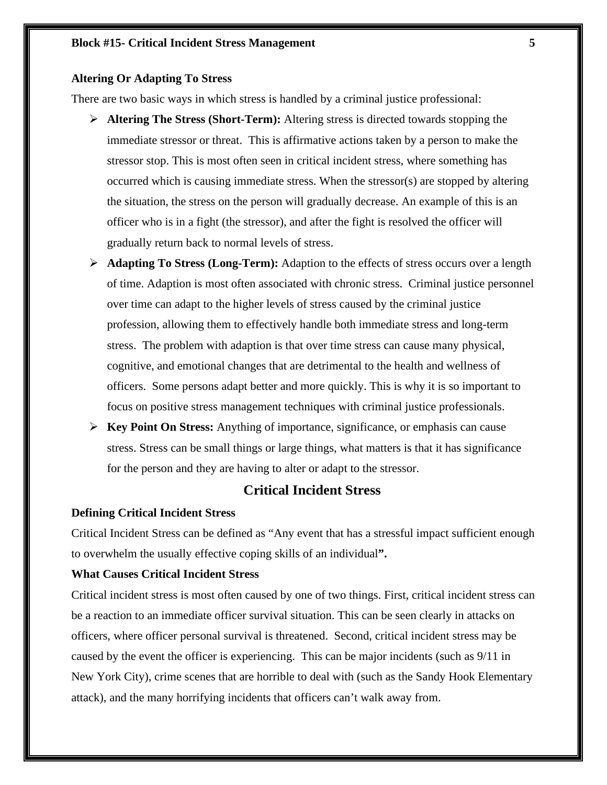# **Altering Or Adapting To Stress**

There are two basic ways in which stress is handled by a criminal justice professional:

- **Altering The Stress (Short-Term):** Altering stress is directed towards stopping the immediate stressor or threat. This is affirmative actions taken by a person to make the stressor stop. This is most often seen in critical incident stress, where something has occurred which is causing immediate stress. When the stressor(s) are stopped by altering the situation, the stress on the person will gradually decrease. An example of this is an officer who is in a fight (the stressor), and after the fight is resolved the officer will gradually return back to normal levels of stress.
- **Adapting To Stress (Long-Term):** Adaption to the effects of stress occurs over a length of time. Adaption is most often associated with chronic stress. Criminal justice personnel over time can adapt to the higher levels of stress caused by the criminal justice profession, allowing them to effectively handle both immediate stress and long-term stress. The problem with adaption is that over time stress can cause many physical, cognitive, and emotional changes that are detrimental to the health and wellness of officers. Some persons adapt better and more quickly. This is why it is so important to focus on positive stress management techniques with criminal justice professionals.
- **Key Point On Stress:** Anything of importance, significance, or emphasis can cause stress. Stress can be small things or large things, what matters is that it has significance for the person and they are having to alter or adapt to the stressor.

# **Critical Incident Stress**

# **Defining Critical Incident Stress**

Critical Incident Stress can be defined as "Any event that has a stressful impact sufficient enough to overwhelm the usually effective coping skills of an individual**".**

# **What Causes Critical Incident Stress**

Critical incident stress is most often caused by one of two things. First, critical incident stress can be a reaction to an immediate officer survival situation. This can be seen clearly in attacks on officers, where officer personal survival is threatened. Second, critical incident stress may be caused by the event the officer is experiencing. This can be major incidents (such as 9/11 in New York City), crime scenes that are horrible to deal with (such as the Sandy Hook Elementary attack), and the many horrifying incidents that officers can't walk away from.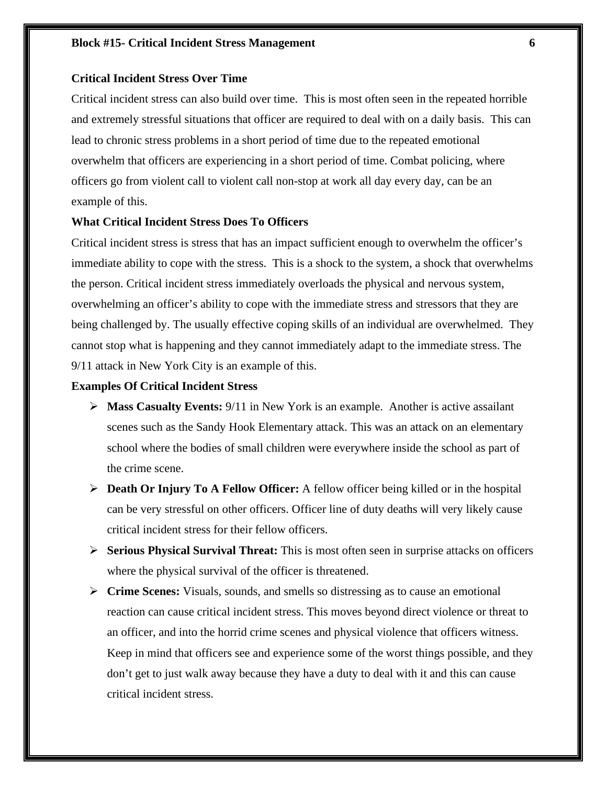# **Critical Incident Stress Over Time**

Critical incident stress can also build over time. This is most often seen in the repeated horrible and extremely stressful situations that officer are required to deal with on a daily basis. This can lead to chronic stress problems in a short period of time due to the repeated emotional overwhelm that officers are experiencing in a short period of time. Combat policing, where officers go from violent call to violent call non-stop at work all day every day, can be an example of this.

### **What Critical Incident Stress Does To Officers**

Critical incident stress is stress that has an impact sufficient enough to overwhelm the officer's immediate ability to cope with the stress. This is a shock to the system, a shock that overwhelms the person. Critical incident stress immediately overloads the physical and nervous system, overwhelming an officer's ability to cope with the immediate stress and stressors that they are being challenged by. The usually effective coping skills of an individual are overwhelmed. They cannot stop what is happening and they cannot immediately adapt to the immediate stress. The 9/11 attack in New York City is an example of this.

## **Examples Of Critical Incident Stress**

- **Mass Casualty Events:** 9/11 in New York is an example. Another is active assailant scenes such as the Sandy Hook Elementary attack. This was an attack on an elementary school where the bodies of small children were everywhere inside the school as part of the crime scene.
- **Death Or Injury To A Fellow Officer:** A fellow officer being killed or in the hospital can be very stressful on other officers. Officer line of duty deaths will very likely cause critical incident stress for their fellow officers.
- **Serious Physical Survival Threat:** This is most often seen in surprise attacks on officers where the physical survival of the officer is threatened.
- **Crime Scenes:** Visuals, sounds, and smells so distressing as to cause an emotional reaction can cause critical incident stress. This moves beyond direct violence or threat to an officer, and into the horrid crime scenes and physical violence that officers witness. Keep in mind that officers see and experience some of the worst things possible, and they don't get to just walk away because they have a duty to deal with it and this can cause critical incident stress.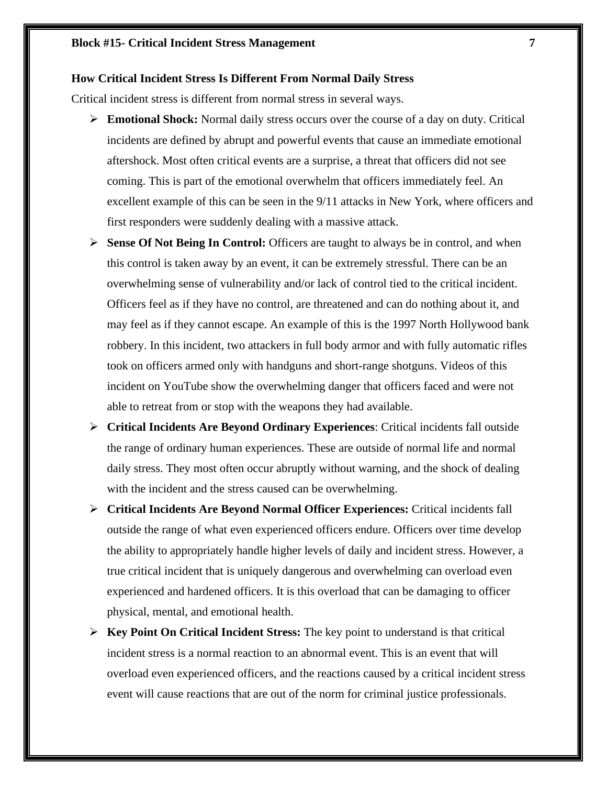### **How Critical Incident Stress Is Different From Normal Daily Stress**

Critical incident stress is different from normal stress in several ways.

- **Emotional Shock:** Normal daily stress occurs over the course of a day on duty. Critical incidents are defined by abrupt and powerful events that cause an immediate emotional aftershock. Most often critical events are a surprise, a threat that officers did not see coming. This is part of the emotional overwhelm that officers immediately feel. An excellent example of this can be seen in the 9/11 attacks in New York, where officers and first responders were suddenly dealing with a massive attack.
- **Sense Of Not Being In Control:** Officers are taught to always be in control, and when this control is taken away by an event, it can be extremely stressful. There can be an overwhelming sense of vulnerability and/or lack of control tied to the critical incident. Officers feel as if they have no control, are threatened and can do nothing about it, and may feel as if they cannot escape. An example of this is the 1997 North Hollywood bank robbery. In this incident, two attackers in full body armor and with fully automatic rifles took on officers armed only with handguns and short-range shotguns. Videos of this incident on YouTube show the overwhelming danger that officers faced and were not able to retreat from or stop with the weapons they had available.
- **Critical Incidents Are Beyond Ordinary Experiences**: Critical incidents fall outside the range of ordinary human experiences. These are outside of normal life and normal daily stress. They most often occur abruptly without warning, and the shock of dealing with the incident and the stress caused can be overwhelming.
- **Critical Incidents Are Beyond Normal Officer Experiences:** Critical incidents fall outside the range of what even experienced officers endure. Officers over time develop the ability to appropriately handle higher levels of daily and incident stress. However, a true critical incident that is uniquely dangerous and overwhelming can overload even experienced and hardened officers. It is this overload that can be damaging to officer physical, mental, and emotional health.
- **Key Point On Critical Incident Stress:** The key point to understand is that critical incident stress is a normal reaction to an abnormal event. This is an event that will overload even experienced officers, and the reactions caused by a critical incident stress event will cause reactions that are out of the norm for criminal justice professionals.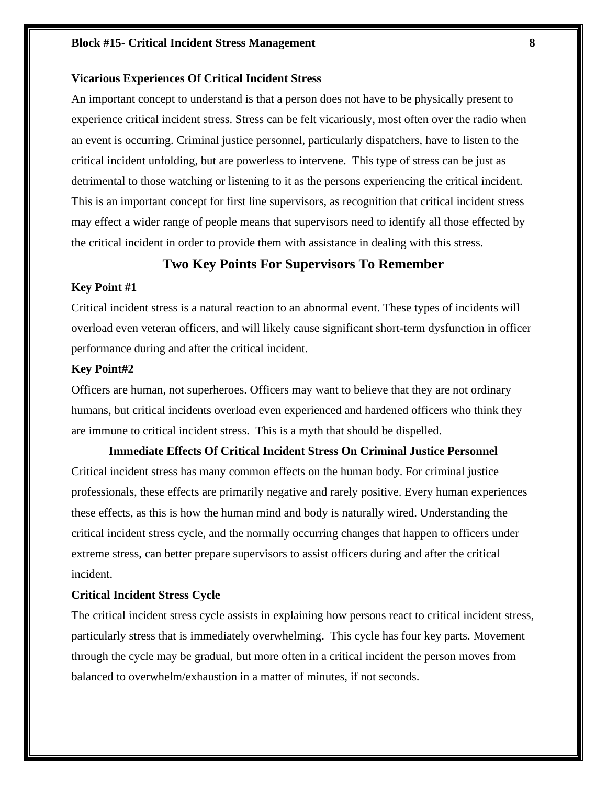### **Block #15- Critical Incident Stress Management 8**

# **Vicarious Experiences Of Critical Incident Stress**

An important concept to understand is that a person does not have to be physically present to experience critical incident stress. Stress can be felt vicariously, most often over the radio when an event is occurring. Criminal justice personnel, particularly dispatchers, have to listen to the critical incident unfolding, but are powerless to intervene. This type of stress can be just as detrimental to those watching or listening to it as the persons experiencing the critical incident. This is an important concept for first line supervisors, as recognition that critical incident stress may effect a wider range of people means that supervisors need to identify all those effected by the critical incident in order to provide them with assistance in dealing with this stress.

# **Two Key Points For Supervisors To Remember**

### **Key Point #1**

Critical incident stress is a natural reaction to an abnormal event. These types of incidents will overload even veteran officers, and will likely cause significant short-term dysfunction in officer performance during and after the critical incident.

### **Key Point#2**

Officers are human, not superheroes. Officers may want to believe that they are not ordinary humans, but critical incidents overload even experienced and hardened officers who think they are immune to critical incident stress. This is a myth that should be dispelled.

**Immediate Effects Of Critical Incident Stress On Criminal Justice Personnel** Critical incident stress has many common effects on the human body. For criminal justice professionals, these effects are primarily negative and rarely positive. Every human experiences these effects, as this is how the human mind and body is naturally wired. Understanding the critical incident stress cycle, and the normally occurring changes that happen to officers under extreme stress, can better prepare supervisors to assist officers during and after the critical incident.

# **Critical Incident Stress Cycle**

The critical incident stress cycle assists in explaining how persons react to critical incident stress, particularly stress that is immediately overwhelming. This cycle has four key parts. Movement through the cycle may be gradual, but more often in a critical incident the person moves from balanced to overwhelm/exhaustion in a matter of minutes, if not seconds.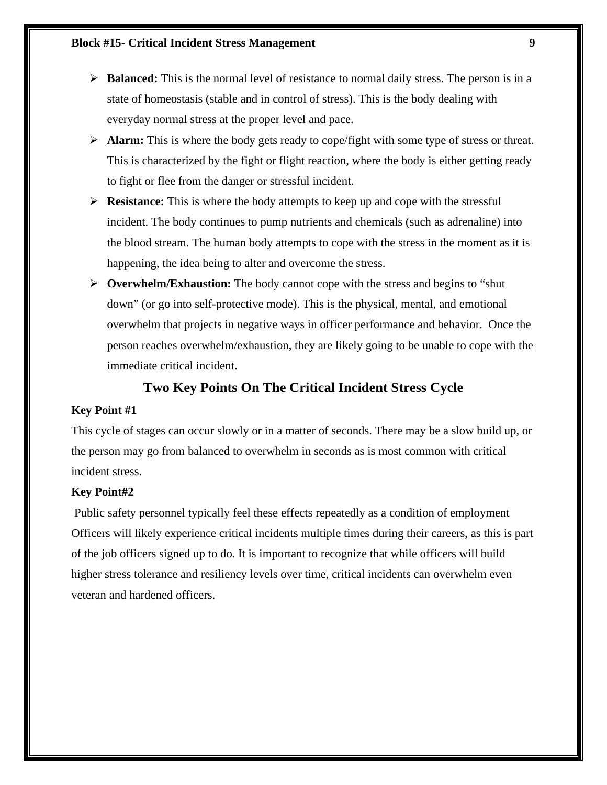- **►** Balanced: This is the normal level of resistance to normal daily stress. The person is in a state of homeostasis (stable and in control of stress). This is the body dealing with everyday normal stress at the proper level and pace.
- **Alarm:** This is where the body gets ready to cope/fight with some type of stress or threat. This is characterized by the fight or flight reaction, where the body is either getting ready to fight or flee from the danger or stressful incident.
- **Resistance:** This is where the body attempts to keep up and cope with the stressful incident. The body continues to pump nutrients and chemicals (such as adrenaline) into the blood stream. The human body attempts to cope with the stress in the moment as it is happening, the idea being to alter and overcome the stress.
- **Overwhelm/Exhaustion:** The body cannot cope with the stress and begins to "shut down" (or go into self-protective mode). This is the physical, mental, and emotional overwhelm that projects in negative ways in officer performance and behavior. Once the person reaches overwhelm/exhaustion, they are likely going to be unable to cope with the immediate critical incident.

# **Two Key Points On The Critical Incident Stress Cycle**

# **Key Point #1**

This cycle of stages can occur slowly or in a matter of seconds. There may be a slow build up, or the person may go from balanced to overwhelm in seconds as is most common with critical incident stress.

# **Key Point#2**

Public safety personnel typically feel these effects repeatedly as a condition of employment Officers will likely experience critical incidents multiple times during their careers, as this is part of the job officers signed up to do. It is important to recognize that while officers will build higher stress tolerance and resiliency levels over time, critical incidents can overwhelm even veteran and hardened officers.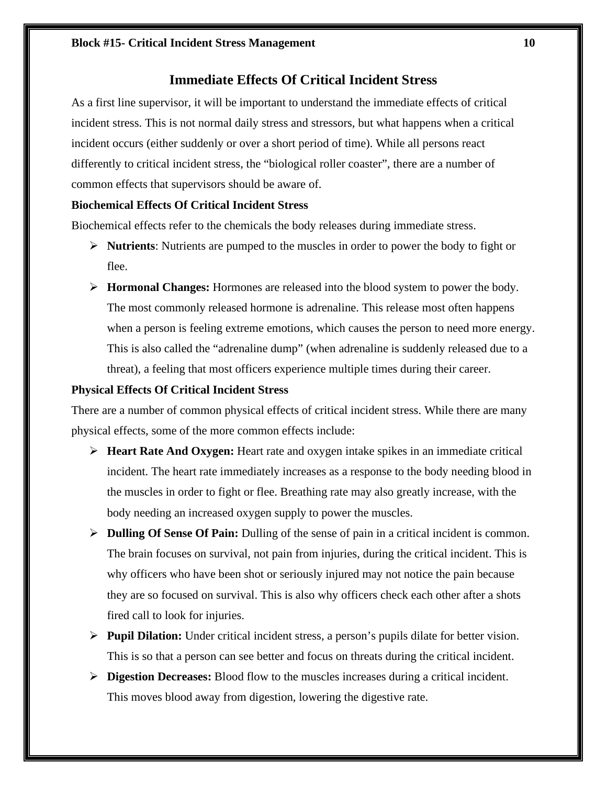# **Immediate Effects Of Critical Incident Stress**

As a first line supervisor, it will be important to understand the immediate effects of critical incident stress. This is not normal daily stress and stressors, but what happens when a critical incident occurs (either suddenly or over a short period of time). While all persons react differently to critical incident stress, the "biological roller coaster", there are a number of common effects that supervisors should be aware of.

# **Biochemical Effects Of Critical Incident Stress**

Biochemical effects refer to the chemicals the body releases during immediate stress.

- **Nutrients**: Nutrients are pumped to the muscles in order to power the body to fight or flee.
- **Hormonal Changes:** Hormones are released into the blood system to power the body. The most commonly released hormone is adrenaline. This release most often happens when a person is feeling extreme emotions, which causes the person to need more energy. This is also called the "adrenaline dump" (when adrenaline is suddenly released due to a threat), a feeling that most officers experience multiple times during their career.

# **Physical Effects Of Critical Incident Stress**

There are a number of common physical effects of critical incident stress. While there are many physical effects, some of the more common effects include:

- **Heart Rate And Oxygen:** Heart rate and oxygen intake spikes in an immediate critical incident. The heart rate immediately increases as a response to the body needing blood in the muscles in order to fight or flee. Breathing rate may also greatly increase, with the body needing an increased oxygen supply to power the muscles.
- **Dulling Of Sense Of Pain:** Dulling of the sense of pain in a critical incident is common. The brain focuses on survival, not pain from injuries, during the critical incident. This is why officers who have been shot or seriously injured may not notice the pain because they are so focused on survival. This is also why officers check each other after a shots fired call to look for injuries.
- **Pupil Dilation:** Under critical incident stress, a person's pupils dilate for better vision. This is so that a person can see better and focus on threats during the critical incident.
- **Digestion Decreases:** Blood flow to the muscles increases during a critical incident. This moves blood away from digestion, lowering the digestive rate.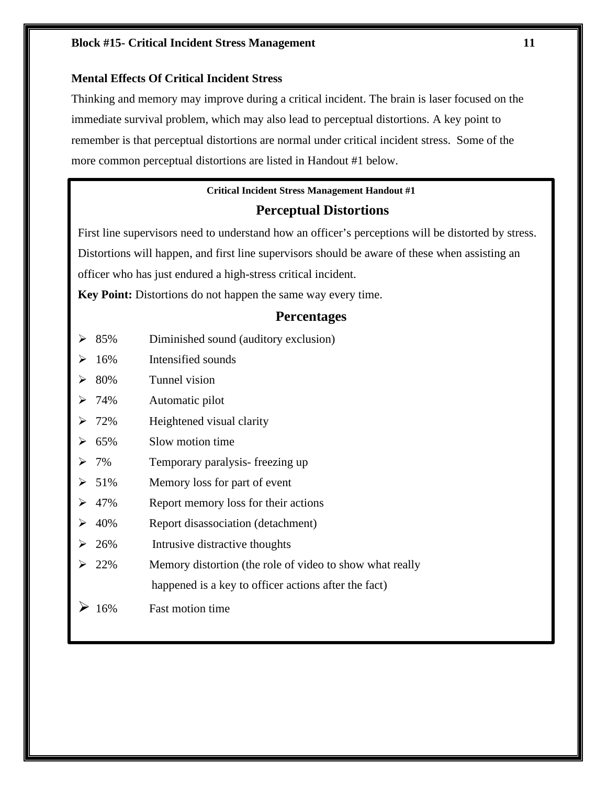# **Block #15-** Critical Incident Stress Management 11

# **Mental Effects Of Critical Incident Stress**

Thinking and memory may improve during a critical incident. The brain is laser focused on the immediate survival problem, which may also lead to perceptual distortions. A key point to remember is that perceptual distortions are normal under critical incident stress. Some of the more common perceptual distortions are listed in Handout #1 below.

# **Critical Incident Stress Management Handout #1**

# **Perceptual Distortions**

First line supervisors need to understand how an officer's perceptions will be distorted by stress. Distortions will happen, and first line supervisors should be aware of these when assisting an officer who has just endured a high-stress critical incident.

**Key Point:** Distortions do not happen the same way every time.

# **Percentages**

- $\geq 85\%$  Diminished sound (auditory exclusion)
- $\geq 16\%$  Intensified sounds
- 80% Tunnel vision
- 74% Automatic pilot
- 72% Heightened visual clarity
- $\geq 65\%$  Slow motion time
- 7% Temporary paralysis- freezing up
- $\geq 51\%$  Memory loss for part of event
- $\geq 47\%$  Report memory loss for their actions
- $\geq 40\%$  Report disassociation (detachment)
- $\geq 26\%$  Intrusive distractive thoughts
- $\geq 22\%$  Memory distortion (the role of video to show what really happened is a key to officer actions after the fact)
- 16% Fast motion time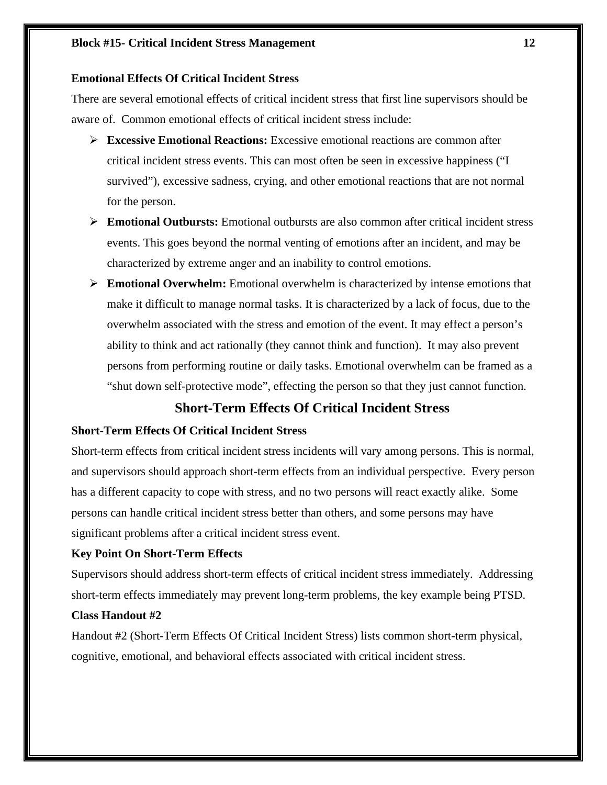# **Block #15- Critical Incident Stress Management** 12

# **Emotional Effects Of Critical Incident Stress**

There are several emotional effects of critical incident stress that first line supervisors should be aware of. Common emotional effects of critical incident stress include:

- **Excessive Emotional Reactions:** Excessive emotional reactions are common after critical incident stress events. This can most often be seen in excessive happiness ("I survived"), excessive sadness, crying, and other emotional reactions that are not normal for the person.
- **Emotional Outbursts:** Emotional outbursts are also common after critical incident stress events. This goes beyond the normal venting of emotions after an incident, and may be characterized by extreme anger and an inability to control emotions.
- **Emotional Overwhelm:** Emotional overwhelm is characterized by intense emotions that make it difficult to manage normal tasks. It is characterized by a lack of focus, due to the overwhelm associated with the stress and emotion of the event. It may effect a person's ability to think and act rationally (they cannot think and function). It may also prevent persons from performing routine or daily tasks. Emotional overwhelm can be framed as a "shut down self-protective mode", effecting the person so that they just cannot function.

# **Short-Term Effects Of Critical Incident Stress**

# **Short-Term Effects Of Critical Incident Stress**

Short-term effects from critical incident stress incidents will vary among persons. This is normal, and supervisors should approach short-term effects from an individual perspective. Every person has a different capacity to cope with stress, and no two persons will react exactly alike. Some persons can handle critical incident stress better than others, and some persons may have significant problems after a critical incident stress event.

# **Key Point On Short-Term Effects**

Supervisors should address short-term effects of critical incident stress immediately. Addressing short-term effects immediately may prevent long-term problems, the key example being PTSD.

# **Class Handout #2**

Handout #2 (Short-Term Effects Of Critical Incident Stress) lists common short-term physical, cognitive, emotional, and behavioral effects associated with critical incident stress.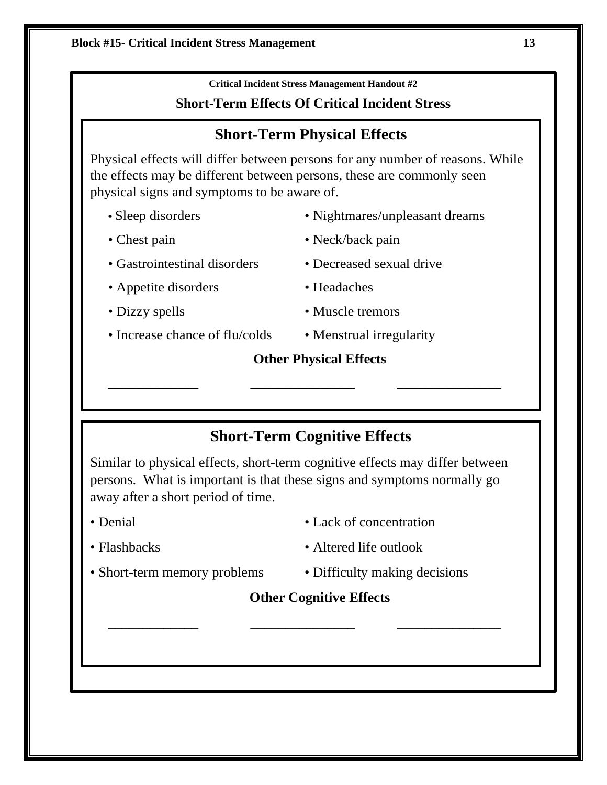**Critical Incident Stress Management Handout #2**

# **Short-Term Effects Of Critical Incident Stress**

# **Short-Term Physical Effects**

Physical effects will differ between persons for any number of reasons. While the effects may be different between persons, these are commonly seen physical signs and symptoms to be aware of.

- 
- Gastrointestinal disorders Decreased sexual drive
- Appetite disorders Headaches
- 
- 
- Sleep disorders Nightmares/unpleasant dreams
- Chest pain Neck/back pain
	-
	-
- Dizzy spells Muscle tremors
- Increase chance of flu/colds Menstrual irregularity

# **Other Physical Effects**

# **Short-Term Cognitive Effects**

\_\_\_\_\_\_\_\_\_\_\_\_\_ \_\_\_\_\_\_\_\_\_\_\_\_\_\_\_ \_\_\_\_\_\_\_\_\_\_\_\_\_\_\_

Similar to physical effects, short-term cognitive effects may differ between persons. What is important is that these signs and symptoms normally go away after a short period of time.

- 
- Denial Lack of concentration
- 
- Flashbacks Altered life outlook
- Short-term memory problems Difficulty making decisions
- 

# **Other Cognitive Effects**

\_\_\_\_\_\_\_\_\_\_\_\_\_ \_\_\_\_\_\_\_\_\_\_\_\_\_\_\_ \_\_\_\_\_\_\_\_\_\_\_\_\_\_\_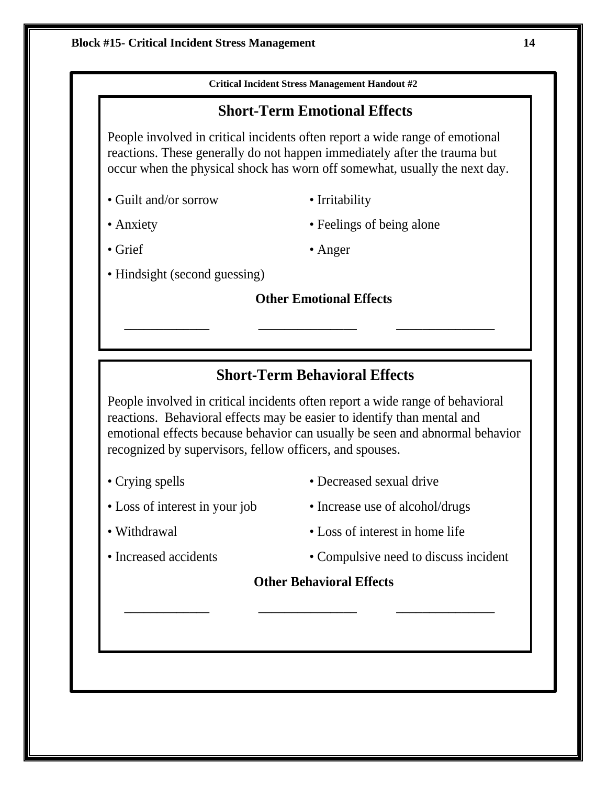

# **Other Behavioral Effects**

\_\_\_\_\_\_\_\_\_\_\_\_\_ \_\_\_\_\_\_\_\_\_\_\_\_\_\_\_ \_\_\_\_\_\_\_\_\_\_\_\_\_\_\_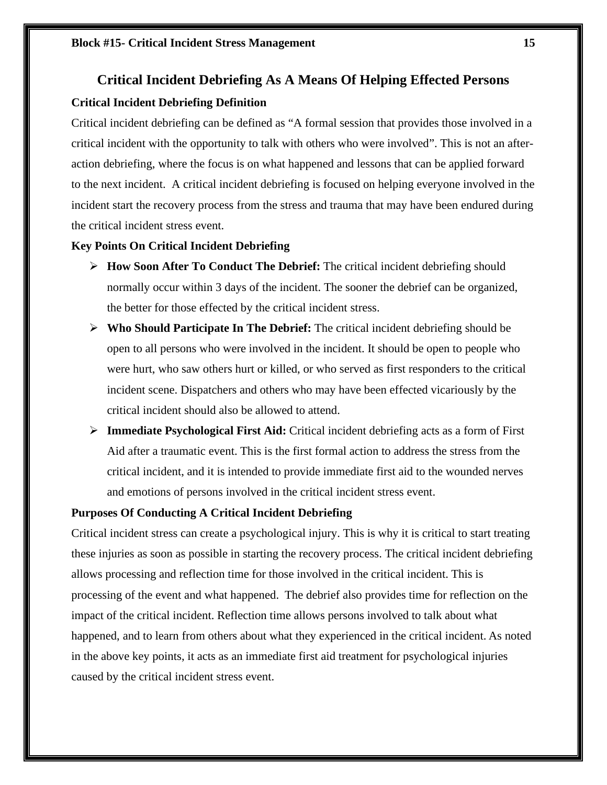# **Critical Incident Debriefing As A Means Of Helping Effected Persons Critical Incident Debriefing Definition**

Critical incident debriefing can be defined as "A formal session that provides those involved in a critical incident with the opportunity to talk with others who were involved". This is not an afteraction debriefing, where the focus is on what happened and lessons that can be applied forward to the next incident. A critical incident debriefing is focused on helping everyone involved in the incident start the recovery process from the stress and trauma that may have been endured during the critical incident stress event.

# **Key Points On Critical Incident Debriefing**

- **How Soon After To Conduct The Debrief:** The critical incident debriefing should normally occur within 3 days of the incident. The sooner the debrief can be organized, the better for those effected by the critical incident stress.
- **Who Should Participate In The Debrief:** The critical incident debriefing should be open to all persons who were involved in the incident. It should be open to people who were hurt, who saw others hurt or killed, or who served as first responders to the critical incident scene. Dispatchers and others who may have been effected vicariously by the critical incident should also be allowed to attend.
- **Immediate Psychological First Aid:** Critical incident debriefing acts as a form of First Aid after a traumatic event. This is the first formal action to address the stress from the critical incident, and it is intended to provide immediate first aid to the wounded nerves and emotions of persons involved in the critical incident stress event.

# **Purposes Of Conducting A Critical Incident Debriefing**

Critical incident stress can create a psychological injury. This is why it is critical to start treating these injuries as soon as possible in starting the recovery process. The critical incident debriefing allows processing and reflection time for those involved in the critical incident. This is processing of the event and what happened. The debrief also provides time for reflection on the impact of the critical incident. Reflection time allows persons involved to talk about what happened, and to learn from others about what they experienced in the critical incident. As noted in the above key points, it acts as an immediate first aid treatment for psychological injuries caused by the critical incident stress event.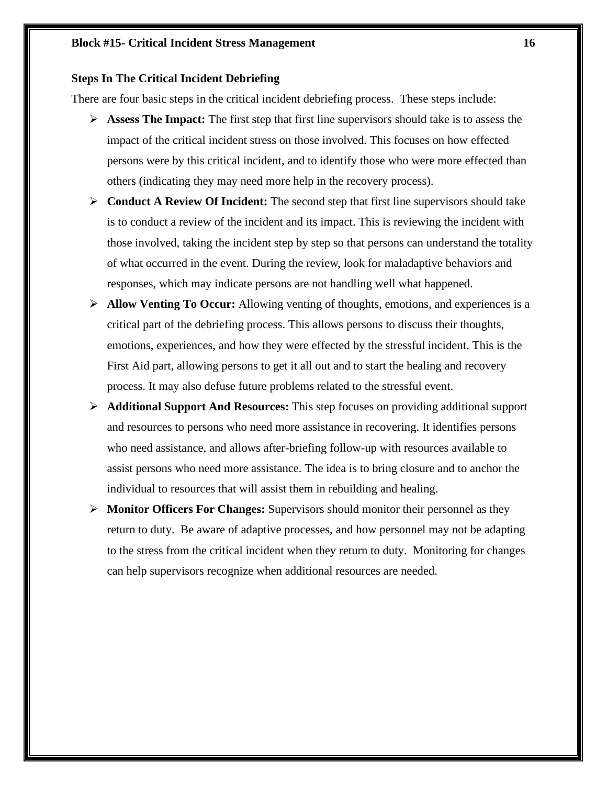# **Steps In The Critical Incident Debriefing**

There are four basic steps in the critical incident debriefing process. These steps include:

- **Assess The Impact:** The first step that first line supervisors should take is to assess the impact of the critical incident stress on those involved. This focuses on how effected persons were by this critical incident, and to identify those who were more effected than others (indicating they may need more help in the recovery process).
- **Conduct A Review Of Incident:** The second step that first line supervisors should take is to conduct a review of the incident and its impact. This is reviewing the incident with those involved, taking the incident step by step so that persons can understand the totality of what occurred in the event. During the review, look for maladaptive behaviors and responses, which may indicate persons are not handling well what happened.
- **Allow Venting To Occur:** Allowing venting of thoughts, emotions, and experiences is a critical part of the debriefing process. This allows persons to discuss their thoughts, emotions, experiences, and how they were effected by the stressful incident. This is the First Aid part, allowing persons to get it all out and to start the healing and recovery process. It may also defuse future problems related to the stressful event.
- **Additional Support And Resources:** This step focuses on providing additional support and resources to persons who need more assistance in recovering. It identifies persons who need assistance, and allows after-briefing follow-up with resources available to assist persons who need more assistance. The idea is to bring closure and to anchor the individual to resources that will assist them in rebuilding and healing.
- **Monitor Officers For Changes:** Supervisors should monitor their personnel as they return to duty. Be aware of adaptive processes, and how personnel may not be adapting to the stress from the critical incident when they return to duty. Monitoring for changes can help supervisors recognize when additional resources are needed.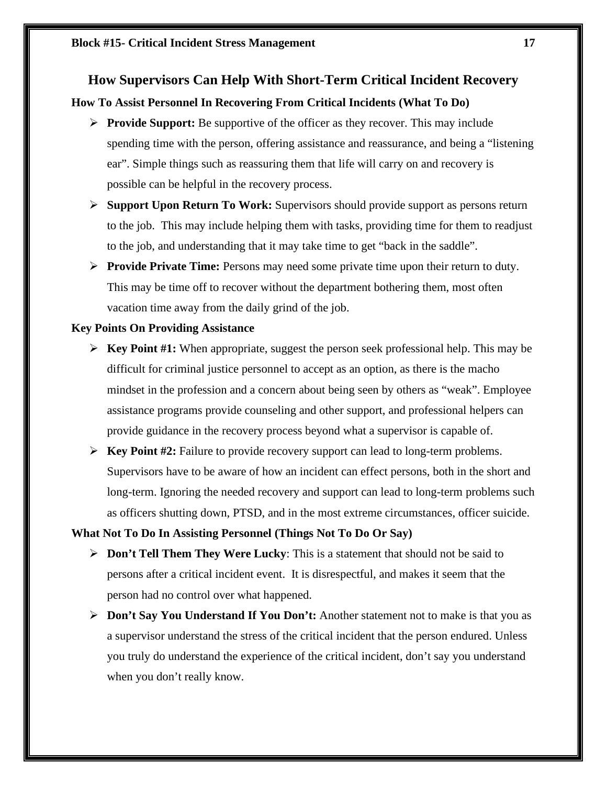# **How Supervisors Can Help With Short-Term Critical Incident Recovery**

# **How To Assist Personnel In Recovering From Critical Incidents (What To Do)**

- **Provide Support:** Be supportive of the officer as they recover. This may include spending time with the person, offering assistance and reassurance, and being a "listening ear". Simple things such as reassuring them that life will carry on and recovery is possible can be helpful in the recovery process.
- **Support Upon Return To Work:** Supervisors should provide support as persons return to the job. This may include helping them with tasks, providing time for them to readjust to the job, and understanding that it may take time to get "back in the saddle".
- **Provide Private Time:** Persons may need some private time upon their return to duty. This may be time off to recover without the department bothering them, most often vacation time away from the daily grind of the job.

# **Key Points On Providing Assistance**

- **Key Point #1:** When appropriate, suggest the person seek professional help. This may be difficult for criminal justice personnel to accept as an option, as there is the macho mindset in the profession and a concern about being seen by others as "weak". Employee assistance programs provide counseling and other support, and professional helpers can provide guidance in the recovery process beyond what a supervisor is capable of.
- **Key Point #2:** Failure to provide recovery support can lead to long-term problems. Supervisors have to be aware of how an incident can effect persons, both in the short and long-term. Ignoring the needed recovery and support can lead to long-term problems such as officers shutting down, PTSD, and in the most extreme circumstances, officer suicide.

# **What Not To Do In Assisting Personnel (Things Not To Do Or Say)**

- **Don't Tell Them They Were Lucky**: This is a statement that should not be said to persons after a critical incident event. It is disrespectful, and makes it seem that the person had no control over what happened.
- **Don't Say You Understand If You Don't:** Another statement not to make is that you as a supervisor understand the stress of the critical incident that the person endured. Unless you truly do understand the experience of the critical incident, don't say you understand when you don't really know.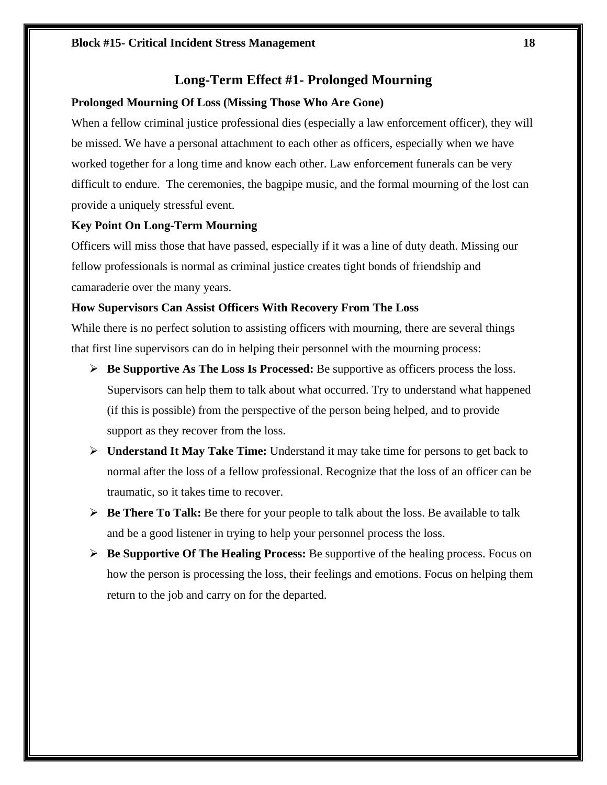# **Long-Term Effect #1- Prolonged Mourning**

### **Prolonged Mourning Of Loss (Missing Those Who Are Gone)**

When a fellow criminal justice professional dies (especially a law enforcement officer), they will be missed. We have a personal attachment to each other as officers, especially when we have worked together for a long time and know each other. Law enforcement funerals can be very difficult to endure. The ceremonies, the bagpipe music, and the formal mourning of the lost can provide a uniquely stressful event.

# **Key Point On Long-Term Mourning**

Officers will miss those that have passed, especially if it was a line of duty death. Missing our fellow professionals is normal as criminal justice creates tight bonds of friendship and camaraderie over the many years.

# **How Supervisors Can Assist Officers With Recovery From The Loss**

While there is no perfect solution to assisting officers with mourning, there are several things that first line supervisors can do in helping their personnel with the mourning process:

- **Be Supportive As The Loss Is Processed:** Be supportive as officers process the loss. Supervisors can help them to talk about what occurred. Try to understand what happened (if this is possible) from the perspective of the person being helped, and to provide support as they recover from the loss.
- **Understand It May Take Time:** Understand it may take time for persons to get back to normal after the loss of a fellow professional. Recognize that the loss of an officer can be traumatic, so it takes time to recover.
- **Be There To Talk:** Be there for your people to talk about the loss. Be available to talk and be a good listener in trying to help your personnel process the loss.
- **Be Supportive Of The Healing Process:** Be supportive of the healing process. Focus on how the person is processing the loss, their feelings and emotions. Focus on helping them return to the job and carry on for the departed.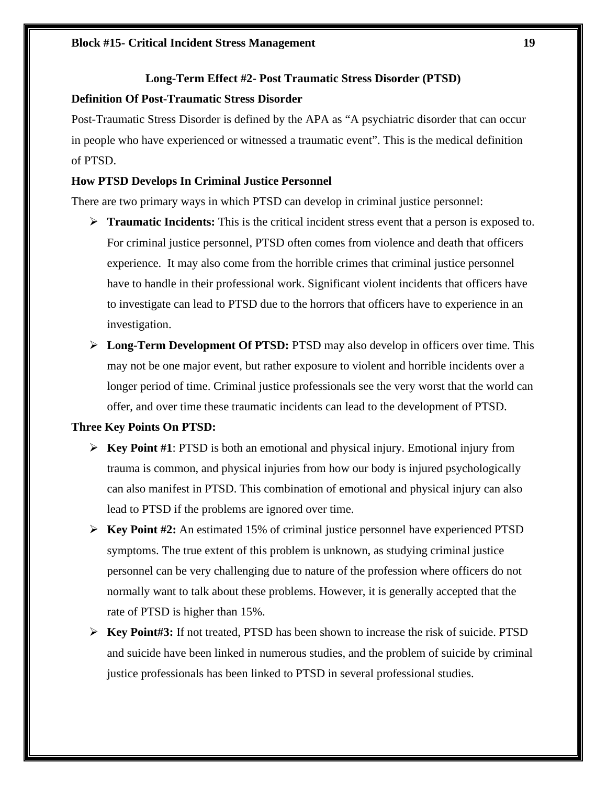# **Long-Term Effect #2- Post Traumatic Stress Disorder (PTSD)**

# **Definition Of Post-Traumatic Stress Disorder**

Post-Traumatic Stress Disorder is defined by the APA as "A psychiatric disorder that can occur in people who have experienced or witnessed a traumatic event". This is the medical definition of PTSD.

# **How PTSD Develops In Criminal Justice Personnel**

There are two primary ways in which PTSD can develop in criminal justice personnel:

- **Traumatic Incidents:** This is the critical incident stress event that a person is exposed to. For criminal justice personnel, PTSD often comes from violence and death that officers experience. It may also come from the horrible crimes that criminal justice personnel have to handle in their professional work. Significant violent incidents that officers have to investigate can lead to PTSD due to the horrors that officers have to experience in an investigation.
- **Long-Term Development Of PTSD:** PTSD may also develop in officers over time. This may not be one major event, but rather exposure to violent and horrible incidents over a longer period of time. Criminal justice professionals see the very worst that the world can offer, and over time these traumatic incidents can lead to the development of PTSD.

# **Three Key Points On PTSD:**

- **Key Point #1**: PTSD is both an emotional and physical injury. Emotional injury from trauma is common, and physical injuries from how our body is injured psychologically can also manifest in PTSD. This combination of emotional and physical injury can also lead to PTSD if the problems are ignored over time.
- **Key Point #2:** An estimated 15% of criminal justice personnel have experienced PTSD symptoms. The true extent of this problem is unknown, as studying criminal justice personnel can be very challenging due to nature of the profession where officers do not normally want to talk about these problems. However, it is generally accepted that the rate of PTSD is higher than 15%.
- **Key Point#3:** If not treated, PTSD has been shown to increase the risk of suicide. PTSD and suicide have been linked in numerous studies, and the problem of suicide by criminal justice professionals has been linked to PTSD in several professional studies.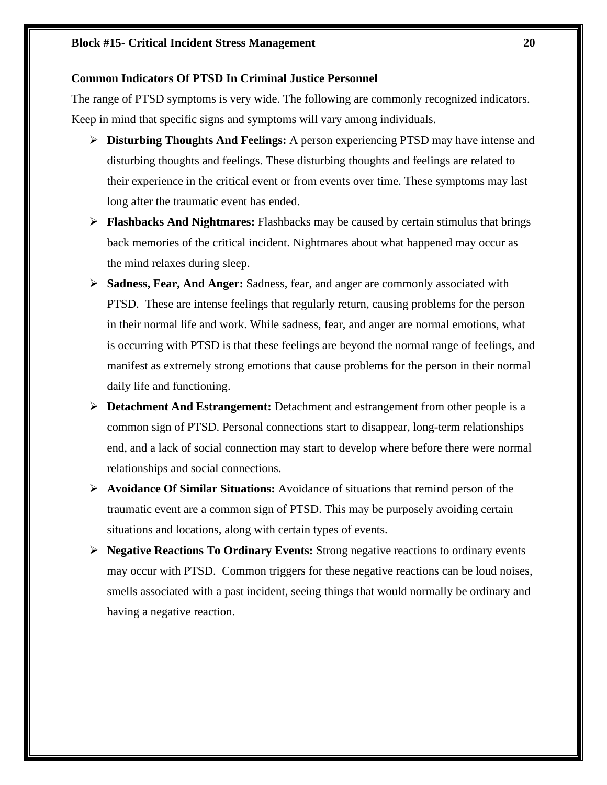# **Common Indicators Of PTSD In Criminal Justice Personnel**

The range of PTSD symptoms is very wide. The following are commonly recognized indicators. Keep in mind that specific signs and symptoms will vary among individuals.

- **Disturbing Thoughts And Feelings:** A person experiencing PTSD may have intense and disturbing thoughts and feelings. These disturbing thoughts and feelings are related to their experience in the critical event or from events over time. These symptoms may last long after the traumatic event has ended.
- **Flashbacks And Nightmares:** Flashbacks may be caused by certain stimulus that brings back memories of the critical incident. Nightmares about what happened may occur as the mind relaxes during sleep.
- **Sadness, Fear, And Anger:** Sadness, fear, and anger are commonly associated with PTSD. These are intense feelings that regularly return, causing problems for the person in their normal life and work. While sadness, fear, and anger are normal emotions, what is occurring with PTSD is that these feelings are beyond the normal range of feelings, and manifest as extremely strong emotions that cause problems for the person in their normal daily life and functioning.
- **Detachment And Estrangement:** Detachment and estrangement from other people is a common sign of PTSD. Personal connections start to disappear, long-term relationships end, and a lack of social connection may start to develop where before there were normal relationships and social connections.
- **Avoidance Of Similar Situations:** Avoidance of situations that remind person of the traumatic event are a common sign of PTSD. This may be purposely avoiding certain situations and locations, along with certain types of events.
- **Negative Reactions To Ordinary Events:** Strong negative reactions to ordinary events may occur with PTSD. Common triggers for these negative reactions can be loud noises, smells associated with a past incident, seeing things that would normally be ordinary and having a negative reaction.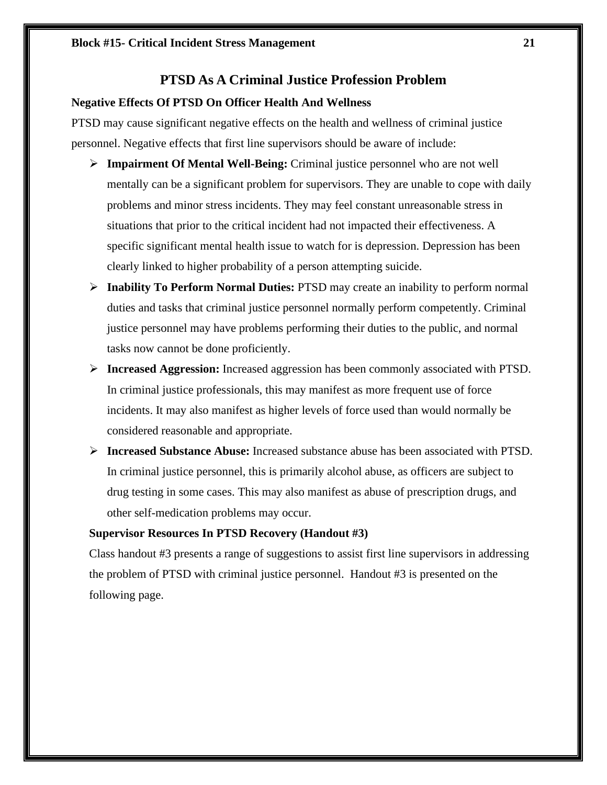# **PTSD As A Criminal Justice Profession Problem**

# **Negative Effects Of PTSD On Officer Health And Wellness**

PTSD may cause significant negative effects on the health and wellness of criminal justice personnel. Negative effects that first line supervisors should be aware of include:

- **Impairment Of Mental Well-Being:** Criminal justice personnel who are not well mentally can be a significant problem for supervisors. They are unable to cope with daily problems and minor stress incidents. They may feel constant unreasonable stress in situations that prior to the critical incident had not impacted their effectiveness. A specific significant mental health issue to watch for is depression. Depression has been clearly linked to higher probability of a person attempting suicide.
- **Inability To Perform Normal Duties:** PTSD may create an inability to perform normal duties and tasks that criminal justice personnel normally perform competently. Criminal justice personnel may have problems performing their duties to the public, and normal tasks now cannot be done proficiently.
- **Increased Aggression:** Increased aggression has been commonly associated with PTSD. In criminal justice professionals, this may manifest as more frequent use of force incidents. It may also manifest as higher levels of force used than would normally be considered reasonable and appropriate.
- **Increased Substance Abuse:** Increased substance abuse has been associated with PTSD. In criminal justice personnel, this is primarily alcohol abuse, as officers are subject to drug testing in some cases. This may also manifest as abuse of prescription drugs, and other self-medication problems may occur.

# **Supervisor Resources In PTSD Recovery (Handout #3)**

Class handout #3 presents a range of suggestions to assist first line supervisors in addressing the problem of PTSD with criminal justice personnel. Handout #3 is presented on the following page.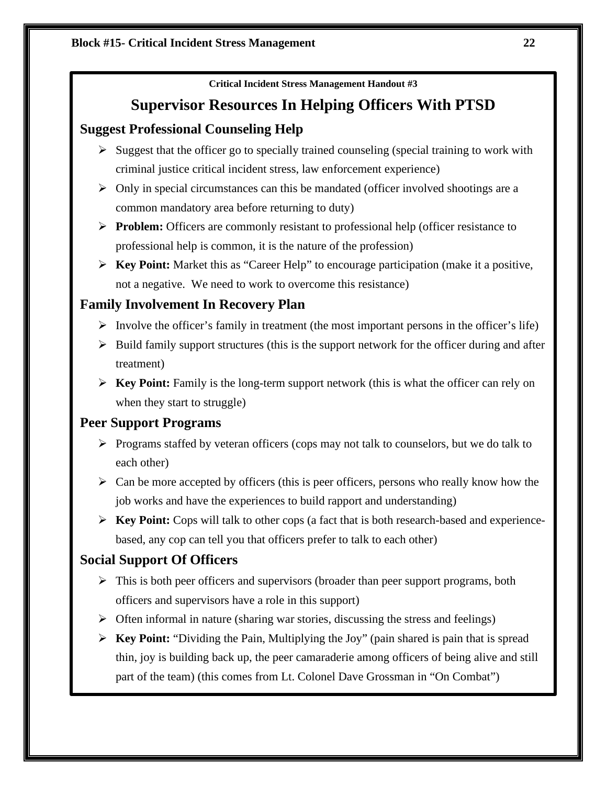**Critical Incident Stress Management Handout #3**

# **Supervisor Resources In Helping Officers With PTSD**

# **Suggest Professional Counseling Help**

- $\triangleright$  Suggest that the officer go to specially trained counseling (special training to work with criminal justice critical incident stress, law enforcement experience)
- $\triangleright$  Only in special circumstances can this be mandated (officer involved shootings are a common mandatory area before returning to duty)
- **Problem:** Officers are commonly resistant to professional help (officer resistance to professional help is common, it is the nature of the profession)
- **Key Point:** Market this as "Career Help" to encourage participation (make it a positive, not a negative. We need to work to overcome this resistance)

# **Family Involvement In Recovery Plan**

- $\triangleright$  Involve the officer's family in treatment (the most important persons in the officer's life)
- $\triangleright$  Build family support structures (this is the support network for the officer during and after treatment)
- **Key Point:** Family is the long-term support network (this is what the officer can rely on when they start to struggle)

# **Peer Support Programs**

- $\triangleright$  Programs staffed by veteran officers (cops may not talk to counselors, but we do talk to each other)
- $\triangleright$  Can be more accepted by officers (this is peer officers, persons who really know how the job works and have the experiences to build rapport and understanding)
- **Key Point:** Cops will talk to other cops (a fact that is both research-based and experiencebased, any cop can tell you that officers prefer to talk to each other)

# **Social Support Of Officers**

- $\triangleright$  This is both peer officers and supervisors (broader than peer support programs, both officers and supervisors have a role in this support)
- $\triangleright$  Often informal in nature (sharing war stories, discussing the stress and feelings)
- **Key Point:** "Dividing the Pain, Multiplying the Joy" (pain shared is pain that is spread thin, joy is building back up, the peer camaraderie among officers of being alive and still part of the team) (this comes from Lt. Colonel Dave Grossman in "On Combat")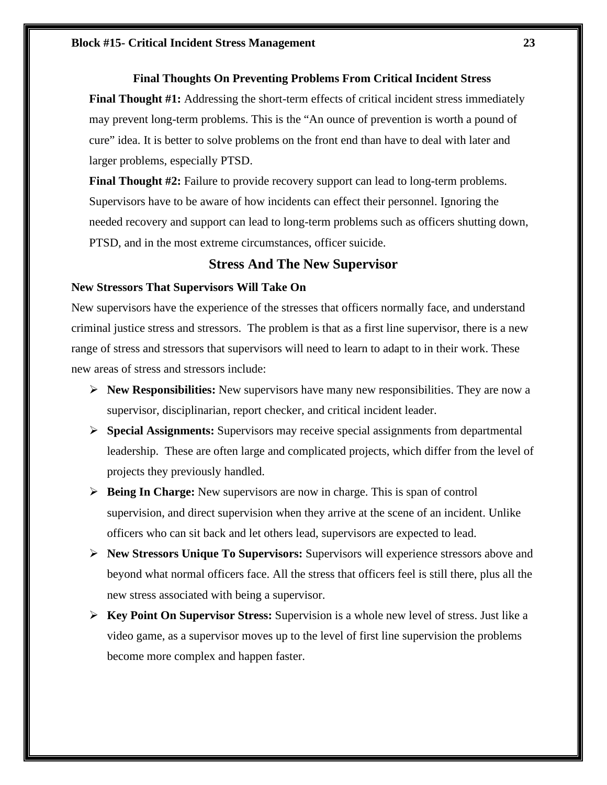### **Block #15- Critical Incident Stress Management 23**

# **Final Thoughts On Preventing Problems From Critical Incident Stress**

**Final Thought #1:** Addressing the short-term effects of critical incident stress immediately may prevent long-term problems. This is the "An ounce of prevention is worth a pound of cure" idea. It is better to solve problems on the front end than have to deal with later and larger problems, especially PTSD.

**Final Thought #2:** Failure to provide recovery support can lead to long-term problems. Supervisors have to be aware of how incidents can effect their personnel. Ignoring the needed recovery and support can lead to long-term problems such as officers shutting down, PTSD, and in the most extreme circumstances, officer suicide.

# **Stress And The New Supervisor**

### **New Stressors That Supervisors Will Take On**

New supervisors have the experience of the stresses that officers normally face, and understand criminal justice stress and stressors. The problem is that as a first line supervisor, there is a new range of stress and stressors that supervisors will need to learn to adapt to in their work. These new areas of stress and stressors include:

- **New Responsibilities:** New supervisors have many new responsibilities. They are now a supervisor, disciplinarian, report checker, and critical incident leader.
- **Special Assignments:** Supervisors may receive special assignments from departmental leadership. These are often large and complicated projects, which differ from the level of projects they previously handled.
- **Being In Charge:** New supervisors are now in charge. This is span of control supervision, and direct supervision when they arrive at the scene of an incident. Unlike officers who can sit back and let others lead, supervisors are expected to lead.
- **New Stressors Unique To Supervisors:** Supervisors will experience stressors above and beyond what normal officers face. All the stress that officers feel is still there, plus all the new stress associated with being a supervisor.
- **Key Point On Supervisor Stress:** Supervision is a whole new level of stress. Just like a video game, as a supervisor moves up to the level of first line supervision the problems become more complex and happen faster.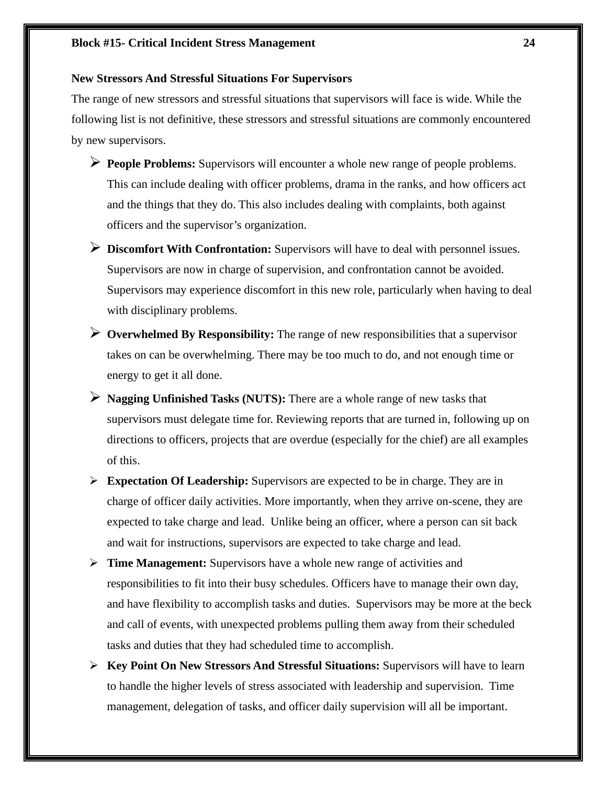### **New Stressors And Stressful Situations For Supervisors**

The range of new stressors and stressful situations that supervisors will face is wide. While the following list is not definitive, these stressors and stressful situations are commonly encountered by new supervisors.

- **People Problems:** Supervisors will encounter a whole new range of people problems. This can include dealing with officer problems, drama in the ranks, and how officers act and the things that they do. This also includes dealing with complaints, both against officers and the supervisor's organization.
- **Discomfort With Confrontation:** Supervisors will have to deal with personnel issues. Supervisors are now in charge of supervision, and confrontation cannot be avoided. Supervisors may experience discomfort in this new role, particularly when having to deal with disciplinary problems.
- **Overwhelmed By Responsibility:** The range of new responsibilities that a supervisor takes on can be overwhelming. There may be too much to do, and not enough time or energy to get it all done.
- **Nagging Unfinished Tasks (NUTS):** There are a whole range of new tasks that supervisors must delegate time for. Reviewing reports that are turned in, following up on directions to officers, projects that are overdue (especially for the chief) are all examples of this.
- **Expectation Of Leadership:** Supervisors are expected to be in charge. They are in charge of officer daily activities. More importantly, when they arrive on-scene, they are expected to take charge and lead. Unlike being an officer, where a person can sit back and wait for instructions, supervisors are expected to take charge and lead.
- **Time Management:** Supervisors have a whole new range of activities and responsibilities to fit into their busy schedules. Officers have to manage their own day, and have flexibility to accomplish tasks and duties. Supervisors may be more at the beck and call of events, with unexpected problems pulling them away from their scheduled tasks and duties that they had scheduled time to accomplish.
- **Key Point On New Stressors And Stressful Situations:** Supervisors will have to learn to handle the higher levels of stress associated with leadership and supervision. Time management, delegation of tasks, and officer daily supervision will all be important.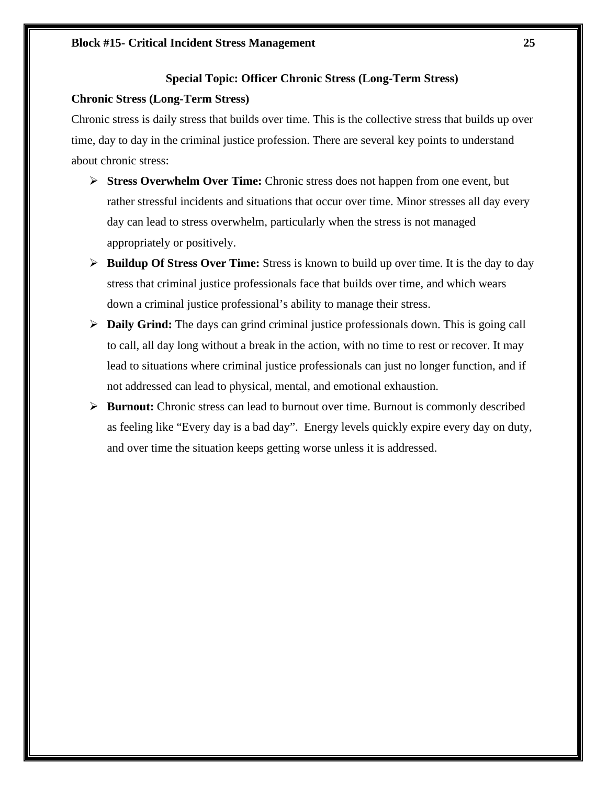# **Special Topic: Officer Chronic Stress (Long-Term Stress)**

# **Chronic Stress (Long-Term Stress)**

Chronic stress is daily stress that builds over time. This is the collective stress that builds up over time, day to day in the criminal justice profession. There are several key points to understand about chronic stress:

- **Stress Overwhelm Over Time:** Chronic stress does not happen from one event, but rather stressful incidents and situations that occur over time. Minor stresses all day every day can lead to stress overwhelm, particularly when the stress is not managed appropriately or positively.
- **Buildup Of Stress Over Time:** Stress is known to build up over time. It is the day to day stress that criminal justice professionals face that builds over time, and which wears down a criminal justice professional's ability to manage their stress.
- **Daily Grind:** The days can grind criminal justice professionals down. This is going call to call, all day long without a break in the action, with no time to rest or recover. It may lead to situations where criminal justice professionals can just no longer function, and if not addressed can lead to physical, mental, and emotional exhaustion.
- **Burnout:** Chronic stress can lead to burnout over time. Burnout is commonly described as feeling like "Every day is a bad day". Energy levels quickly expire every day on duty, and over time the situation keeps getting worse unless it is addressed.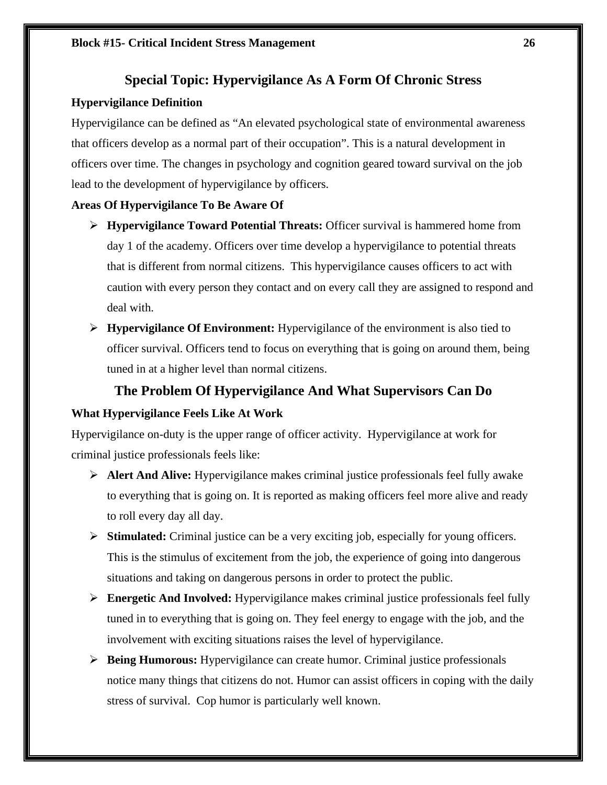# **Special Topic: Hypervigilance As A Form Of Chronic Stress**

# **Hypervigilance Definition**

Hypervigilance can be defined as "An elevated psychological state of environmental awareness that officers develop as a normal part of their occupation". This is a natural development in officers over time. The changes in psychology and cognition geared toward survival on the job lead to the development of hypervigilance by officers.

# **Areas Of Hypervigilance To Be Aware Of**

- **Hypervigilance Toward Potential Threats:** Officer survival is hammered home from day 1 of the academy. Officers over time develop a hypervigilance to potential threats that is different from normal citizens. This hypervigilance causes officers to act with caution with every person they contact and on every call they are assigned to respond and deal with.
- **Hypervigilance Of Environment:** Hypervigilance of the environment is also tied to officer survival. Officers tend to focus on everything that is going on around them, being tuned in at a higher level than normal citizens.

# **The Problem Of Hypervigilance And What Supervisors Can Do**

# **What Hypervigilance Feels Like At Work**

Hypervigilance on-duty is the upper range of officer activity. Hypervigilance at work for criminal justice professionals feels like:

- **Alert And Alive:** Hypervigilance makes criminal justice professionals feel fully awake to everything that is going on. It is reported as making officers feel more alive and ready to roll every day all day.
- **Stimulated:** Criminal justice can be a very exciting job, especially for young officers. This is the stimulus of excitement from the job, the experience of going into dangerous situations and taking on dangerous persons in order to protect the public.
- **Energetic And Involved:** Hypervigilance makes criminal justice professionals feel fully tuned in to everything that is going on. They feel energy to engage with the job, and the involvement with exciting situations raises the level of hypervigilance.
- **Being Humorous:** Hypervigilance can create humor. Criminal justice professionals notice many things that citizens do not. Humor can assist officers in coping with the daily stress of survival. Cop humor is particularly well known.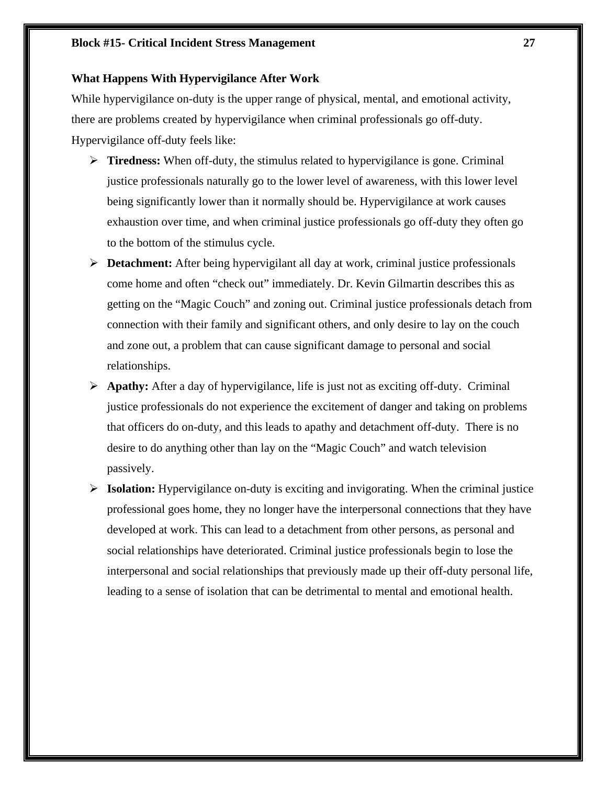## **Block #15- Critical Incident Stress Management 27**

# **What Happens With Hypervigilance After Work**

While hypervigilance on-duty is the upper range of physical, mental, and emotional activity, there are problems created by hypervigilance when criminal professionals go off-duty. Hypervigilance off-duty feels like:

- **Tiredness:** When off-duty, the stimulus related to hypervigilance is gone. Criminal justice professionals naturally go to the lower level of awareness, with this lower level being significantly lower than it normally should be. Hypervigilance at work causes exhaustion over time, and when criminal justice professionals go off-duty they often go to the bottom of the stimulus cycle.
- **Detachment:** After being hypervigilant all day at work, criminal justice professionals come home and often "check out" immediately. Dr. Kevin Gilmartin describes this as getting on the "Magic Couch" and zoning out. Criminal justice professionals detach from connection with their family and significant others, and only desire to lay on the couch and zone out, a problem that can cause significant damage to personal and social relationships.
- **Apathy:** After a day of hypervigilance, life is just not as exciting off-duty. Criminal justice professionals do not experience the excitement of danger and taking on problems that officers do on-duty, and this leads to apathy and detachment off-duty. There is no desire to do anything other than lay on the "Magic Couch" and watch television passively.
- **Isolation:** Hypervigilance on-duty is exciting and invigorating. When the criminal justice professional goes home, they no longer have the interpersonal connections that they have developed at work. This can lead to a detachment from other persons, as personal and social relationships have deteriorated. Criminal justice professionals begin to lose the interpersonal and social relationships that previously made up their off-duty personal life, leading to a sense of isolation that can be detrimental to mental and emotional health.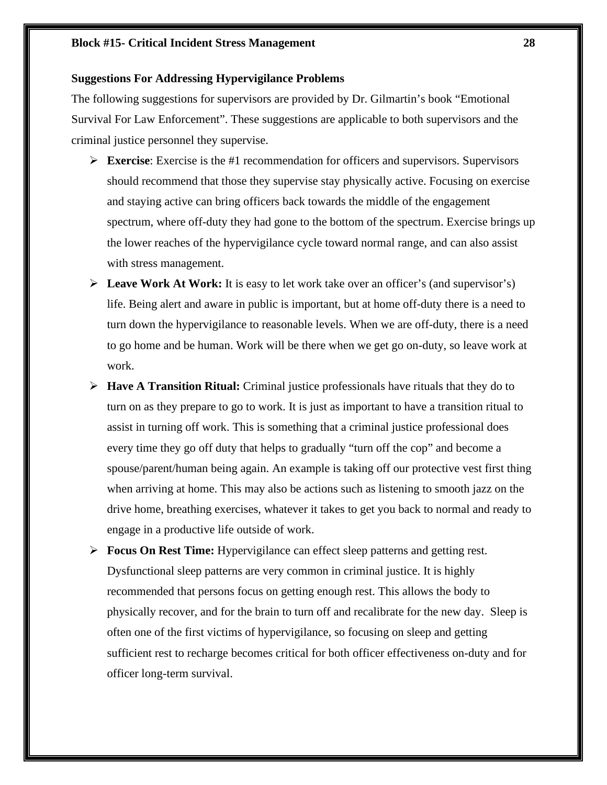# **Suggestions For Addressing Hypervigilance Problems**

The following suggestions for supervisors are provided by Dr. Gilmartin's book "Emotional Survival For Law Enforcement". These suggestions are applicable to both supervisors and the criminal justice personnel they supervise.

- **Exercise**: Exercise is the #1 recommendation for officers and supervisors. Supervisors should recommend that those they supervise stay physically active. Focusing on exercise and staying active can bring officers back towards the middle of the engagement spectrum, where off-duty they had gone to the bottom of the spectrum. Exercise brings up the lower reaches of the hypervigilance cycle toward normal range, and can also assist with stress management.
- **Leave Work At Work:** It is easy to let work take over an officer's (and supervisor's) life. Being alert and aware in public is important, but at home off-duty there is a need to turn down the hypervigilance to reasonable levels. When we are off-duty, there is a need to go home and be human. Work will be there when we get go on-duty, so leave work at work.
- **Have A Transition Ritual:** Criminal justice professionals have rituals that they do to turn on as they prepare to go to work. It is just as important to have a transition ritual to assist in turning off work. This is something that a criminal justice professional does every time they go off duty that helps to gradually "turn off the cop" and become a spouse/parent/human being again. An example is taking off our protective vest first thing when arriving at home. This may also be actions such as listening to smooth jazz on the drive home, breathing exercises, whatever it takes to get you back to normal and ready to engage in a productive life outside of work.
- **Focus On Rest Time:** Hypervigilance can effect sleep patterns and getting rest. Dysfunctional sleep patterns are very common in criminal justice. It is highly recommended that persons focus on getting enough rest. This allows the body to physically recover, and for the brain to turn off and recalibrate for the new day. Sleep is often one of the first victims of hypervigilance, so focusing on sleep and getting sufficient rest to recharge becomes critical for both officer effectiveness on-duty and for officer long-term survival.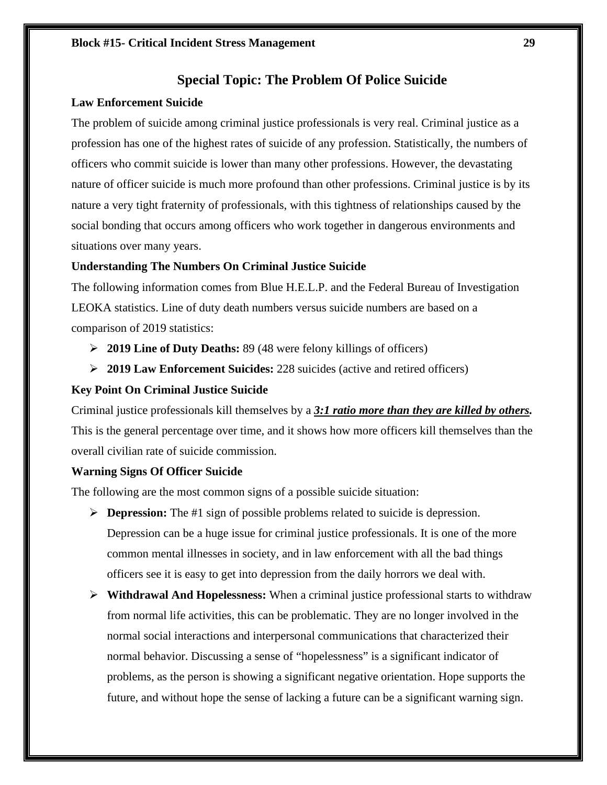# **Special Topic: The Problem Of Police Suicide**

### **Law Enforcement Suicide**

The problem of suicide among criminal justice professionals is very real. Criminal justice as a profession has one of the highest rates of suicide of any profession. Statistically, the numbers of officers who commit suicide is lower than many other professions. However, the devastating nature of officer suicide is much more profound than other professions. Criminal justice is by its nature a very tight fraternity of professionals, with this tightness of relationships caused by the social bonding that occurs among officers who work together in dangerous environments and situations over many years.

# **Understanding The Numbers On Criminal Justice Suicide**

The following information comes from Blue H.E.L.P. and the Federal Bureau of Investigation LEOKA statistics. Line of duty death numbers versus suicide numbers are based on a comparison of 2019 statistics:

- **2019 Line of Duty Deaths:** 89 (48 were felony killings of officers)
- **2019 Law Enforcement Suicides:** 228 suicides (active and retired officers)

# **Key Point On Criminal Justice Suicide**

Criminal justice professionals kill themselves by a *3:1 ratio more than they are killed by others.* This is the general percentage over time, and it shows how more officers kill themselves than the overall civilian rate of suicide commission.

### **Warning Signs Of Officer Suicide**

The following are the most common signs of a possible suicide situation:

- **Depression:** The #1 sign of possible problems related to suicide is depression. Depression can be a huge issue for criminal justice professionals. It is one of the more common mental illnesses in society, and in law enforcement with all the bad things officers see it is easy to get into depression from the daily horrors we deal with.
- **Withdrawal And Hopelessness:** When a criminal justice professional starts to withdraw from normal life activities, this can be problematic. They are no longer involved in the normal social interactions and interpersonal communications that characterized their normal behavior. Discussing a sense of "hopelessness" is a significant indicator of problems, as the person is showing a significant negative orientation. Hope supports the future, and without hope the sense of lacking a future can be a significant warning sign.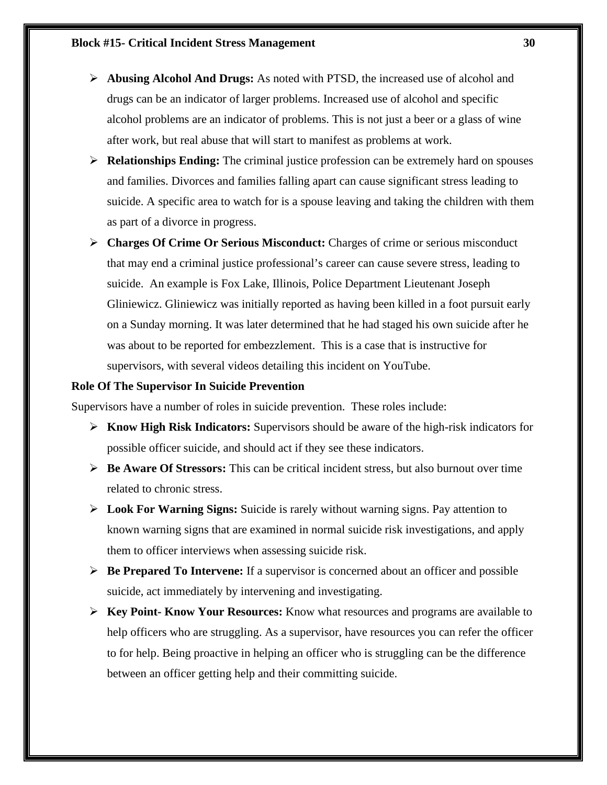- **Abusing Alcohol And Drugs:** As noted with PTSD, the increased use of alcohol and drugs can be an indicator of larger problems. Increased use of alcohol and specific alcohol problems are an indicator of problems. This is not just a beer or a glass of wine after work, but real abuse that will start to manifest as problems at work.
- **Relationships Ending:** The criminal justice profession can be extremely hard on spouses and families. Divorces and families falling apart can cause significant stress leading to suicide. A specific area to watch for is a spouse leaving and taking the children with them as part of a divorce in progress.
- **Charges Of Crime Or Serious Misconduct:** Charges of crime or serious misconduct that may end a criminal justice professional's career can cause severe stress, leading to suicide. An example is Fox Lake, Illinois, Police Department Lieutenant Joseph Gliniewicz. Gliniewicz was initially reported as having been killed in a foot pursuit early on a Sunday morning. It was later determined that he had staged his own suicide after he was about to be reported for embezzlement. This is a case that is instructive for supervisors, with several videos detailing this incident on YouTube.

# **Role Of The Supervisor In Suicide Prevention**

Supervisors have a number of roles in suicide prevention. These roles include:

- **Know High Risk Indicators:** Supervisors should be aware of the high-risk indicators for possible officer suicide, and should act if they see these indicators.
- **Be Aware Of Stressors:** This can be critical incident stress, but also burnout over time related to chronic stress.
- **Look For Warning Signs:** Suicide is rarely without warning signs. Pay attention to known warning signs that are examined in normal suicide risk investigations, and apply them to officer interviews when assessing suicide risk.
- **Be Prepared To Intervene:** If a supervisor is concerned about an officer and possible suicide, act immediately by intervening and investigating.
- **Key Point- Know Your Resources:** Know what resources and programs are available to help officers who are struggling. As a supervisor, have resources you can refer the officer to for help. Being proactive in helping an officer who is struggling can be the difference between an officer getting help and their committing suicide.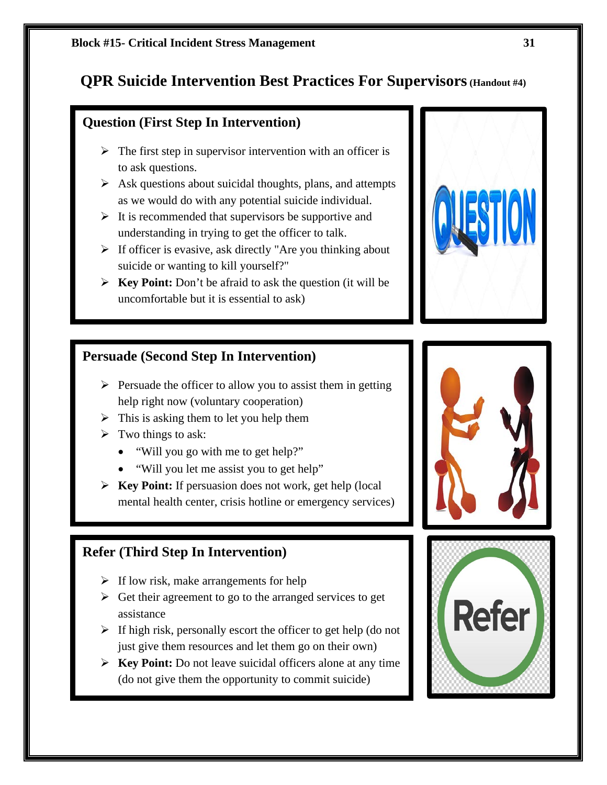# **QPR Suicide Intervention Best Practices For Supervisors (Handout #4)**

# **Question (First Step In Intervention)**

- $\triangleright$  The first step in supervisor intervention with an officer is to ask questions.
- $\triangleright$  Ask questions about suicidal thoughts, plans, and attempts as we would do with any potential suicide individual.
- $\triangleright$  It is recommended that supervisors be supportive and understanding in trying to get the officer to talk.
- $\triangleright$  If officer is evasive, ask directly "Are you thinking about suicide or wanting to kill yourself?"
- **Key Point:** Don't be afraid to ask the question (it will be uncomfortable but it is essential to ask)

# **Persuade (Second Step In Intervention)**

- $\triangleright$  Persuade the officer to allow you to assist them in getting help right now (voluntary cooperation)
- $\triangleright$  This is asking them to let you help them
- $\triangleright$  Two things to ask:
	- "Will you go with me to get help?"
	- "Will you let me assist you to get help"
- **Key Point:** If persuasion does not work, get help (local mental health center, crisis hotline or emergency services)

# **Refer (Third Step In Intervention)**

- $\triangleright$  If low risk, make arrangements for help
- $\triangleright$  Get their agreement to go to the arranged services to get assistance
- $\triangleright$  If high risk, personally escort the officer to get help (do not just give them resources and let them go on their own)
- **Key Point:** Do not leave suicidal officers alone at any time (do not give them the opportunity to commit suicide)





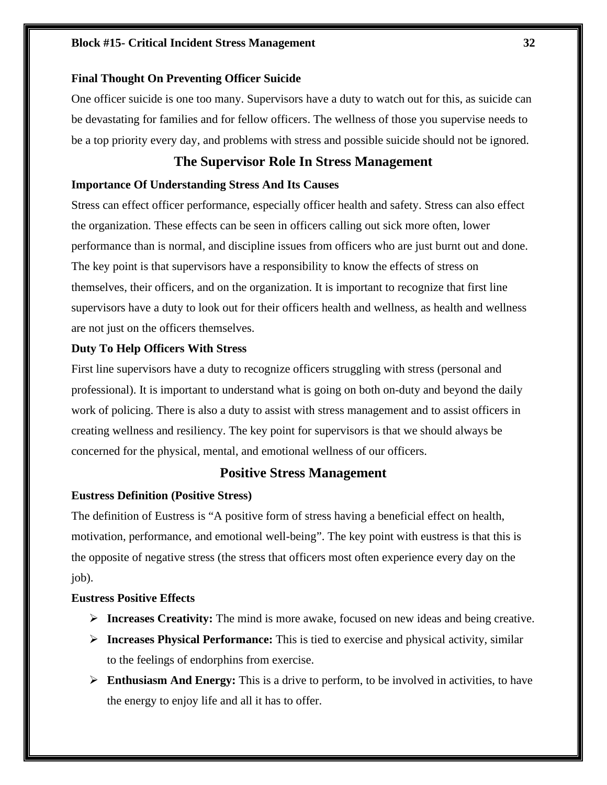### **Block #15- Critical Incident Stress Management 32**

### **Final Thought On Preventing Officer Suicide**

One officer suicide is one too many. Supervisors have a duty to watch out for this, as suicide can be devastating for families and for fellow officers. The wellness of those you supervise needs to be a top priority every day, and problems with stress and possible suicide should not be ignored.

# **The Supervisor Role In Stress Management**

#### **Importance Of Understanding Stress And Its Causes**

Stress can effect officer performance, especially officer health and safety. Stress can also effect the organization. These effects can be seen in officers calling out sick more often, lower performance than is normal, and discipline issues from officers who are just burnt out and done. The key point is that supervisors have a responsibility to know the effects of stress on themselves, their officers, and on the organization. It is important to recognize that first line supervisors have a duty to look out for their officers health and wellness, as health and wellness are not just on the officers themselves.

### **Duty To Help Officers With Stress**

First line supervisors have a duty to recognize officers struggling with stress (personal and professional). It is important to understand what is going on both on-duty and beyond the daily work of policing. There is also a duty to assist with stress management and to assist officers in creating wellness and resiliency. The key point for supervisors is that we should always be concerned for the physical, mental, and emotional wellness of our officers.

# **Positive Stress Management**

### **Eustress Definition (Positive Stress)**

The definition of Eustress is "A positive form of stress having a beneficial effect on health, motivation, performance, and emotional well-being". The key point with eustress is that this is the opposite of negative stress (the stress that officers most often experience every day on the job).

#### **Eustress Positive Effects**

- **Increases Creativity:** The mind is more awake, focused on new ideas and being creative.
- **Increases Physical Performance:** This is tied to exercise and physical activity, similar to the feelings of endorphins from exercise.
- **Enthusiasm And Energy:** This is a drive to perform, to be involved in activities, to have the energy to enjoy life and all it has to offer.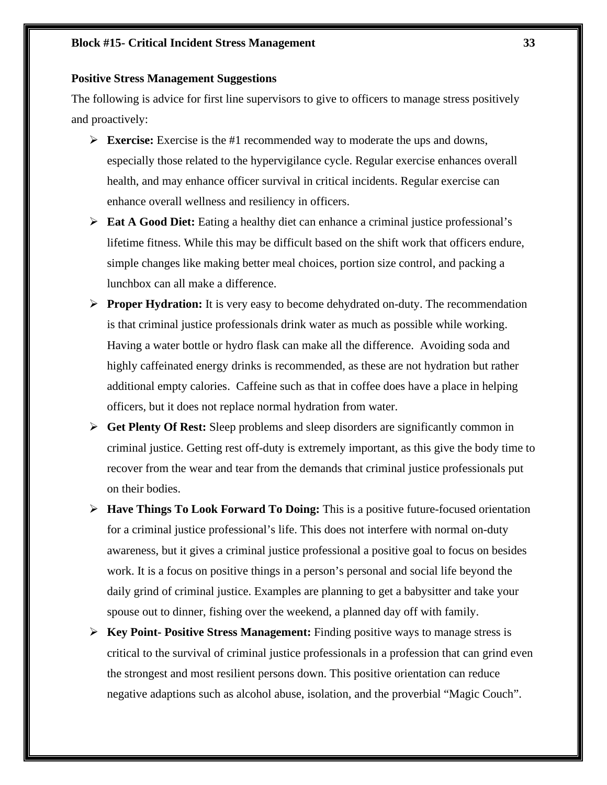### **Block #15- Critical Incident Stress Management 33**

#### **Positive Stress Management Suggestions**

The following is advice for first line supervisors to give to officers to manage stress positively and proactively:

- **Exercise:** Exercise is the #1 recommended way to moderate the ups and downs, especially those related to the hypervigilance cycle. Regular exercise enhances overall health, and may enhance officer survival in critical incidents. Regular exercise can enhance overall wellness and resiliency in officers.
- **Eat A Good Diet:** Eating a healthy diet can enhance a criminal justice professional's lifetime fitness. While this may be difficult based on the shift work that officers endure, simple changes like making better meal choices, portion size control, and packing a lunchbox can all make a difference.
- **Proper Hydration:** It is very easy to become dehydrated on-duty. The recommendation is that criminal justice professionals drink water as much as possible while working. Having a water bottle or hydro flask can make all the difference. Avoiding soda and highly caffeinated energy drinks is recommended, as these are not hydration but rather additional empty calories. Caffeine such as that in coffee does have a place in helping officers, but it does not replace normal hydration from water.
- **Get Plenty Of Rest:** Sleep problems and sleep disorders are significantly common in criminal justice. Getting rest off-duty is extremely important, as this give the body time to recover from the wear and tear from the demands that criminal justice professionals put on their bodies.
- **Have Things To Look Forward To Doing:** This is a positive future-focused orientation for a criminal justice professional's life. This does not interfere with normal on-duty awareness, but it gives a criminal justice professional a positive goal to focus on besides work. It is a focus on positive things in a person's personal and social life beyond the daily grind of criminal justice. Examples are planning to get a babysitter and take your spouse out to dinner, fishing over the weekend, a planned day off with family.
- **Key Point- Positive Stress Management:** Finding positive ways to manage stress is critical to the survival of criminal justice professionals in a profession that can grind even the strongest and most resilient persons down. This positive orientation can reduce negative adaptions such as alcohol abuse, isolation, and the proverbial "Magic Couch".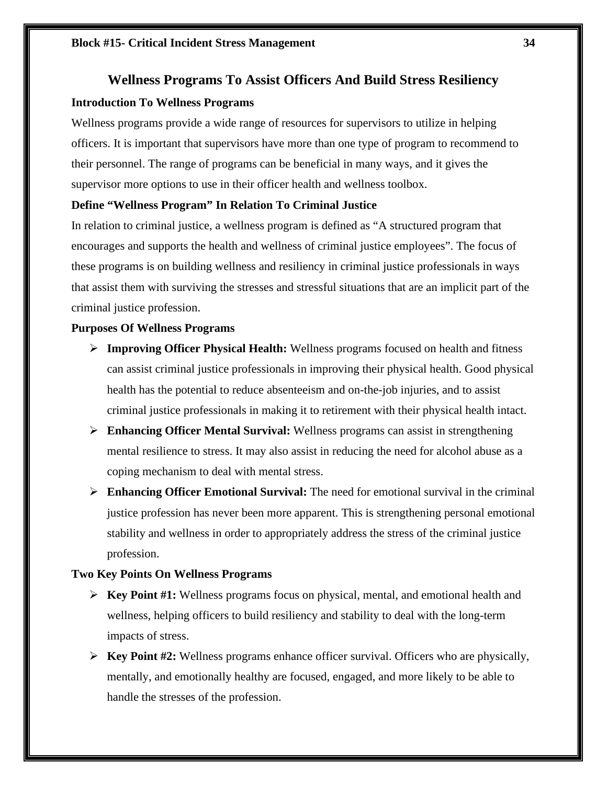# **Wellness Programs To Assist Officers And Build Stress Resiliency**

### **Introduction To Wellness Programs**

Wellness programs provide a wide range of resources for supervisors to utilize in helping officers. It is important that supervisors have more than one type of program to recommend to their personnel. The range of programs can be beneficial in many ways, and it gives the supervisor more options to use in their officer health and wellness toolbox.

### **Define "Wellness Program" In Relation To Criminal Justice**

In relation to criminal justice, a wellness program is defined as "A structured program that encourages and supports the health and wellness of criminal justice employees". The focus of these programs is on building wellness and resiliency in criminal justice professionals in ways that assist them with surviving the stresses and stressful situations that are an implicit part of the criminal justice profession.

### **Purposes Of Wellness Programs**

- **Improving Officer Physical Health:** Wellness programs focused on health and fitness can assist criminal justice professionals in improving their physical health. Good physical health has the potential to reduce absenteeism and on-the-job injuries, and to assist criminal justice professionals in making it to retirement with their physical health intact.
- **Enhancing Officer Mental Survival:** Wellness programs can assist in strengthening mental resilience to stress. It may also assist in reducing the need for alcohol abuse as a coping mechanism to deal with mental stress.
- **Enhancing Officer Emotional Survival:** The need for emotional survival in the criminal justice profession has never been more apparent. This is strengthening personal emotional stability and wellness in order to appropriately address the stress of the criminal justice profession.

# **Two Key Points On Wellness Programs**

- **Key Point #1:** Wellness programs focus on physical, mental, and emotional health and wellness, helping officers to build resiliency and stability to deal with the long-term impacts of stress.
- $\triangleright$  **Key Point** #2: Wellness programs enhance officer survival. Officers who are physically, mentally, and emotionally healthy are focused, engaged, and more likely to be able to handle the stresses of the profession.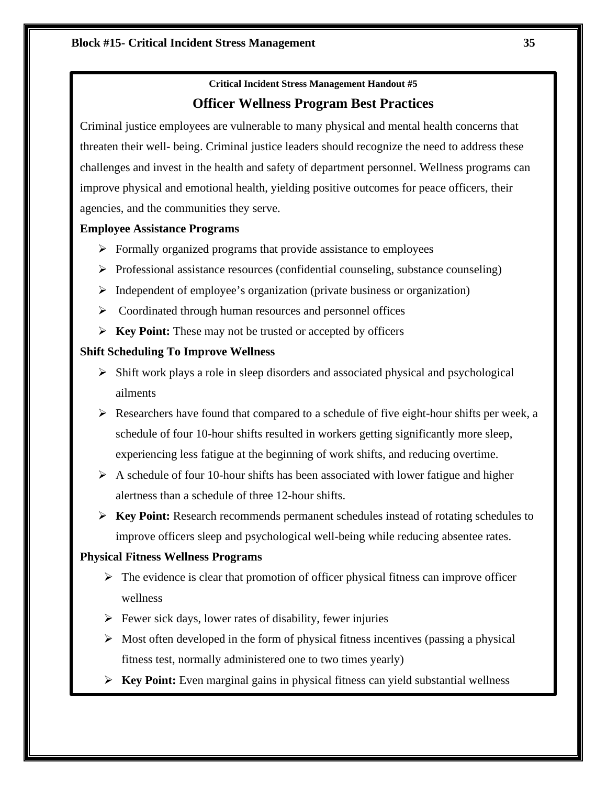# **Critical Incident Stress Management Handout #5 Officer Wellness Program Best Practices**

Criminal justice employees are vulnerable to many physical and mental health concerns that threaten their well- being. Criminal justice leaders should recognize the need to address these challenges and invest in the health and safety of department personnel. Wellness programs can improve physical and emotional health, yielding positive outcomes for peace officers, their agencies, and the communities they serve.

### **Employee Assistance Programs**

- $\triangleright$  Formally organized programs that provide assistance to employees
- $\triangleright$  Professional assistance resources (confidential counseling, substance counseling)
- $\triangleright$  Independent of employee's organization (private business or organization)
- $\triangleright$  Coordinated through human resources and personnel offices
- **Key Point:** These may not be trusted or accepted by officers

### **Shift Scheduling To Improve Wellness**

- $\triangleright$  Shift work plays a role in sleep disorders and associated physical and psychological ailments
- $\triangleright$  Researchers have found that compared to a schedule of five eight-hour shifts per week, a schedule of four 10-hour shifts resulted in workers getting significantly more sleep, experiencing less fatigue at the beginning of work shifts, and reducing overtime.
- $\triangleright$  A schedule of four 10-hour shifts has been associated with lower fatigue and higher alertness than a schedule of three 12-hour shifts.
- **Key Point:** Research recommends permanent schedules instead of rotating schedules to improve officers sleep and psychological well-being while reducing absentee rates.

### **Physical Fitness Wellness Programs**

- $\triangleright$  The evidence is clear that promotion of officer physical fitness can improve officer wellness
- $\triangleright$  Fewer sick days, lower rates of disability, fewer injuries
- $\triangleright$  Most often developed in the form of physical fitness incentives (passing a physical fitness test, normally administered one to two times yearly)
- **Key Point:** Even marginal gains in physical fitness can yield substantial wellness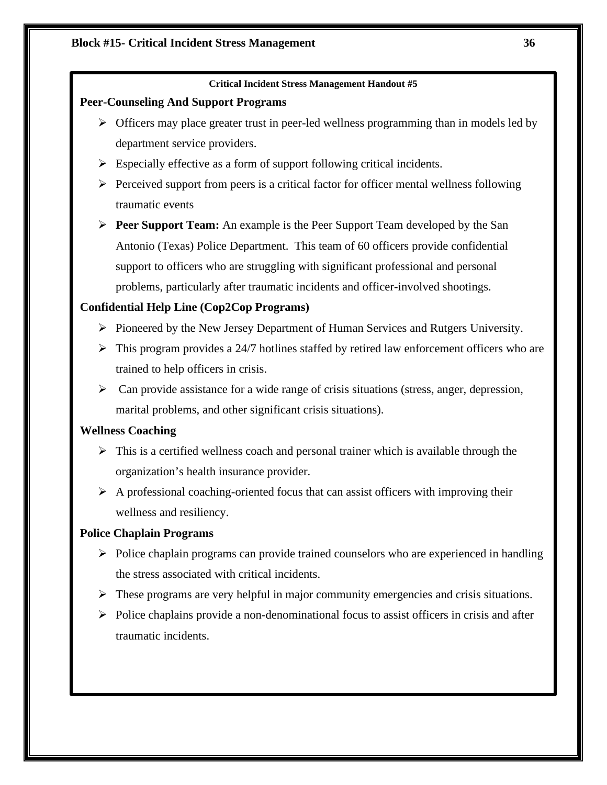### **Peer-Counseling And Support Programs**

- $\triangleright$  Officers may place greater trust in peer-led wellness programming than in models led by department service providers.
- $\triangleright$  Especially effective as a form of support following critical incidents.
- $\triangleright$  Perceived support from peers is a critical factor for officer mental wellness following traumatic events
- **Peer Support Team:** An example is the Peer Support Team developed by the San Antonio (Texas) Police Department. This team of 60 officers provide confidential support to officers who are struggling with significant professional and personal problems, particularly after traumatic incidents and officer-involved shootings.

# **Confidential Help Line (Cop2Cop Programs)**

- $\triangleright$  Pioneered by the New Jersey Department of Human Services and Rutgers University.
- $\triangleright$  This program provides a 24/7 hotlines staffed by retired law enforcement officers who are trained to help officers in crisis.
- $\triangleright$  Can provide assistance for a wide range of crisis situations (stress, anger, depression, marital problems, and other significant crisis situations).

# **Wellness Coaching**

- $\triangleright$  This is a certified wellness coach and personal trainer which is available through the organization's health insurance provider.
- $\triangleright$  A professional coaching-oriented focus that can assist officers with improving their wellness and resiliency.

# **Police Chaplain Programs**

- $\triangleright$  Police chaplain programs can provide trained counselors who are experienced in handling the stress associated with critical incidents.
- $\triangleright$  These programs are very helpful in major community emergencies and crisis situations.
- $\triangleright$  Police chaplains provide a non-denominational focus to assist officers in crisis and after traumatic incidents.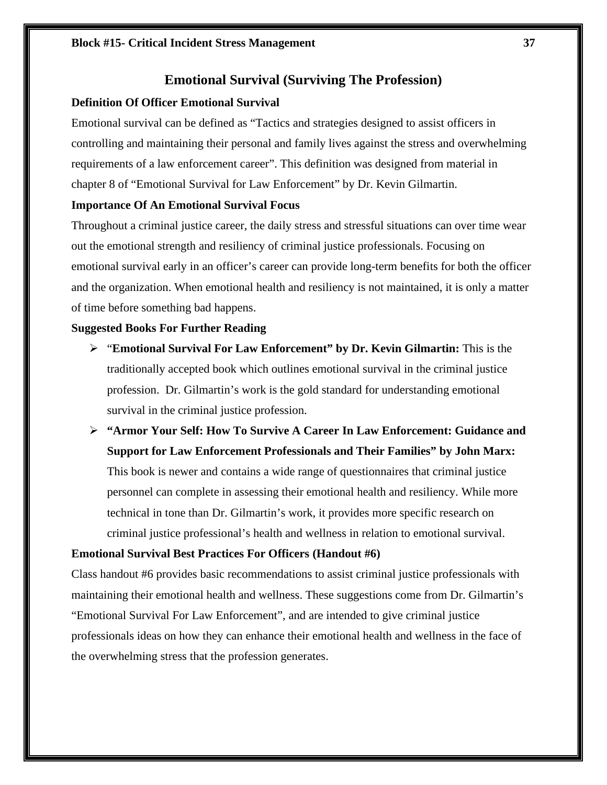## **Emotional Survival (Surviving The Profession)**

### **Definition Of Officer Emotional Survival**

Emotional survival can be defined as "Tactics and strategies designed to assist officers in controlling and maintaining their personal and family lives against the stress and overwhelming requirements of a law enforcement career". This definition was designed from material in chapter 8 of "Emotional Survival for Law Enforcement" by Dr. Kevin Gilmartin.

### **Importance Of An Emotional Survival Focus**

Throughout a criminal justice career, the daily stress and stressful situations can over time wear out the emotional strength and resiliency of criminal justice professionals. Focusing on emotional survival early in an officer's career can provide long-term benefits for both the officer and the organization. When emotional health and resiliency is not maintained, it is only a matter of time before something bad happens.

#### **Suggested Books For Further Reading**

- "**Emotional Survival For Law Enforcement" by Dr. Kevin Gilmartin:** This is the traditionally accepted book which outlines emotional survival in the criminal justice profession. Dr. Gilmartin's work is the gold standard for understanding emotional survival in the criminal justice profession.
- **"Armor Your Self: How To Survive A Career In Law Enforcement: Guidance and Support for Law Enforcement Professionals and Their Families" by John Marx:**

This book is newer and contains a wide range of questionnaires that criminal justice personnel can complete in assessing their emotional health and resiliency. While more technical in tone than Dr. Gilmartin's work, it provides more specific research on criminal justice professional's health and wellness in relation to emotional survival.

### **Emotional Survival Best Practices For Officers (Handout #6)**

Class handout #6 provides basic recommendations to assist criminal justice professionals with maintaining their emotional health and wellness. These suggestions come from Dr. Gilmartin's "Emotional Survival For Law Enforcement", and are intended to give criminal justice professionals ideas on how they can enhance their emotional health and wellness in the face of the overwhelming stress that the profession generates.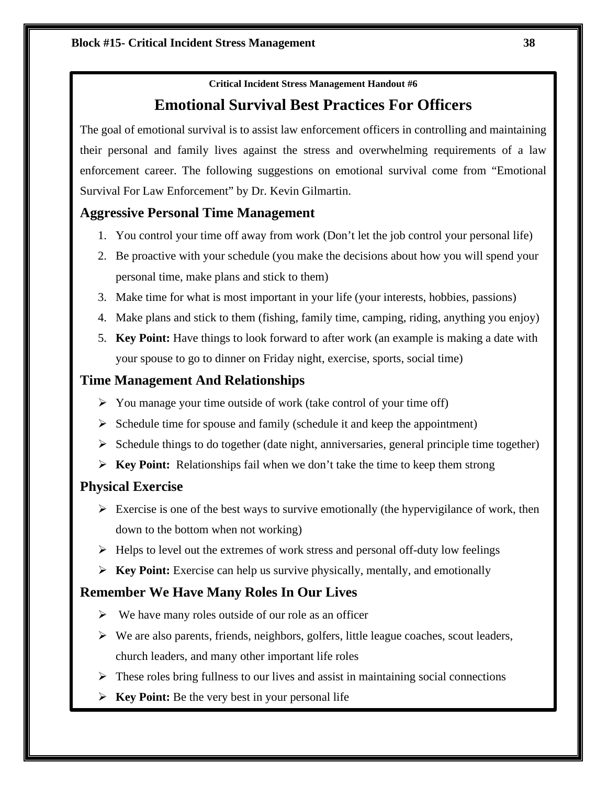# **Emotional Survival Best Practices For Officers**

The goal of emotional survival is to assist law enforcement officers in controlling and maintaining their personal and family lives against the stress and overwhelming requirements of a law enforcement career. The following suggestions on emotional survival come from "Emotional Survival For Law Enforcement" by Dr. Kevin Gilmartin.

# **Aggressive Personal Time Management**

- 1. You control your time off away from work (Don't let the job control your personal life)
- 2. Be proactive with your schedule (you make the decisions about how you will spend your personal time, make plans and stick to them)
- 3. Make time for what is most important in your life (your interests, hobbies, passions)
- 4. Make plans and stick to them (fishing, family time, camping, riding, anything you enjoy)
- 5. **Key Point:** Have things to look forward to after work (an example is making a date with your spouse to go to dinner on Friday night, exercise, sports, social time)

# **Time Management And Relationships**

- $\triangleright$  You manage your time outside of work (take control of your time off)
- $\triangleright$  Schedule time for spouse and family (schedule it and keep the appointment)
- $\triangleright$  Schedule things to do together (date night, anniversaries, general principle time together)
- **Key Point:** Relationships fail when we don't take the time to keep them strong

# **Physical Exercise**

- $\triangleright$  Exercise is one of the best ways to survive emotionally (the hypervigilance of work, then down to the bottom when not working)
- $\triangleright$  Helps to level out the extremes of work stress and personal off-duty low feelings
- **Key Point:** Exercise can help us survive physically, mentally, and emotionally

# **Remember We Have Many Roles In Our Lives**

- $\triangleright$  We have many roles outside of our role as an officer
- $\triangleright$  We are also parents, friends, neighbors, golfers, little league coaches, scout leaders, church leaders, and many other important life roles
- $\triangleright$  These roles bring fullness to our lives and assist in maintaining social connections
- **Key Point:** Be the very best in your personal life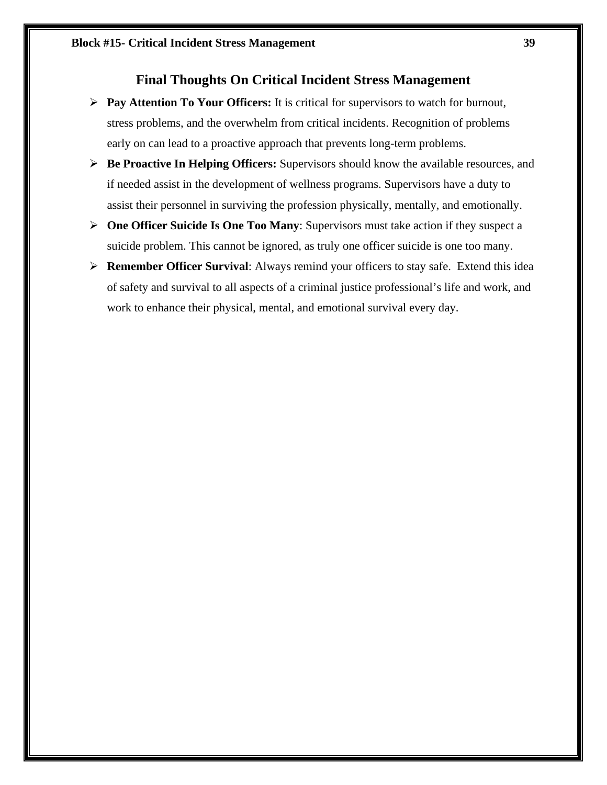# **Final Thoughts On Critical Incident Stress Management**

- **Pay Attention To Your Officers:** It is critical for supervisors to watch for burnout, stress problems, and the overwhelm from critical incidents. Recognition of problems early on can lead to a proactive approach that prevents long-term problems.
- **Be Proactive In Helping Officers:** Supervisors should know the available resources, and if needed assist in the development of wellness programs. Supervisors have a duty to assist their personnel in surviving the profession physically, mentally, and emotionally.
- **One Officer Suicide Is One Too Many**: Supervisors must take action if they suspect a suicide problem. This cannot be ignored, as truly one officer suicide is one too many.
- **Remember Officer Survival**: Always remind your officers to stay safe. Extend this idea of safety and survival to all aspects of a criminal justice professional's life and work, and work to enhance their physical, mental, and emotional survival every day.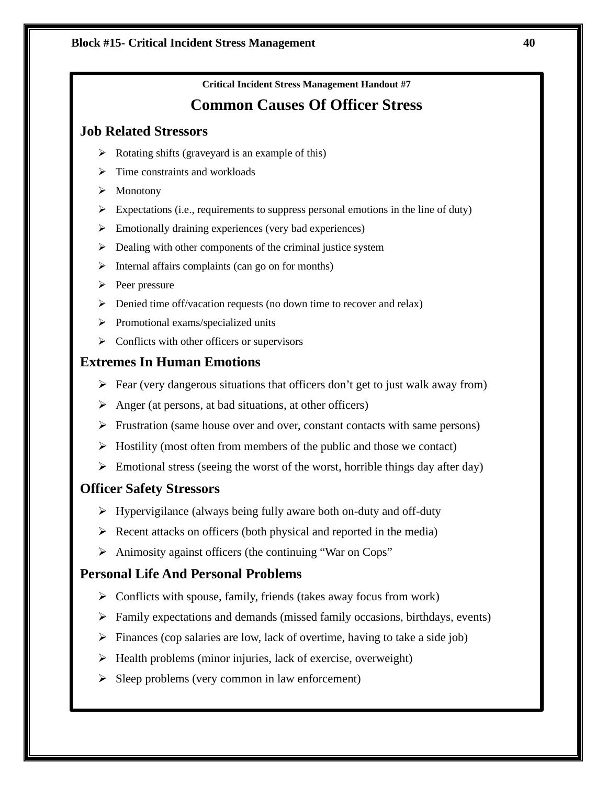# **Common Causes Of Officer Stress**

# **Job Related Stressors**

- $\triangleright$  Rotating shifts (graveyard is an example of this)
- $\triangleright$  Time constraints and workloads
- > Monotony
- Expectations (i.e., requirements to suppress personal emotions in the line of duty)
- $\triangleright$  Emotionally draining experiences (very bad experiences)
- $\triangleright$  Dealing with other components of the criminal justice system
- $\triangleright$  Internal affairs complaints (can go on for months)
- $\triangleright$  Peer pressure
- $\triangleright$  Denied time off/vacation requests (no down time to recover and relax)
- $\triangleright$  Promotional exams/specialized units
- $\triangleright$  Conflicts with other officers or supervisors

# **Extremes In Human Emotions**

- $\triangleright$  Fear (very dangerous situations that officers don't get to just walk away from)
- $\triangleright$  Anger (at persons, at bad situations, at other officers)
- $\triangleright$  Frustration (same house over and over, constant contacts with same persons)
- $\triangleright$  Hostility (most often from members of the public and those we contact)
- $\triangleright$  Emotional stress (seeing the worst of the worst, horrible things day after day)

# **Officer Safety Stressors**

- $\triangleright$  Hypervigilance (always being fully aware both on-duty and off-duty
- $\triangleright$  Recent attacks on officers (both physical and reported in the media)
- $\triangleright$  Animosity against officers (the continuing "War on Cops"

# **Personal Life And Personal Problems**

- $\triangleright$  Conflicts with spouse, family, friends (takes away focus from work)
- $\triangleright$  Family expectations and demands (missed family occasions, birthdays, events)
- $\triangleright$  Finances (cop salaries are low, lack of overtime, having to take a side job)
- $\triangleright$  Health problems (minor injuries, lack of exercise, overweight)
- $\triangleright$  Sleep problems (very common in law enforcement)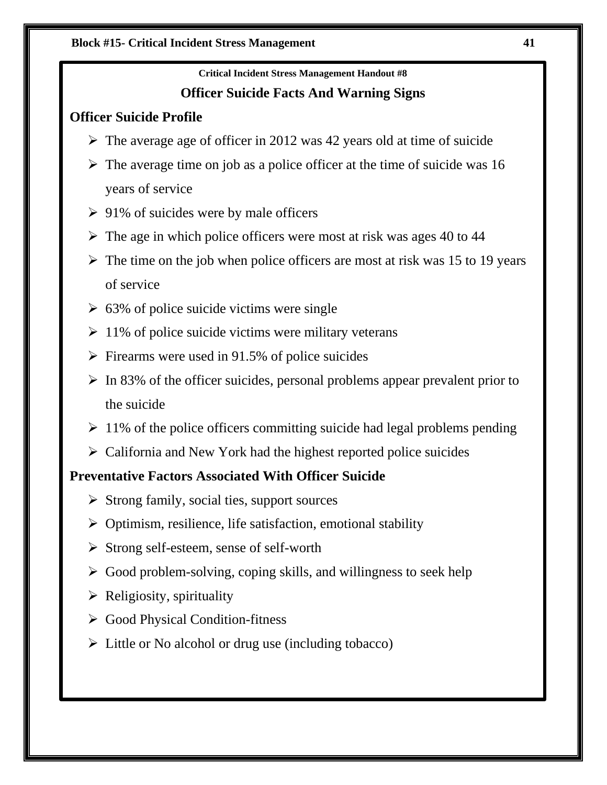# **Officer Suicide Facts And Warning Signs**

# **Officer Suicide Profile**

- $\triangleright$  The average age of officer in 2012 was 42 years old at time of suicide
- $\triangleright$  The average time on job as a police officer at the time of suicide was 16 years of service
- $\geq 91\%$  of suicides were by male officers
- $\triangleright$  The age in which police officers were most at risk was ages 40 to 44
- $\triangleright$  The time on the job when police officers are most at risk was 15 to 19 years of service
- $\geq 63\%$  of police suicide victims were single
- $\geq 11\%$  of police suicide victims were military veterans
- $\triangleright$  Firearms were used in 91.5% of police suicides
- $\triangleright$  In 83% of the officer suicides, personal problems appear prevalent prior to the suicide
- $\geq 11\%$  of the police officers committing suicide had legal problems pending
- $\triangleright$  California and New York had the highest reported police suicides

# **Preventative Factors Associated With Officer Suicide**

- $\triangleright$  Strong family, social ties, support sources
- $\triangleright$  Optimism, resilience, life satisfaction, emotional stability
- $\triangleright$  Strong self-esteem, sense of self-worth
- $\triangleright$  Good problem-solving, coping skills, and willingness to seek help
- $\triangleright$  Religiosity, spirituality
- Good Physical Condition-fitness
- $\triangleright$  Little or No alcohol or drug use (including tobacco)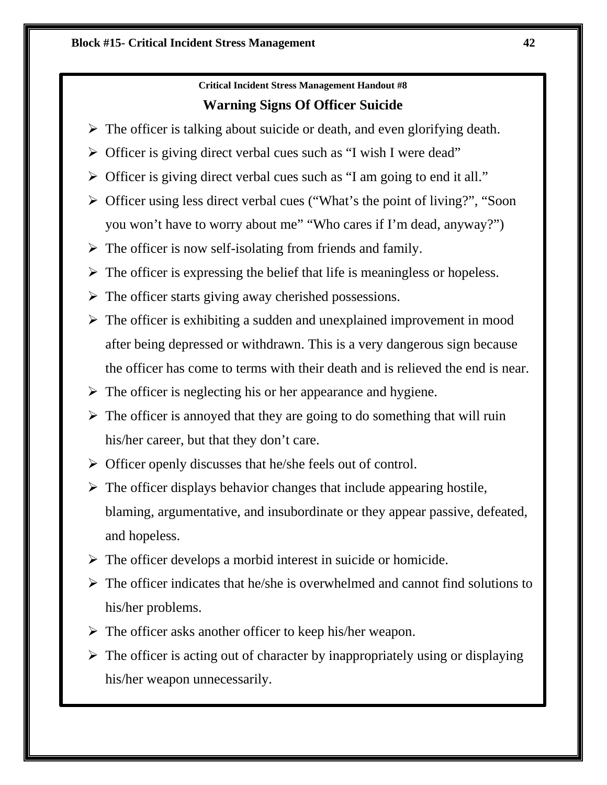# **Critical Incident Stress Management Handout #8 Warning Signs Of Officer Suicide**

- $\triangleright$  The officer is talking about suicide or death, and even glorifying death.
- $\triangleright$  Officer is giving direct verbal cues such as "I wish I were dead"
- $\triangleright$  Officer is giving direct verbal cues such as "I am going to end it all."
- Officer using less direct verbal cues ("What's the point of living?", "Soon you won't have to worry about me" "Who cares if I'm dead, anyway?")
- $\triangleright$  The officer is now self-isolating from friends and family.
- $\triangleright$  The officer is expressing the belief that life is meaningless or hopeless.
- $\triangleright$  The officer starts giving away cherished possessions.
- $\triangleright$  The officer is exhibiting a sudden and unexplained improvement in mood after being depressed or withdrawn. This is a very dangerous sign because the officer has come to terms with their death and is relieved the end is near.
- $\triangleright$  The officer is neglecting his or her appearance and hygiene.
- $\triangleright$  The officer is annoyed that they are going to do something that will ruin his/her career, but that they don't care.
- $\triangleright$  Officer openly discusses that he/she feels out of control.
- $\triangleright$  The officer displays behavior changes that include appearing hostile, blaming, argumentative, and insubordinate or they appear passive, defeated, and hopeless.
- $\triangleright$  The officer develops a morbid interest in suicide or homicide.
- $\triangleright$  The officer indicates that he/she is overwhelmed and cannot find solutions to his/her problems.
- $\triangleright$  The officer asks another officer to keep his/her weapon.
- $\triangleright$  The officer is acting out of character by inappropriately using or displaying his/her weapon unnecessarily.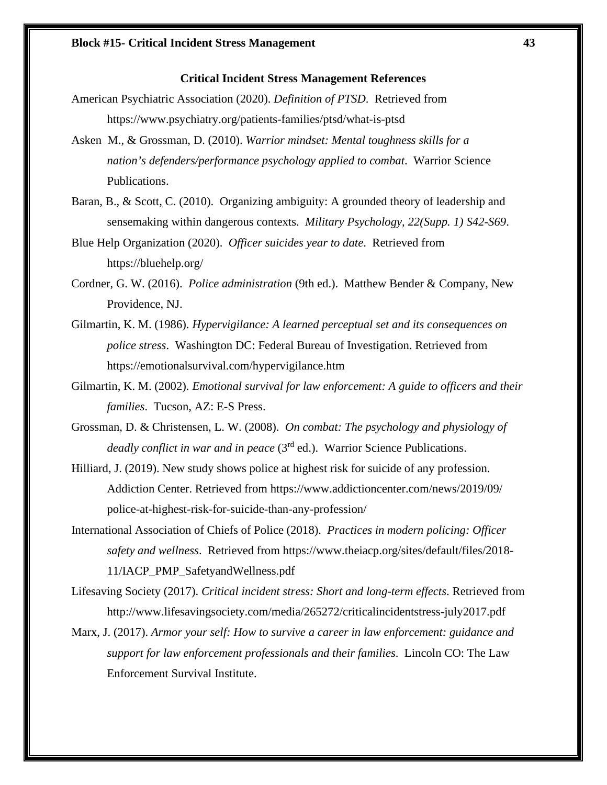### **Critical Incident Stress Management References**

- American Psychiatric Association (2020). *Definition of PTSD*. Retrieved from https://www.psychiatry.org/patients-families/ptsd/what-is-ptsd
- Asken M., & Grossman, D. (2010). *Warrior mindset: Mental toughness skills for a nation's defenders/performance psychology applied to combat*. Warrior Science Publications.
- Baran, B., & Scott, C. (2010). Organizing ambiguity: A grounded theory of leadership and sensemaking within dangerous contexts. *Military Psychology, 22(Supp. 1) S42-S69*.
- Blue Help Organization (2020). *Officer suicides year to date*. Retrieved from https://bluehelp.org/
- Cordner, G. W. (2016). *Police administration* (9th ed.). Matthew Bender & Company, New Providence, NJ.
- Gilmartin, K. M. (1986). *Hypervigilance: A learned perceptual set and its consequences on police stress*. Washington DC: Federal Bureau of Investigation. Retrieved from https://emotionalsurvival.com/hypervigilance.htm
- Gilmartin, K. M. (2002). *Emotional survival for law enforcement: A guide to officers and their families*. Tucson, AZ: E-S Press.
- Grossman, D. & Christensen, L. W. (2008). *On combat: The psychology and physiology of deadly conflict in war and in peace* (3rd ed.). Warrior Science Publications.
- Hilliard, J. (2019). New study shows police at highest risk for suicide of any profession. Addiction Center. Retrieved from https://www.addictioncenter.com/news/2019/09/ police-at-highest-risk-for-suicide-than-any-profession/
- International Association of Chiefs of Police (2018). *Practices in modern policing: Officer safety and wellness*. Retrieved from https://www.theiacp.org/sites/default/files/2018- 11/IACP\_PMP\_SafetyandWellness.pdf
- Lifesaving Society (2017). *Critical incident stress: Short and long-term effects*. Retrieved from http://www.lifesavingsociety.com/media/265272/criticalincidentstress-july2017.pdf
- Marx, J. (2017). *Armor your self: How to survive a career in law enforcement: guidance and support for law enforcement professionals and their families*. Lincoln CO: The Law Enforcement Survival Institute.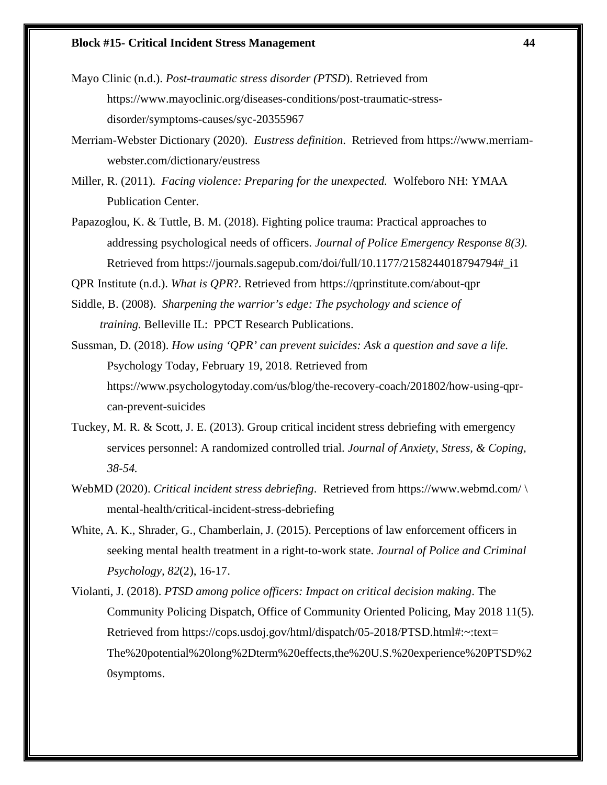### **Block #15- Critical Incident Stress Management 44**

Mayo Clinic (n.d.). *Post-traumatic stress disorder (PTSD*). Retrieved from https://www.mayoclinic.org/diseases-conditions/post-traumatic-stressdisorder/symptoms-causes/syc-20355967

Merriam-Webster Dictionary (2020). *Eustress definition*. Retrieved from https://www.merriamwebster.com/dictionary/eustress

Miller, R. (2011). *Facing violence: Preparing for the unexpected.* Wolfeboro NH: YMAA Publication Center.

Papazoglou, K. & Tuttle, B. M. (2018). Fighting police trauma: Practical approaches to addressing psychological needs of officers. *Journal of Police Emergency Response 8(3).* Retrieved from https://journals.sagepub.com/doi/full/10.1177/2158244018794794#\_i1

QPR Institute (n.d.). *What is QPR*?. Retrieved from https://qprinstitute.com/about-qpr

- Siddle, B. (2008). *Sharpening the warrior's edge: The psychology and science of training.* Belleville IL:PPCT Research Publications.
- Sussman, D. (2018). *How using 'QPR' can prevent suicides: Ask a question and save a life.* Psychology Today, February 19, 2018. Retrieved from https://www.psychologytoday.com/us/blog/the-recovery-coach/201802/how-using-qprcan-prevent-suicides
- Tuckey, M. R. & Scott, J. E. (2013). Group critical incident stress debriefing with emergency services personnel: A randomized controlled trial. *Journal of Anxiety, Stress, & Coping, 38-54.*
- WebMD (2020). *Critical incident stress debriefing*. Retrieved from https://www.webmd.com/ \ mental-health/critical-incident-stress-debriefing
- White, A. K., Shrader, G., Chamberlain, J. (2015). Perceptions of law enforcement officers in seeking mental health treatment in a right-to-work state. *Journal of Police and Criminal Psychology, 82*(2), 16-17.
- Violanti, J. (2018). *PTSD among police officers: Impact on critical decision making*. The Community Policing Dispatch, Office of Community Oriented Policing, May 2018 11(5). Retrieved from https://cops.usdoj.gov/html/dispatch/05-2018/PTSD.html#:~:text= The%20potential%20long%2Dterm%20effects,the%20U.S.%20experience%20PTSD%2 0symptoms.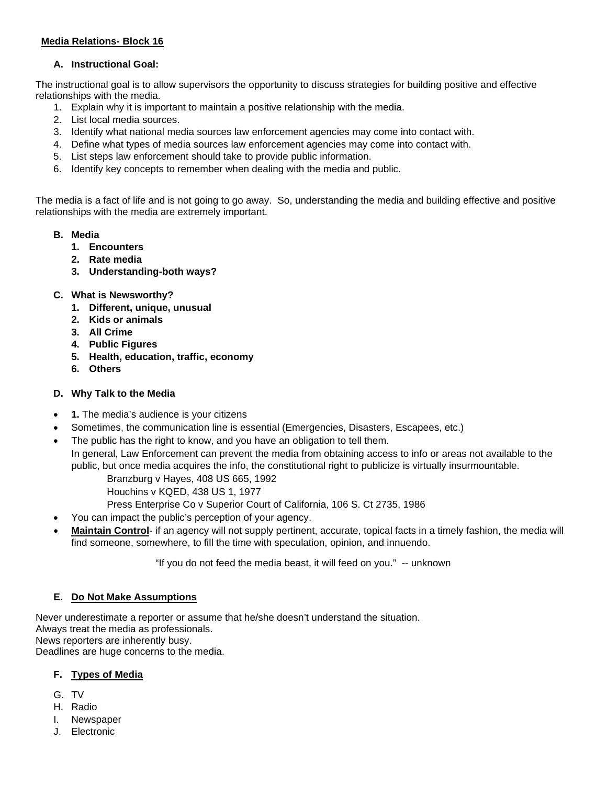## **Media Relations- Block 16**

### **A. Instructional Goal:**

The instructional goal is to allow supervisors the opportunity to discuss strategies for building positive and effective relationships with the media.

- 1. Explain why it is important to maintain a positive relationship with the media.
- 2. List local media sources.
- 3. Identify what national media sources law enforcement agencies may come into contact with.
- 4. Define what types of media sources law enforcement agencies may come into contact with.
- 5. List steps law enforcement should take to provide public information.
- 6. Identify key concepts to remember when dealing with the media and public.

The media is a fact of life and is not going to go away. So, understanding the media and building effective and positive relationships with the media are extremely important.

- **B. Media**
	- **1. Encounters**
	- **2. Rate media**
	- **3. Understanding-both ways?**
- **C. What is Newsworthy?** 
	- **1. Different, unique, unusual**
	- **2. Kids or animals**
	- **3. All Crime**
	- **4. Public Figures**
	- **5. Health, education, traffic, economy**
	- **6. Others**

## **D. Why Talk to the Media**

- **1.** The media's audience is your citizens
- Sometimes, the communication line is essential (Emergencies, Disasters, Escapees, etc.)
- The public has the right to know, and you have an obligation to tell them.
- In general, Law Enforcement can prevent the media from obtaining access to info or areas not available to the public, but once media acquires the info, the constitutional right to publicize is virtually insurmountable.
	- Branzburg v Hayes, 408 US 665, 1992
	- Houchins v KQED, 438 US 1, 1977
	- Press Enterprise Co v Superior Court of California, 106 S. Ct 2735, 1986
- You can impact the public's perception of your agency.
- **Maintain Control** if an agency will not supply pertinent, accurate, topical facts in a timely fashion, the media will find someone, somewhere, to fill the time with speculation, opinion, and innuendo.

"If you do not feed the media beast, it will feed on you." -- unknown

# **E. Do Not Make Assumptions**

Never underestimate a reporter or assume that he/she doesn't understand the situation. Always treat the media as professionals. News reporters are inherently busy. Deadlines are huge concerns to the media.

### **F. Types of Media**

- G. TV
- H. Radio
- I. Newspaper
- J. Electronic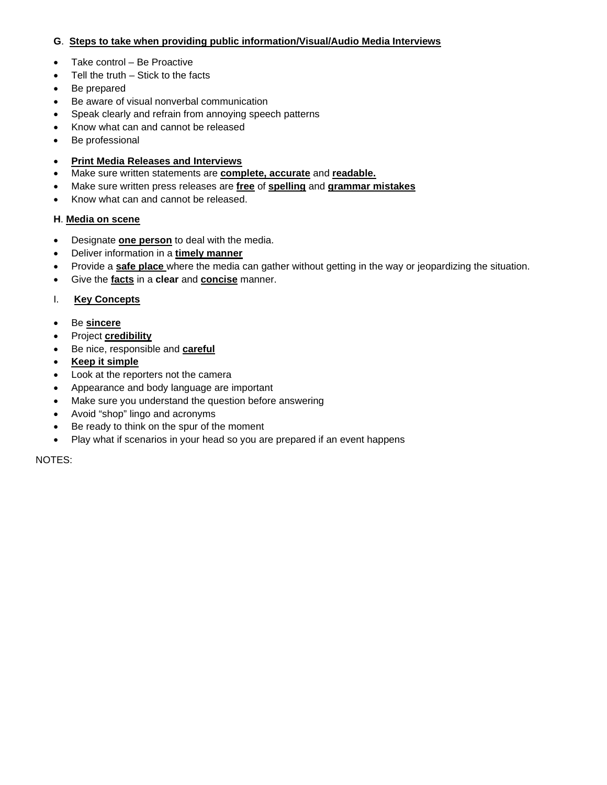# **G**. **Steps to take when providing public information/Visual/Audio Media Interviews**

- Take control Be Proactive
- Tell the truth  $-$  Stick to the facts
- Be prepared
- Be aware of visual nonverbal communication
- Speak clearly and refrain from annoying speech patterns
- Know what can and cannot be released
- Be professional

### • **Print Media Releases and Interviews**

- Make sure written statements are **complete, accurate** and **readable.**
- Make sure written press releases are **free** of **spelling** and **grammar mistakes**
- Know what can and cannot be released.

### **H**. **Media on scene**

- Designate **one person** to deal with the media.
- Deliver information in a **timely manner**
- Provide a **safe place** where the media can gather without getting in the way or jeopardizing the situation.
- Give the **facts** in a **clear** and **concise** manner.

### I. **Key Concepts**

- Be **sincere**
- Project **credibility**
- Be nice, responsible and **careful**
- **Keep it simple**
- Look at the reporters not the camera
- Appearance and body language are important
- Make sure you understand the question before answering
- Avoid "shop" lingo and acronyms
- Be ready to think on the spur of the moment
- Play what if scenarios in your head so you are prepared if an event happens

NOTES: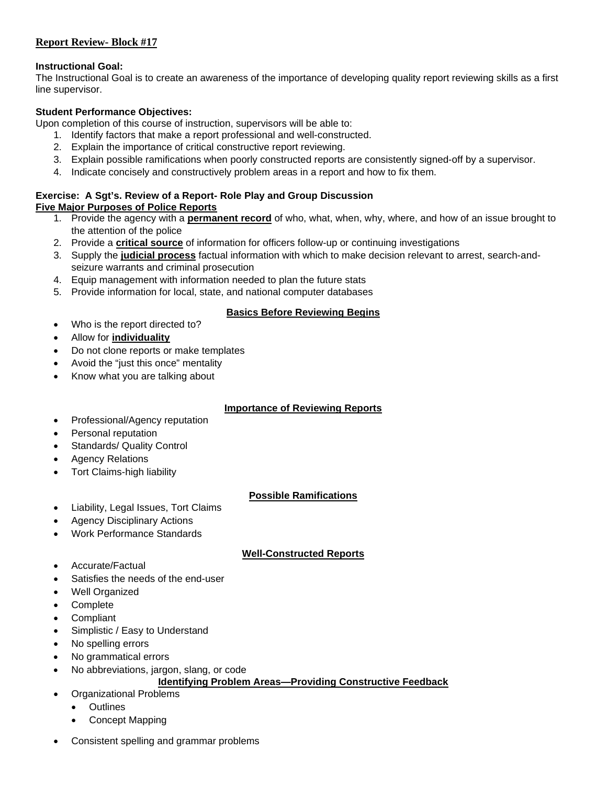### **Report Review- Block #17**

### **Instructional Goal:**

The Instructional Goal is to create an awareness of the importance of developing quality report reviewing skills as a first line supervisor.

### **Student Performance Objectives:**

Upon completion of this course of instruction, supervisors will be able to:

- 1. Identify factors that make a report professional and well-constructed.
- 2. Explain the importance of critical constructive report reviewing.
- 3. Explain possible ramifications when poorly constructed reports are consistently signed-off by a supervisor.
- 4. Indicate concisely and constructively problem areas in a report and how to fix them.

### **Exercise: A Sgt's. Review of a Report- Role Play and Group Discussion Five Major Purposes of Police Reports**

- 1. Provide the agency with a **permanent record** of who, what, when, why, where, and how of an issue brought to the attention of the police
- 2. Provide a **critical source** of information for officers follow-up or continuing investigations
- 3. Supply the **judicial process** factual information with which to make decision relevant to arrest, search-andseizure warrants and criminal prosecution
- 4. Equip management with information needed to plan the future stats
- 5. Provide information for local, state, and national computer databases

### **Basics Before Reviewing Begins**

- Who is the report directed to?
- Allow for **individuality**
- Do not clone reports or make templates
- Avoid the "just this once" mentality
- Know what you are talking about

# **Importance of Reviewing Reports**

- Professional/Agency reputation
- Personal reputation
- Standards/ Quality Control
- **Agency Relations**
- Tort Claims-high liability

### **Possible Ramifications**

- Liability, Legal Issues, Tort Claims
- Agency Disciplinary Actions
- Work Performance Standards

# **Well-Constructed Reports**

- Accurate/Factual
- Satisfies the needs of the end-user
- Well Organized
- Complete
- **Compliant**
- Simplistic / Easy to Understand
- No spelling errors
- No grammatical errors
- No abbreviations, jargon, slang, or code

# **Identifying Problem Areas—Providing Constructive Feedback**

- Organizational Problems
	- Outlines
	- Concept Mapping
- Consistent spelling and grammar problems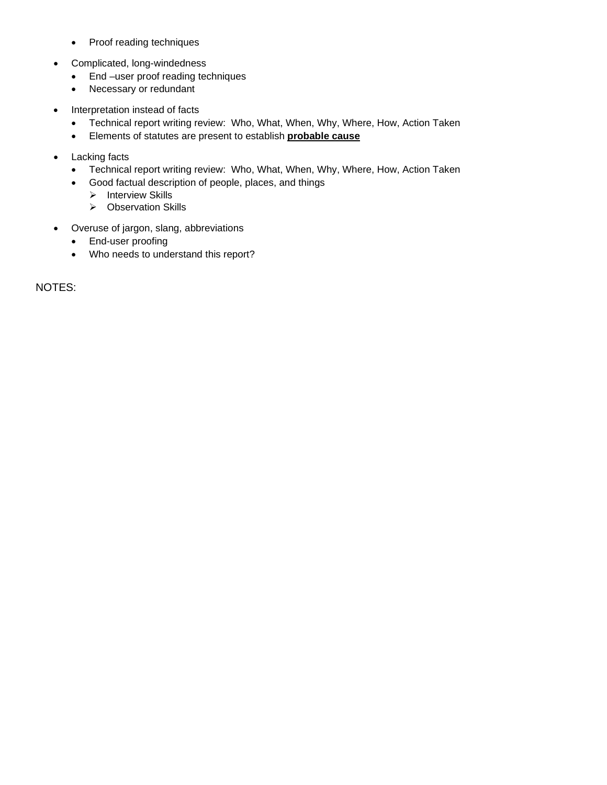- Proof reading techniques
- Complicated, long-windedness
	- End –user proof reading techniques
	- Necessary or redundant
- Interpretation instead of facts
	- Technical report writing review: Who, What, When, Why, Where, How, Action Taken
	- Elements of statutes are present to establish **probable cause**
- Lacking facts
	- Technical report writing review: Who, What, When, Why, Where, How, Action Taken
	- Good factual description of people, places, and things
		- $\triangleright$  Interview Skills
		- ▶ Observation Skills
- Overuse of jargon, slang, abbreviations
	- End-user proofing
	- Who needs to understand this report?

NOTES: